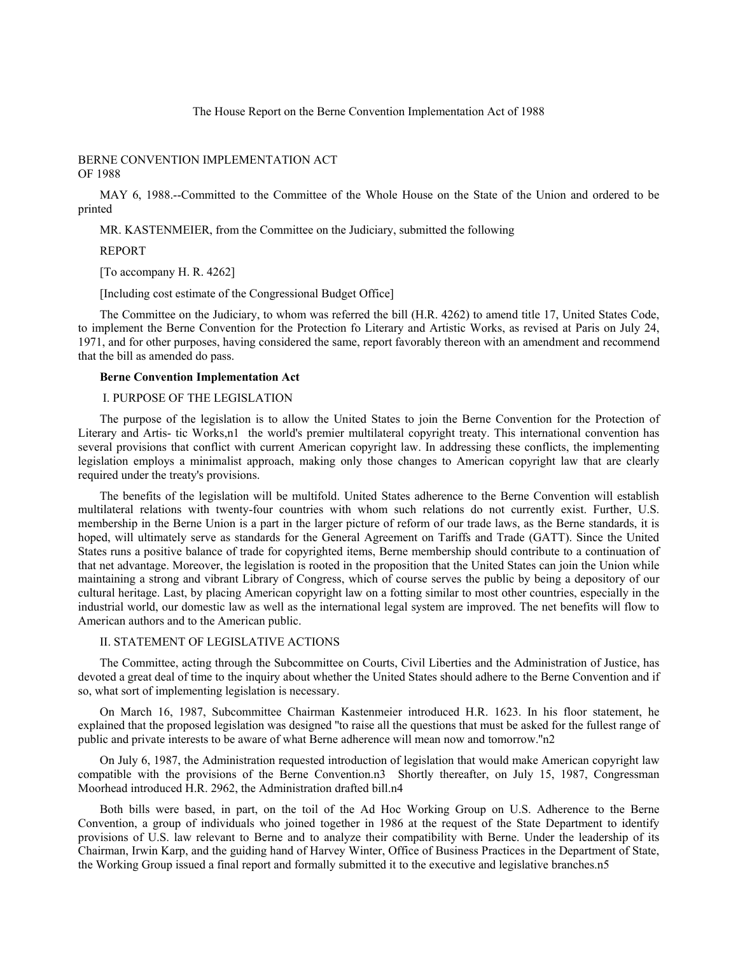#### The House Report on the Berne Convention Implementation Act of 1988

## BERNE CONVENTION IMPLEMENTATION ACT OF 1988

MAY 6, 1988.--Committed to the Committee of the Whole House on the State of the Union and ordered to be printed

MR. KASTENMEIER, from the Committee on the Judiciary, submitted the following

REPORT

[To accompany H. R. 4262]

[Including cost estimate of the Congressional Budget Office]

The Committee on the Judiciary, to whom was referred the bill (H.R. 4262) to amend title 17, United States Code, to implement the Berne Convention for the Protection fo Literary and Artistic Works, as revised at Paris on July 24, 1971, and for other purposes, having considered the same, report favorably thereon with an amendment and recommend that the bill as amended do pass.

#### **Berne Convention Implementation Act**

# I. PURPOSE OF THE LEGISLATION

The purpose of the legislation is to allow the United States to join the Berne Convention for the Protection of Literary and Artis- tic Works,n1 the world's premier multilateral copyright treaty. This international convention has several provisions that conflict with current American copyright law. In addressing these conflicts, the implementing legislation employs a minimalist approach, making only those changes to American copyright law that are clearly required under the treaty's provisions.

The benefits of the legislation will be multifold. United States adherence to the Berne Convention will establish multilateral relations with twenty-four countries with whom such relations do not currently exist. Further, U.S. membership in the Berne Union is a part in the larger picture of reform of our trade laws, as the Berne standards, it is hoped, will ultimately serve as standards for the General Agreement on Tariffs and Trade (GATT). Since the United States runs a positive balance of trade for copyrighted items, Berne membership should contribute to a continuation of that net advantage. Moreover, the legislation is rooted in the proposition that the United States can join the Union while maintaining a strong and vibrant Library of Congress, which of course serves the public by being a depository of our cultural heritage. Last, by placing American copyright law on a fotting similar to most other countries, especially in the industrial world, our domestic law as well as the international legal system are improved. The net benefits will flow to American authors and to the American public.

#### II. STATEMENT OF LEGISLATIVE ACTIONS

The Committee, acting through the Subcommittee on Courts, Civil Liberties and the Administration of Justice, has devoted a great deal of time to the inquiry about whether the United States should adhere to the Berne Convention and if so, what sort of implementing legislation is necessary.

On March 16, 1987, Subcommittee Chairman Kastenmeier introduced H.R. 1623. In his floor statement, he explained that the proposed legislation was designed ''to raise all the questions that must be asked for the fullest range of public and private interests to be aware of what Berne adherence will mean now and tomorrow.''n2

On July 6, 1987, the Administration requested introduction of legislation that would make American copyright law compatible with the provisions of the Berne Convention.n3 Shortly thereafter, on July 15, 1987, Congressman Moorhead introduced H.R. 2962, the Administration drafted bill.n4

Both bills were based, in part, on the toil of the Ad Hoc Working Group on U.S. Adherence to the Berne Convention, a group of individuals who joined together in 1986 at the request of the State Department to identify provisions of U.S. law relevant to Berne and to analyze their compatibility with Berne. Under the leadership of its Chairman, Irwin Karp, and the guiding hand of Harvey Winter, Office of Business Practices in the Department of State, the Working Group issued a final report and formally submitted it to the executive and legislative branches.n5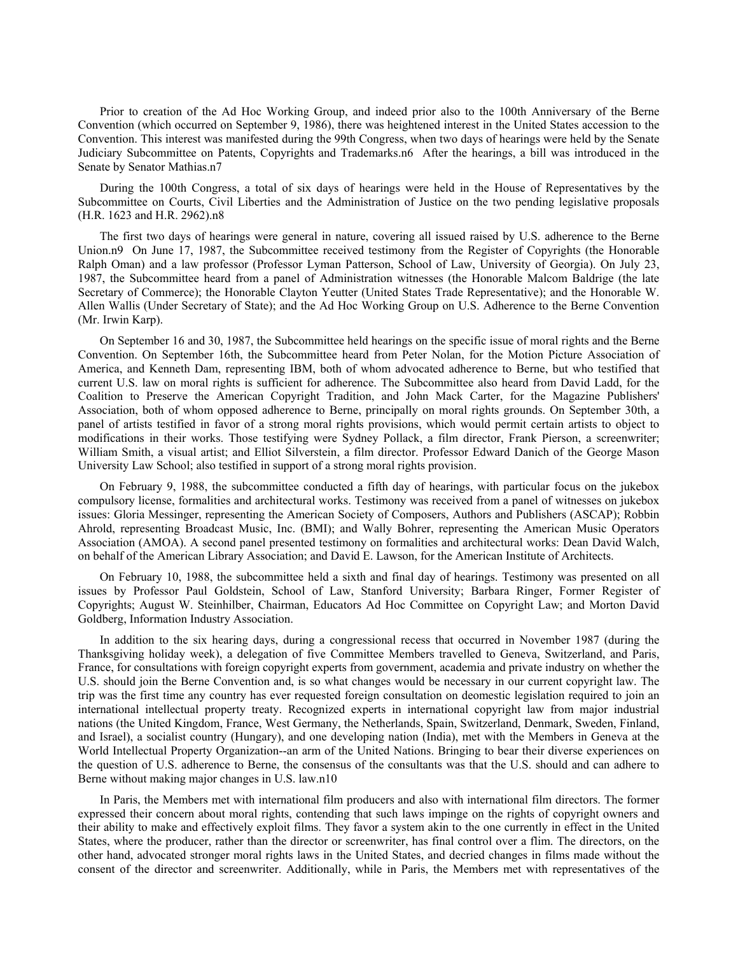Prior to creation of the Ad Hoc Working Group, and indeed prior also to the 100th Anniversary of the Berne Convention (which occurred on September 9, 1986), there was heightened interest in the United States accession to the Convention. This interest was manifested during the 99th Congress, when two days of hearings were held by the Senate Judiciary Subcommittee on Patents, Copyrights and Trademarks.n6 After the hearings, a bill was introduced in the Senate by Senator Mathias.n7

During the 100th Congress, a total of six days of hearings were held in the House of Representatives by the Subcommittee on Courts, Civil Liberties and the Administration of Justice on the two pending legislative proposals (H.R. 1623 and H.R. 2962).n8

The first two days of hearings were general in nature, covering all issued raised by U.S. adherence to the Berne Union.n9 On June 17, 1987, the Subcommittee received testimony from the Register of Copyrights (the Honorable Ralph Oman) and a law professor (Professor Lyman Patterson, School of Law, University of Georgia). On July 23, 1987, the Subcommittee heard from a panel of Administration witnesses (the Honorable Malcom Baldrige (the late Secretary of Commerce); the Honorable Clayton Yeutter (United States Trade Representative); and the Honorable W. Allen Wallis (Under Secretary of State); and the Ad Hoc Working Group on U.S. Adherence to the Berne Convention (Mr. Irwin Karp).

On September 16 and 30, 1987, the Subcommittee held hearings on the specific issue of moral rights and the Berne Convention. On September 16th, the Subcommittee heard from Peter Nolan, for the Motion Picture Association of America, and Kenneth Dam, representing IBM, both of whom advocated adherence to Berne, but who testified that current U.S. law on moral rights is sufficient for adherence. The Subcommittee also heard from David Ladd, for the Coalition to Preserve the American Copyright Tradition, and John Mack Carter, for the Magazine Publishers' Association, both of whom opposed adherence to Berne, principally on moral rights grounds. On September 30th, a panel of artists testified in favor of a strong moral rights provisions, which would permit certain artists to object to modifications in their works. Those testifying were Sydney Pollack, a film director, Frank Pierson, a screenwriter; William Smith, a visual artist; and Elliot Silverstein, a film director. Professor Edward Danich of the George Mason University Law School; also testified in support of a strong moral rights provision.

On February 9, 1988, the subcommittee conducted a fifth day of hearings, with particular focus on the jukebox compulsory license, formalities and architectural works. Testimony was received from a panel of witnesses on jukebox issues: Gloria Messinger, representing the American Society of Composers, Authors and Publishers (ASCAP); Robbin Ahrold, representing Broadcast Music, Inc. (BMI); and Wally Bohrer, representing the American Music Operators Association (AMOA). A second panel presented testimony on formalities and architectural works: Dean David Walch, on behalf of the American Library Association; and David E. Lawson, for the American Institute of Architects.

On February 10, 1988, the subcommittee held a sixth and final day of hearings. Testimony was presented on all issues by Professor Paul Goldstein, School of Law, Stanford University; Barbara Ringer, Former Register of Copyrights; August W. Steinhilber, Chairman, Educators Ad Hoc Committee on Copyright Law; and Morton David Goldberg, Information Industry Association.

In addition to the six hearing days, during a congressional recess that occurred in November 1987 (during the Thanksgiving holiday week), a delegation of five Committee Members travelled to Geneva, Switzerland, and Paris, France, for consultations with foreign copyright experts from government, academia and private industry on whether the U.S. should join the Berne Convention and, is so what changes would be necessary in our current copyright law. The trip was the first time any country has ever requested foreign consultation on deomestic legislation required to join an international intellectual property treaty. Recognized experts in international copyright law from major industrial nations (the United Kingdom, France, West Germany, the Netherlands, Spain, Switzerland, Denmark, Sweden, Finland, and Israel), a socialist country (Hungary), and one developing nation (India), met with the Members in Geneva at the World Intellectual Property Organization--an arm of the United Nations. Bringing to bear their diverse experiences on the question of U.S. adherence to Berne, the consensus of the consultants was that the U.S. should and can adhere to Berne without making major changes in U.S. law.n10

In Paris, the Members met with international film producers and also with international film directors. The former expressed their concern about moral rights, contending that such laws impinge on the rights of copyright owners and their ability to make and effectively exploit films. They favor a system akin to the one currently in effect in the United States, where the producer, rather than the director or screenwriter, has final control over a flim. The directors, on the other hand, advocated stronger moral rights laws in the United States, and decried changes in films made without the consent of the director and screenwriter. Additionally, while in Paris, the Members met with representatives of the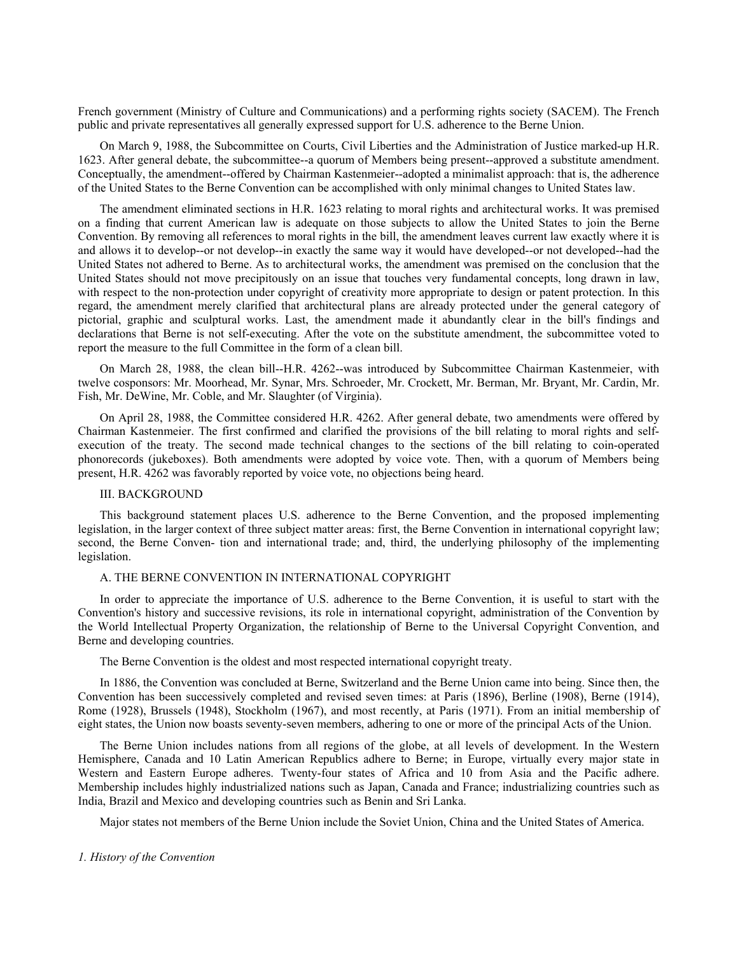French government (Ministry of Culture and Communications) and a performing rights society (SACEM). The French public and private representatives all generally expressed support for U.S. adherence to the Berne Union.

On March 9, 1988, the Subcommittee on Courts, Civil Liberties and the Administration of Justice marked-up H.R. 1623. After general debate, the subcommittee--a quorum of Members being present--approved a substitute amendment. Conceptually, the amendment--offered by Chairman Kastenmeier--adopted a minimalist approach: that is, the adherence of the United States to the Berne Convention can be accomplished with only minimal changes to United States law.

The amendment eliminated sections in H.R. 1623 relating to moral rights and architectural works. It was premised on a finding that current American law is adequate on those subjects to allow the United States to join the Berne Convention. By removing all references to moral rights in the bill, the amendment leaves current law exactly where it is and allows it to develop--or not develop--in exactly the same way it would have developed--or not developed--had the United States not adhered to Berne. As to architectural works, the amendment was premised on the conclusion that the United States should not move precipitously on an issue that touches very fundamental concepts, long drawn in law, with respect to the non-protection under copyright of creativity more appropriate to design or patent protection. In this regard, the amendment merely clarified that architectural plans are already protected under the general category of pictorial, graphic and sculptural works. Last, the amendment made it abundantly clear in the bill's findings and declarations that Berne is not self-executing. After the vote on the substitute amendment, the subcommittee voted to report the measure to the full Committee in the form of a clean bill.

On March 28, 1988, the clean bill--H.R. 4262--was introduced by Subcommittee Chairman Kastenmeier, with twelve cosponsors: Mr. Moorhead, Mr. Synar, Mrs. Schroeder, Mr. Crockett, Mr. Berman, Mr. Bryant, Mr. Cardin, Mr. Fish, Mr. DeWine, Mr. Coble, and Mr. Slaughter (of Virginia).

On April 28, 1988, the Committee considered H.R. 4262. After general debate, two amendments were offered by Chairman Kastenmeier. The first confirmed and clarified the provisions of the bill relating to moral rights and selfexecution of the treaty. The second made technical changes to the sections of the bill relating to coin-operated phonorecords (jukeboxes). Both amendments were adopted by voice vote. Then, with a quorum of Members being present, H.R. 4262 was favorably reported by voice vote, no objections being heard.

# III. BACKGROUND

This background statement places U.S. adherence to the Berne Convention, and the proposed implementing legislation, in the larger context of three subject matter areas: first, the Berne Convention in international copyright law; second, the Berne Conven- tion and international trade; and, third, the underlying philosophy of the implementing legislation.

## A. THE BERNE CONVENTION IN INTERNATIONAL COPYRIGHT

In order to appreciate the importance of U.S. adherence to the Berne Convention, it is useful to start with the Convention's history and successive revisions, its role in international copyright, administration of the Convention by the World Intellectual Property Organization, the relationship of Berne to the Universal Copyright Convention, and Berne and developing countries.

The Berne Convention is the oldest and most respected international copyright treaty.

In 1886, the Convention was concluded at Berne, Switzerland and the Berne Union came into being. Since then, the Convention has been successively completed and revised seven times: at Paris (1896), Berline (1908), Berne (1914), Rome (1928), Brussels (1948), Stockholm (1967), and most recently, at Paris (1971). From an initial membership of eight states, the Union now boasts seventy-seven members, adhering to one or more of the principal Acts of the Union.

The Berne Union includes nations from all regions of the globe, at all levels of development. In the Western Hemisphere, Canada and 10 Latin American Republics adhere to Berne; in Europe, virtually every major state in Western and Eastern Europe adheres. Twenty-four states of Africa and 10 from Asia and the Pacific adhere. Membership includes highly industrialized nations such as Japan, Canada and France; industrializing countries such as India, Brazil and Mexico and developing countries such as Benin and Sri Lanka.

Major states not members of the Berne Union include the Soviet Union, China and the United States of America.

### *1. History of the Convention*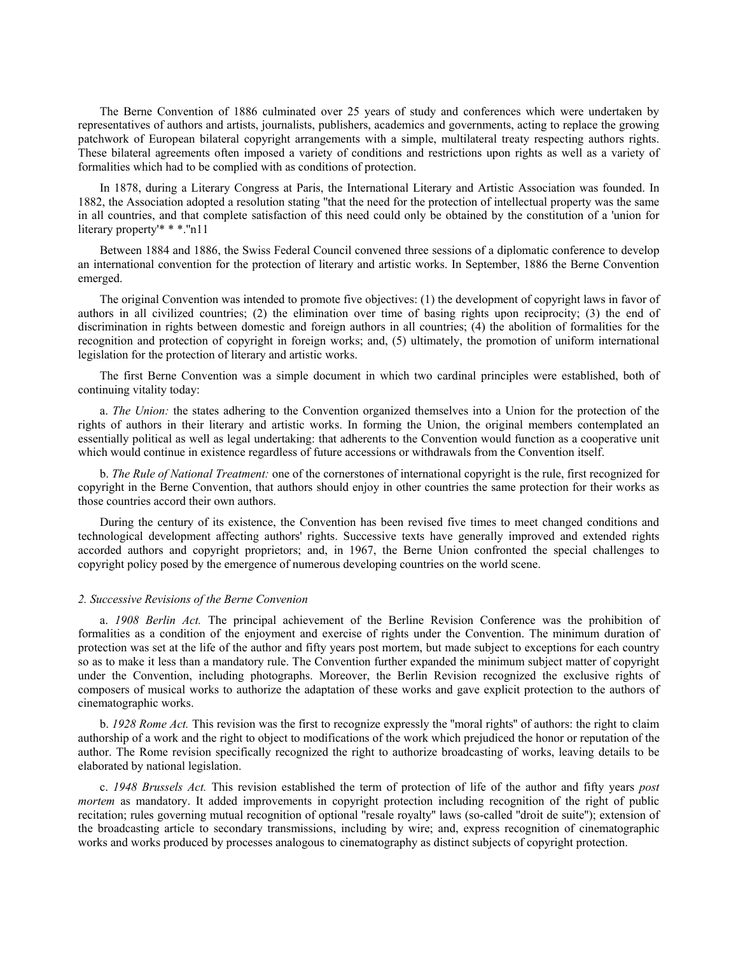The Berne Convention of 1886 culminated over 25 years of study and conferences which were undertaken by representatives of authors and artists, journalists, publishers, academics and governments, acting to replace the growing patchwork of European bilateral copyright arrangements with a simple, multilateral treaty respecting authors rights. These bilateral agreements often imposed a variety of conditions and restrictions upon rights as well as a variety of formalities which had to be complied with as conditions of protection.

In 1878, during a Literary Congress at Paris, the International Literary and Artistic Association was founded. In 1882, the Association adopted a resolution stating ''that the need for the protection of intellectual property was the same in all countries, and that complete satisfaction of this need could only be obtained by the constitution of a 'union for literary property'\* \* \*.''n11

Between 1884 and 1886, the Swiss Federal Council convened three sessions of a diplomatic conference to develop an international convention for the protection of literary and artistic works. In September, 1886 the Berne Convention emerged.

The original Convention was intended to promote five objectives: (1) the development of copyright laws in favor of authors in all civilized countries; (2) the elimination over time of basing rights upon reciprocity; (3) the end of discrimination in rights between domestic and foreign authors in all countries; (4) the abolition of formalities for the recognition and protection of copyright in foreign works; and, (5) ultimately, the promotion of uniform international legislation for the protection of literary and artistic works.

The first Berne Convention was a simple document in which two cardinal principles were established, both of continuing vitality today:

a. *The Union:* the states adhering to the Convention organized themselves into a Union for the protection of the rights of authors in their literary and artistic works. In forming the Union, the original members contemplated an essentially political as well as legal undertaking: that adherents to the Convention would function as a cooperative unit which would continue in existence regardless of future accessions or withdrawals from the Convention itself.

b. *The Rule of National Treatment:* one of the cornerstones of international copyright is the rule, first recognized for copyright in the Berne Convention, that authors should enjoy in other countries the same protection for their works as those countries accord their own authors.

During the century of its existence, the Convention has been revised five times to meet changed conditions and technological development affecting authors' rights. Successive texts have generally improved and extended rights accorded authors and copyright proprietors; and, in 1967, the Berne Union confronted the special challenges to copyright policy posed by the emergence of numerous developing countries on the world scene.

#### *2. Successive Revisions of the Berne Convenion*

a. *1908 Berlin Act.* The principal achievement of the Berline Revision Conference was the prohibition of formalities as a condition of the enjoyment and exercise of rights under the Convention. The minimum duration of protection was set at the life of the author and fifty years post mortem, but made subject to exceptions for each country so as to make it less than a mandatory rule. The Convention further expanded the minimum subject matter of copyright under the Convention, including photographs. Moreover, the Berlin Revision recognized the exclusive rights of composers of musical works to authorize the adaptation of these works and gave explicit protection to the authors of cinematographic works.

b. *1928 Rome Act.* This revision was the first to recognize expressly the ''moral rights'' of authors: the right to claim authorship of a work and the right to object to modifications of the work which prejudiced the honor or reputation of the author. The Rome revision specifically recognized the right to authorize broadcasting of works, leaving details to be elaborated by national legislation.

c. *1948 Brussels Act.* This revision established the term of protection of life of the author and fifty years *post mortem* as mandatory. It added improvements in copyright protection including recognition of the right of public recitation; rules governing mutual recognition of optional ''resale royalty'' laws (so-called ''droit de suite''); extension of the broadcasting article to secondary transmissions, including by wire; and, express recognition of cinematographic works and works produced by processes analogous to cinematography as distinct subjects of copyright protection.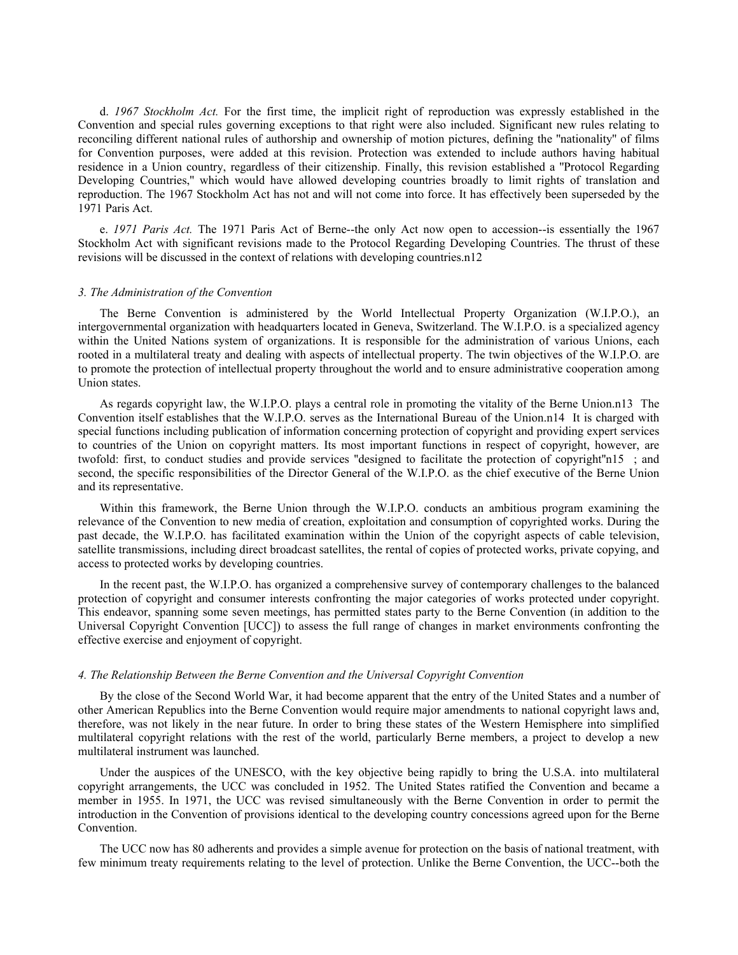d. *1967 Stockholm Act.* For the first time, the implicit right of reproduction was expressly established in the Convention and special rules governing exceptions to that right were also included. Significant new rules relating to reconciling different national rules of authorship and ownership of motion pictures, defining the ''nationality'' of films for Convention purposes, were added at this revision. Protection was extended to include authors having habitual residence in a Union country, regardless of their citizenship. Finally, this revision established a ''Protocol Regarding Developing Countries,'' which would have allowed developing countries broadly to limit rights of translation and reproduction. The 1967 Stockholm Act has not and will not come into force. It has effectively been superseded by the 1971 Paris Act.

e. *1971 Paris Act.* The 1971 Paris Act of Berne--the only Act now open to accession--is essentially the 1967 Stockholm Act with significant revisions made to the Protocol Regarding Developing Countries. The thrust of these revisions will be discussed in the context of relations with developing countries.n12

#### *3. The Administration of the Convention*

The Berne Convention is administered by the World Intellectual Property Organization (W.I.P.O.), an intergovernmental organization with headquarters located in Geneva, Switzerland. The W.I.P.O. is a specialized agency within the United Nations system of organizations. It is responsible for the administration of various Unions, each rooted in a multilateral treaty and dealing with aspects of intellectual property. The twin objectives of the W.I.P.O. are to promote the protection of intellectual property throughout the world and to ensure administrative cooperation among Union states.

As regards copyright law, the W.I.P.O. plays a central role in promoting the vitality of the Berne Union.n13 The Convention itself establishes that the W.I.P.O. serves as the International Bureau of the Union.n14 It is charged with special functions including publication of information concerning protection of copyright and providing expert services to countries of the Union on copyright matters. Its most important functions in respect of copyright, however, are twofold: first, to conduct studies and provide services ''designed to facilitate the protection of copyright''n15 ; and second, the specific responsibilities of the Director General of the W.I.P.O. as the chief executive of the Berne Union and its representative.

Within this framework, the Berne Union through the W.I.P.O. conducts an ambitious program examining the relevance of the Convention to new media of creation, exploitation and consumption of copyrighted works. During the past decade, the W.I.P.O. has facilitated examination within the Union of the copyright aspects of cable television, satellite transmissions, including direct broadcast satellites, the rental of copies of protected works, private copying, and access to protected works by developing countries.

In the recent past, the W.I.P.O. has organized a comprehensive survey of contemporary challenges to the balanced protection of copyright and consumer interests confronting the major categories of works protected under copyright. This endeavor, spanning some seven meetings, has permitted states party to the Berne Convention (in addition to the Universal Copyright Convention [UCC]) to assess the full range of changes in market environments confronting the effective exercise and enjoyment of copyright.

### *4. The Relationship Between the Berne Convention and the Universal Copyright Convention*

By the close of the Second World War, it had become apparent that the entry of the United States and a number of other American Republics into the Berne Convention would require major amendments to national copyright laws and, therefore, was not likely in the near future. In order to bring these states of the Western Hemisphere into simplified multilateral copyright relations with the rest of the world, particularly Berne members, a project to develop a new multilateral instrument was launched.

Under the auspices of the UNESCO, with the key objective being rapidly to bring the U.S.A. into multilateral copyright arrangements, the UCC was concluded in 1952. The United States ratified the Convention and became a member in 1955. In 1971, the UCC was revised simultaneously with the Berne Convention in order to permit the introduction in the Convention of provisions identical to the developing country concessions agreed upon for the Berne Convention.

The UCC now has 80 adherents and provides a simple avenue for protection on the basis of national treatment, with few minimum treaty requirements relating to the level of protection. Unlike the Berne Convention, the UCC--both the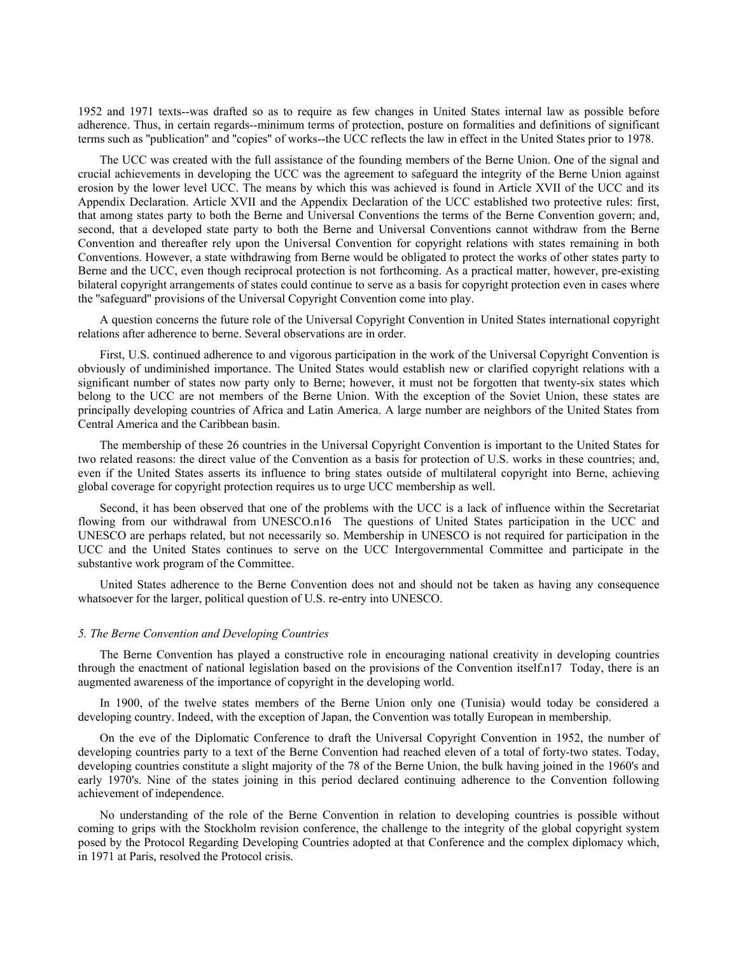1952 and 1971 texts--was drafted so as to require as few changes in United States internal law as possible before adherence. Thus, in certain regards--minimum terms of protection, posture on formalities and definitions of significant terms such as ''publication'' and ''copies'' of works--the UCC reflects the law in effect in the United States prior to 1978.

The UCC was created with the full assistance of the founding members of the Berne Union. One of the signal and crucial achievements in developing the UCC was the agreement to safeguard the integrity of the Berne Union against erosion by the lower level UCC. The means by which this was achieved is found in Article XVII of the UCC and its Appendix Declaration. Article XVII and the Appendix Declaration of the UCC established two protective rules: first, that among states party to both the Berne and Universal Conventions the terms of the Berne Convention govern; and, second, that a developed state party to both the Berne and Universal Conventions cannot withdraw from the Berne Convention and thereafter rely upon the Universal Convention for copyright relations with states remaining in both Conventions. However, a state withdrawing from Berne would be obligated to protect the works of other states party to Berne and the UCC, even though reciprocal protection is not forthcoming. As a practical matter, however, pre-existing bilateral copyright arrangements of states could continue to serve as a basis for copyright protection even in cases where the ''safeguard'' provisions of the Universal Copyright Convention come into play.

A question concerns the future role of the Universal Copyright Convention in United States international copyright relations after adherence to berne. Several observations are in order.

First, U.S. continued adherence to and vigorous participation in the work of the Universal Copyright Convention is obviously of undiminished importance. The United States would establish new or clarified copyright relations with a significant number of states now party only to Berne; however, it must not be forgotten that twenty-six states which belong to the UCC are not members of the Berne Union. With the exception of the Soviet Union, these states are principally developing countries of Africa and Latin America. A large number are neighbors of the United States from Central America and the Caribbean basin.

The membership of these 26 countries in the Universal Copyright Convention is important to the United States for two related reasons: the direct value of the Convention as a basis for protection of U.S. works in these countries; and, even if the United States asserts its influence to bring states outside of multilateral copyright into Berne, achieving global coverage for copyright protection requires us to urge UCC membership as well.

Second, it has been observed that one of the problems with the UCC is a lack of influence within the Secretariat flowing from our withdrawal from UNESCO.n16 The questions of United States participation in the UCC and UNESCO are perhaps related, but not necessarily so. Membership in UNESCO is not required for participation in the UCC and the United States continues to serve on the UCC Intergovernmental Committee and participate in the substantive work program of the Committee.

United States adherence to the Berne Convention does not and should not be taken as having any consequence whatsoever for the larger, political question of U.S. re-entry into UNESCO.

#### *5. The Berne Convention and Developing Countries*

The Berne Convention has played a constructive role in encouraging national creativity in developing countries through the enactment of national legislation based on the provisions of the Convention itself.n17 Today, there is an augmented awareness of the importance of copyright in the developing world.

In 1900, of the twelve states members of the Berne Union only one (Tunisia) would today be considered a developing country. Indeed, with the exception of Japan, the Convention was totally European in membership.

On the eve of the Diplomatic Conference to draft the Universal Copyright Convention in 1952, the number of developing countries party to a text of the Berne Convention had reached eleven of a total of forty-two states. Today, developing countries constitute a slight majority of the 78 of the Berne Union, the bulk having joined in the 1960's and early 1970's. Nine of the states joining in this period declared continuing adherence to the Convention following achievement of independence.

No understanding of the role of the Berne Convention in relation to developing countries is possible without coming to grips with the Stockholm revision conference, the challenge to the integrity of the global copyright system posed by the Protocol Regarding Developing Countries adopted at that Conference and the complex diplomacy which, in 1971 at Paris, resolved the Protocol crisis.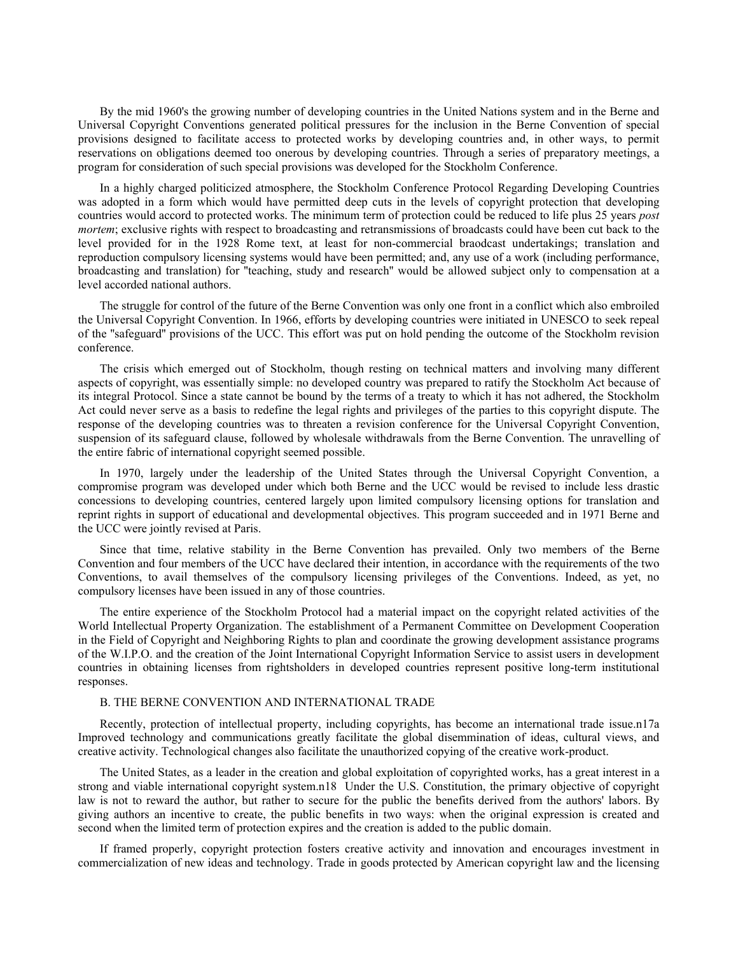By the mid 1960's the growing number of developing countries in the United Nations system and in the Berne and Universal Copyright Conventions generated political pressures for the inclusion in the Berne Convention of special provisions designed to facilitate access to protected works by developing countries and, in other ways, to permit reservations on obligations deemed too onerous by developing countries. Through a series of preparatory meetings, a program for consideration of such special provisions was developed for the Stockholm Conference.

In a highly charged politicized atmosphere, the Stockholm Conference Protocol Regarding Developing Countries was adopted in a form which would have permitted deep cuts in the levels of copyright protection that developing countries would accord to protected works. The minimum term of protection could be reduced to life plus 25 years *post mortem*; exclusive rights with respect to broadcasting and retransmissions of broadcasts could have been cut back to the level provided for in the 1928 Rome text, at least for non-commercial braodcast undertakings; translation and reproduction compulsory licensing systems would have been permitted; and, any use of a work (including performance, broadcasting and translation) for ''teaching, study and research'' would be allowed subject only to compensation at a level accorded national authors.

The struggle for control of the future of the Berne Convention was only one front in a conflict which also embroiled the Universal Copyright Convention. In 1966, efforts by developing countries were initiated in UNESCO to seek repeal of the ''safeguard'' provisions of the UCC. This effort was put on hold pending the outcome of the Stockholm revision conference.

The crisis which emerged out of Stockholm, though resting on technical matters and involving many different aspects of copyright, was essentially simple: no developed country was prepared to ratify the Stockholm Act because of its integral Protocol. Since a state cannot be bound by the terms of a treaty to which it has not adhered, the Stockholm Act could never serve as a basis to redefine the legal rights and privileges of the parties to this copyright dispute. The response of the developing countries was to threaten a revision conference for the Universal Copyright Convention, suspension of its safeguard clause, followed by wholesale withdrawals from the Berne Convention. The unravelling of the entire fabric of international copyright seemed possible.

In 1970, largely under the leadership of the United States through the Universal Copyright Convention, a compromise program was developed under which both Berne and the UCC would be revised to include less drastic concessions to developing countries, centered largely upon limited compulsory licensing options for translation and reprint rights in support of educational and developmental objectives. This program succeeded and in 1971 Berne and the UCC were jointly revised at Paris.

Since that time, relative stability in the Berne Convention has prevailed. Only two members of the Berne Convention and four members of the UCC have declared their intention, in accordance with the requirements of the two Conventions, to avail themselves of the compulsory licensing privileges of the Conventions. Indeed, as yet, no compulsory licenses have been issued in any of those countries.

The entire experience of the Stockholm Protocol had a material impact on the copyright related activities of the World Intellectual Property Organization. The establishment of a Permanent Committee on Development Cooperation in the Field of Copyright and Neighboring Rights to plan and coordinate the growing development assistance programs of the W.I.P.O. and the creation of the Joint International Copyright Information Service to assist users in development countries in obtaining licenses from rightsholders in developed countries represent positive long-term institutional responses.

# B. THE BERNE CONVENTION AND INTERNATIONAL TRADE

Recently, protection of intellectual property, including copyrights, has become an international trade issue.n17a Improved technology and communications greatly facilitate the global disemmination of ideas, cultural views, and creative activity. Technological changes also facilitate the unauthorized copying of the creative work-product.

The United States, as a leader in the creation and global exploitation of copyrighted works, has a great interest in a strong and viable international copyright system.n18 Under the U.S. Constitution, the primary objective of copyright law is not to reward the author, but rather to secure for the public the benefits derived from the authors' labors. By giving authors an incentive to create, the public benefits in two ways: when the original expression is created and second when the limited term of protection expires and the creation is added to the public domain.

If framed properly, copyright protection fosters creative activity and innovation and encourages investment in commercialization of new ideas and technology. Trade in goods protected by American copyright law and the licensing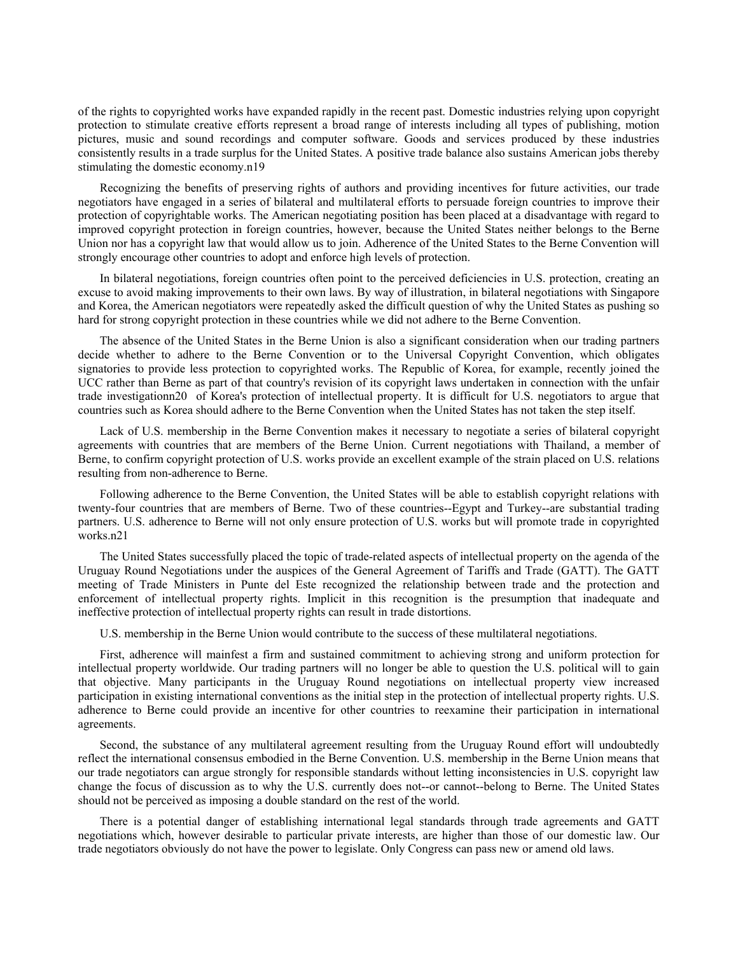of the rights to copyrighted works have expanded rapidly in the recent past. Domestic industries relying upon copyright protection to stimulate creative efforts represent a broad range of interests including all types of publishing, motion pictures, music and sound recordings and computer software. Goods and services produced by these industries consistently results in a trade surplus for the United States. A positive trade balance also sustains American jobs thereby stimulating the domestic economy.n19

Recognizing the benefits of preserving rights of authors and providing incentives for future activities, our trade negotiators have engaged in a series of bilateral and multilateral efforts to persuade foreign countries to improve their protection of copyrightable works. The American negotiating position has been placed at a disadvantage with regard to improved copyright protection in foreign countries, however, because the United States neither belongs to the Berne Union nor has a copyright law that would allow us to join. Adherence of the United States to the Berne Convention will strongly encourage other countries to adopt and enforce high levels of protection.

In bilateral negotiations, foreign countries often point to the perceived deficiencies in U.S. protection, creating an excuse to avoid making improvements to their own laws. By way of illustration, in bilateral negotiations with Singapore and Korea, the American negotiators were repeatedly asked the difficult question of why the United States as pushing so hard for strong copyright protection in these countries while we did not adhere to the Berne Convention.

The absence of the United States in the Berne Union is also a significant consideration when our trading partners decide whether to adhere to the Berne Convention or to the Universal Copyright Convention, which obligates signatories to provide less protection to copyrighted works. The Republic of Korea, for example, recently joined the UCC rather than Berne as part of that country's revision of its copyright laws undertaken in connection with the unfair trade investigationn20 of Korea's protection of intellectual property. It is difficult for U.S. negotiators to argue that countries such as Korea should adhere to the Berne Convention when the United States has not taken the step itself.

Lack of U.S. membership in the Berne Convention makes it necessary to negotiate a series of bilateral copyright agreements with countries that are members of the Berne Union. Current negotiations with Thailand, a member of Berne, to confirm copyright protection of U.S. works provide an excellent example of the strain placed on U.S. relations resulting from non-adherence to Berne.

Following adherence to the Berne Convention, the United States will be able to establish copyright relations with twenty-four countries that are members of Berne. Two of these countries--Egypt and Turkey--are substantial trading partners. U.S. adherence to Berne will not only ensure protection of U.S. works but will promote trade in copyrighted works.n21

The United States successfully placed the topic of trade-related aspects of intellectual property on the agenda of the Uruguay Round Negotiations under the auspices of the General Agreement of Tariffs and Trade (GATT). The GATT meeting of Trade Ministers in Punte del Este recognized the relationship between trade and the protection and enforcement of intellectual property rights. Implicit in this recognition is the presumption that inadequate and ineffective protection of intellectual property rights can result in trade distortions.

U.S. membership in the Berne Union would contribute to the success of these multilateral negotiations.

First, adherence will mainfest a firm and sustained commitment to achieving strong and uniform protection for intellectual property worldwide. Our trading partners will no longer be able to question the U.S. political will to gain that objective. Many participants in the Uruguay Round negotiations on intellectual property view increased participation in existing international conventions as the initial step in the protection of intellectual property rights. U.S. adherence to Berne could provide an incentive for other countries to reexamine their participation in international agreements.

Second, the substance of any multilateral agreement resulting from the Uruguay Round effort will undoubtedly reflect the international consensus embodied in the Berne Convention. U.S. membership in the Berne Union means that our trade negotiators can argue strongly for responsible standards without letting inconsistencies in U.S. copyright law change the focus of discussion as to why the U.S. currently does not--or cannot--belong to Berne. The United States should not be perceived as imposing a double standard on the rest of the world.

There is a potential danger of establishing international legal standards through trade agreements and GATT negotiations which, however desirable to particular private interests, are higher than those of our domestic law. Our trade negotiators obviously do not have the power to legislate. Only Congress can pass new or amend old laws.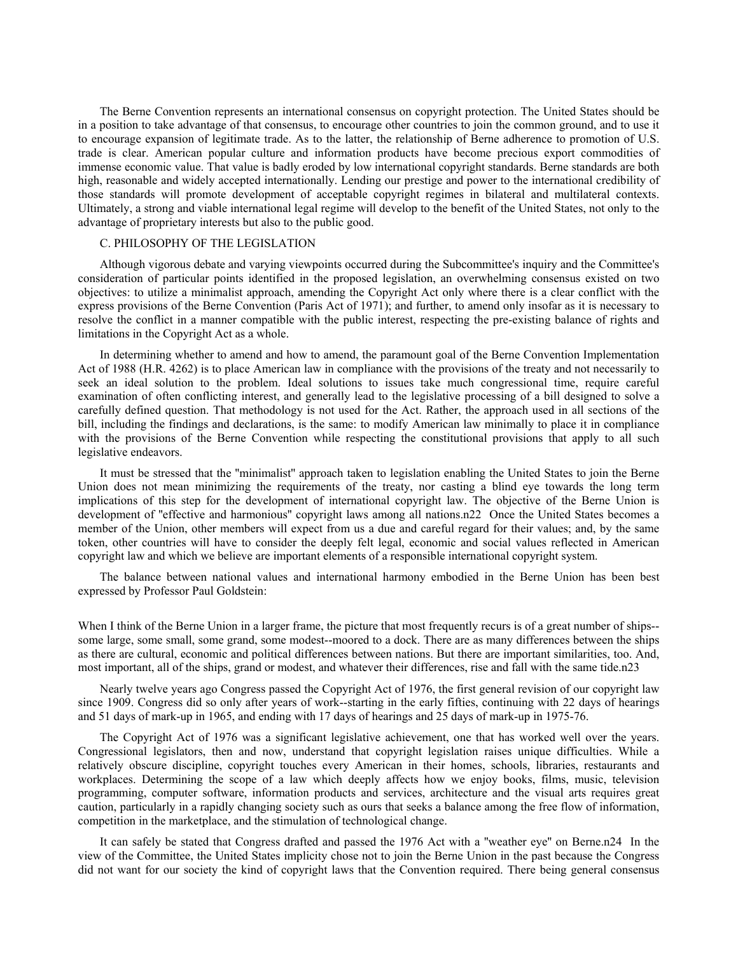The Berne Convention represents an international consensus on copyright protection. The United States should be in a position to take advantage of that consensus, to encourage other countries to join the common ground, and to use it to encourage expansion of legitimate trade. As to the latter, the relationship of Berne adherence to promotion of U.S. trade is clear. American popular culture and information products have become precious export commodities of immense economic value. That value is badly eroded by low international copyright standards. Berne standards are both high, reasonable and widely accepted internationally. Lending our prestige and power to the international credibility of those standards will promote development of acceptable copyright regimes in bilateral and multilateral contexts. Ultimately, a strong and viable international legal regime will develop to the benefit of the United States, not only to the advantage of proprietary interests but also to the public good.

## C. PHILOSOPHY OF THE LEGISLATION

Although vigorous debate and varying viewpoints occurred during the Subcommittee's inquiry and the Committee's consideration of particular points identified in the proposed legislation, an overwhelming consensus existed on two objectives: to utilize a minimalist approach, amending the Copyright Act only where there is a clear conflict with the express provisions of the Berne Convention (Paris Act of 1971); and further, to amend only insofar as it is necessary to resolve the conflict in a manner compatible with the public interest, respecting the pre-existing balance of rights and limitations in the Copyright Act as a whole.

In determining whether to amend and how to amend, the paramount goal of the Berne Convention Implementation Act of 1988 (H.R. 4262) is to place American law in compliance with the provisions of the treaty and not necessarily to seek an ideal solution to the problem. Ideal solutions to issues take much congressional time, require careful examination of often conflicting interest, and generally lead to the legislative processing of a bill designed to solve a carefully defined question. That methodology is not used for the Act. Rather, the approach used in all sections of the bill, including the findings and declarations, is the same: to modify American law minimally to place it in compliance with the provisions of the Berne Convention while respecting the constitutional provisions that apply to all such legislative endeavors.

It must be stressed that the ''minimalist'' approach taken to legislation enabling the United States to join the Berne Union does not mean minimizing the requirements of the treaty, nor casting a blind eye towards the long term implications of this step for the development of international copyright law. The objective of the Berne Union is development of "effective and harmonious" copyright laws among all nations.n22 Once the United States becomes a member of the Union, other members will expect from us a due and careful regard for their values; and, by the same token, other countries will have to consider the deeply felt legal, economic and social values reflected in American copyright law and which we believe are important elements of a responsible international copyright system.

The balance between national values and international harmony embodied in the Berne Union has been best expressed by Professor Paul Goldstein:

When I think of the Berne Union in a larger frame, the picture that most frequently recurs is of a great number of ships-some large, some small, some grand, some modest--moored to a dock. There are as many differences between the ships as there are cultural, economic and political differences between nations. But there are important similarities, too. And, most important, all of the ships, grand or modest, and whatever their differences, rise and fall with the same tide.n23

Nearly twelve years ago Congress passed the Copyright Act of 1976, the first general revision of our copyright law since 1909. Congress did so only after years of work--starting in the early fifties, continuing with 22 days of hearings and 51 days of mark-up in 1965, and ending with 17 days of hearings and 25 days of mark-up in 1975-76.

The Copyright Act of 1976 was a significant legislative achievement, one that has worked well over the years. Congressional legislators, then and now, understand that copyright legislation raises unique difficulties. While a relatively obscure discipline, copyright touches every American in their homes, schools, libraries, restaurants and workplaces. Determining the scope of a law which deeply affects how we enjoy books, films, music, television programming, computer software, information products and services, architecture and the visual arts requires great caution, particularly in a rapidly changing society such as ours that seeks a balance among the free flow of information, competition in the marketplace, and the stimulation of technological change.

It can safely be stated that Congress drafted and passed the 1976 Act with a ''weather eye'' on Berne.n24 In the view of the Committee, the United States implicity chose not to join the Berne Union in the past because the Congress did not want for our society the kind of copyright laws that the Convention required. There being general consensus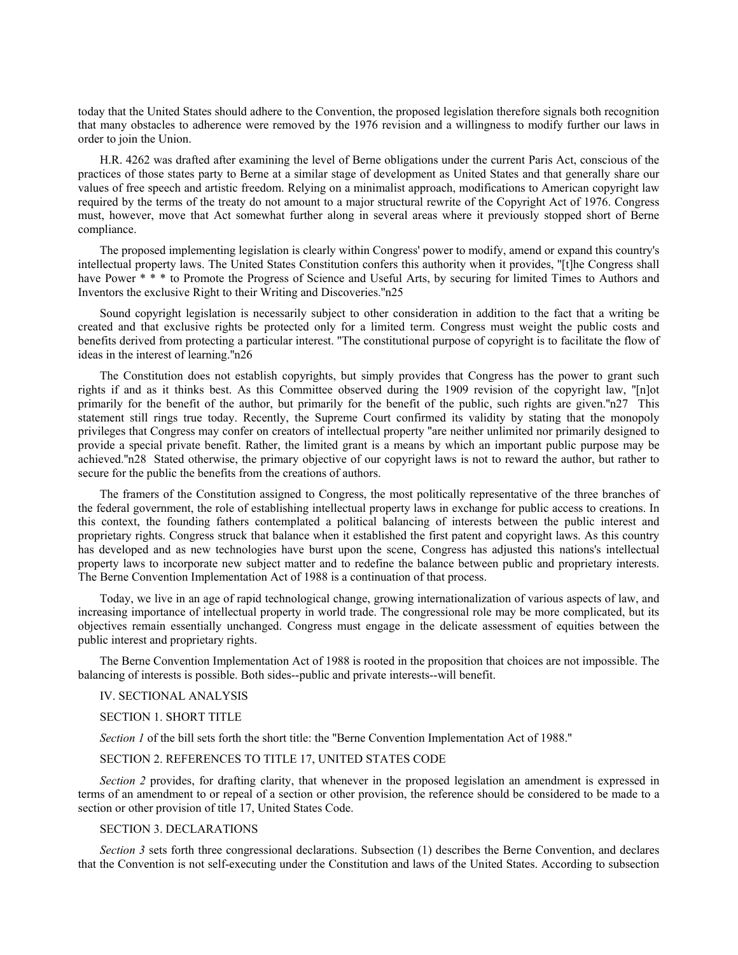today that the United States should adhere to the Convention, the proposed legislation therefore signals both recognition that many obstacles to adherence were removed by the 1976 revision and a willingness to modify further our laws in order to join the Union.

H.R. 4262 was drafted after examining the level of Berne obligations under the current Paris Act, conscious of the practices of those states party to Berne at a similar stage of development as United States and that generally share our values of free speech and artistic freedom. Relying on a minimalist approach, modifications to American copyright law required by the terms of the treaty do not amount to a major structural rewrite of the Copyright Act of 1976. Congress must, however, move that Act somewhat further along in several areas where it previously stopped short of Berne compliance.

The proposed implementing legislation is clearly within Congress' power to modify, amend or expand this country's intellectual property laws. The United States Constitution confers this authority when it provides, ''[t]he Congress shall have Power \* \* \* to Promote the Progress of Science and Useful Arts, by securing for limited Times to Authors and Inventors the exclusive Right to their Writing and Discoveries.''n25

Sound copyright legislation is necessarily subject to other consideration in addition to the fact that a writing be created and that exclusive rights be protected only for a limited term. Congress must weight the public costs and benefits derived from protecting a particular interest. ''The constitutional purpose of copyright is to facilitate the flow of ideas in the interest of learning.''n26

The Constitution does not establish copyrights, but simply provides that Congress has the power to grant such rights if and as it thinks best. As this Committee observed during the 1909 revision of the copyright law, ''[n]ot primarily for the benefit of the author, but primarily for the benefit of the public, such rights are given.''n27 This statement still rings true today. Recently, the Supreme Court confirmed its validity by stating that the monopoly privileges that Congress may confer on creators of intellectual property ''are neither unlimited nor primarily designed to provide a special private benefit. Rather, the limited grant is a means by which an important public purpose may be achieved.''n28 Stated otherwise, the primary objective of our copyright laws is not to reward the author, but rather to secure for the public the benefits from the creations of authors.

The framers of the Constitution assigned to Congress, the most politically representative of the three branches of the federal government, the role of establishing intellectual property laws in exchange for public access to creations. In this context, the founding fathers contemplated a political balancing of interests between the public interest and proprietary rights. Congress struck that balance when it established the first patent and copyright laws. As this country has developed and as new technologies have burst upon the scene, Congress has adjusted this nations's intellectual property laws to incorporate new subject matter and to redefine the balance between public and proprietary interests. The Berne Convention Implementation Act of 1988 is a continuation of that process.

Today, we live in an age of rapid technological change, growing internationalization of various aspects of law, and increasing importance of intellectual property in world trade. The congressional role may be more complicated, but its objectives remain essentially unchanged. Congress must engage in the delicate assessment of equities between the public interest and proprietary rights.

The Berne Convention Implementation Act of 1988 is rooted in the proposition that choices are not impossible. The balancing of interests is possible. Both sides--public and private interests--will benefit.

# IV. SECTIONAL ANALYSIS

# SECTION 1. SHORT TITLE

*Section 1* of the bill sets forth the short title: the ''Berne Convention Implementation Act of 1988.''

# SECTION 2. REFERENCES TO TITLE 17, UNITED STATES CODE

*Section 2* provides, for drafting clarity, that whenever in the proposed legislation an amendment is expressed in terms of an amendment to or repeal of a section or other provision, the reference should be considered to be made to a section or other provision of title 17, United States Code.

### SECTION 3. DECLARATIONS

*Section 3* sets forth three congressional declarations. Subsection (1) describes the Berne Convention, and declares that the Convention is not self-executing under the Constitution and laws of the United States. According to subsection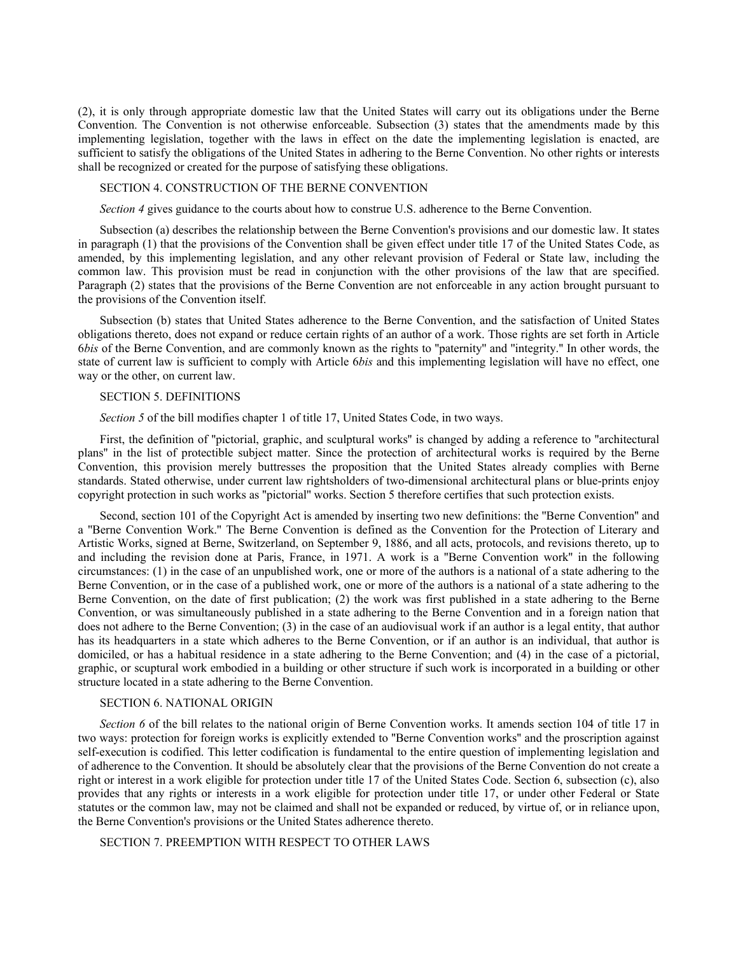(2), it is only through appropriate domestic law that the United States will carry out its obligations under the Berne Convention. The Convention is not otherwise enforceable. Subsection (3) states that the amendments made by this implementing legislation, together with the laws in effect on the date the implementing legislation is enacted, are sufficient to satisfy the obligations of the United States in adhering to the Berne Convention. No other rights or interests shall be recognized or created for the purpose of satisfying these obligations.

#### SECTION 4. CONSTRUCTION OF THE BERNE CONVENTION

*Section 4* gives guidance to the courts about how to construe U.S. adherence to the Berne Convention.

Subsection (a) describes the relationship between the Berne Convention's provisions and our domestic law. It states in paragraph (1) that the provisions of the Convention shall be given effect under title 17 of the United States Code, as amended, by this implementing legislation, and any other relevant provision of Federal or State law, including the common law. This provision must be read in conjunction with the other provisions of the law that are specified. Paragraph (2) states that the provisions of the Berne Convention are not enforceable in any action brought pursuant to the provisions of the Convention itself.

Subsection (b) states that United States adherence to the Berne Convention, and the satisfaction of United States obligations thereto, does not expand or reduce certain rights of an author of a work. Those rights are set forth in Article 6*bis* of the Berne Convention, and are commonly known as the rights to ''paternity'' and ''integrity.'' In other words, the state of current law is sufficient to comply with Article 6*bis* and this implementing legislation will have no effect, one way or the other, on current law.

#### SECTION 5. DEFINITIONS

*Section 5* of the bill modifies chapter 1 of title 17, United States Code, in two ways.

First, the definition of ''pictorial, graphic, and sculptural works'' is changed by adding a reference to ''architectural plans'' in the list of protectible subject matter. Since the protection of architectural works is required by the Berne Convention, this provision merely buttresses the proposition that the United States already complies with Berne standards. Stated otherwise, under current law rightsholders of two-dimensional architectural plans or blue-prints enjoy copyright protection in such works as ''pictorial'' works. Section 5 therefore certifies that such protection exists.

Second, section 101 of the Copyright Act is amended by inserting two new definitions: the ''Berne Convention'' and a ''Berne Convention Work.'' The Berne Convention is defined as the Convention for the Protection of Literary and Artistic Works, signed at Berne, Switzerland, on September 9, 1886, and all acts, protocols, and revisions thereto, up to and including the revision done at Paris, France, in 1971. A work is a ''Berne Convention work'' in the following circumstances: (1) in the case of an unpublished work, one or more of the authors is a national of a state adhering to the Berne Convention, or in the case of a published work, one or more of the authors is a national of a state adhering to the Berne Convention, on the date of first publication; (2) the work was first published in a state adhering to the Berne Convention, or was simultaneously published in a state adhering to the Berne Convention and in a foreign nation that does not adhere to the Berne Convention; (3) in the case of an audiovisual work if an author is a legal entity, that author has its headquarters in a state which adheres to the Berne Convention, or if an author is an individual, that author is domiciled, or has a habitual residence in a state adhering to the Berne Convention; and (4) in the case of a pictorial, graphic, or scuptural work embodied in a building or other structure if such work is incorporated in a building or other structure located in a state adhering to the Berne Convention.

# SECTION 6. NATIONAL ORIGIN

*Section 6* of the bill relates to the national origin of Berne Convention works. It amends section 104 of title 17 in two ways: protection for foreign works is explicitly extended to ''Berne Convention works'' and the proscription against self-execution is codified. This letter codification is fundamental to the entire question of implementing legislation and of adherence to the Convention. It should be absolutely clear that the provisions of the Berne Convention do not create a right or interest in a work eligible for protection under title 17 of the United States Code. Section 6, subsection (c), also provides that any rights or interests in a work eligible for protection under title 17, or under other Federal or State statutes or the common law, may not be claimed and shall not be expanded or reduced, by virtue of, or in reliance upon, the Berne Convention's provisions or the United States adherence thereto.

SECTION 7. PREEMPTION WITH RESPECT TO OTHER LAWS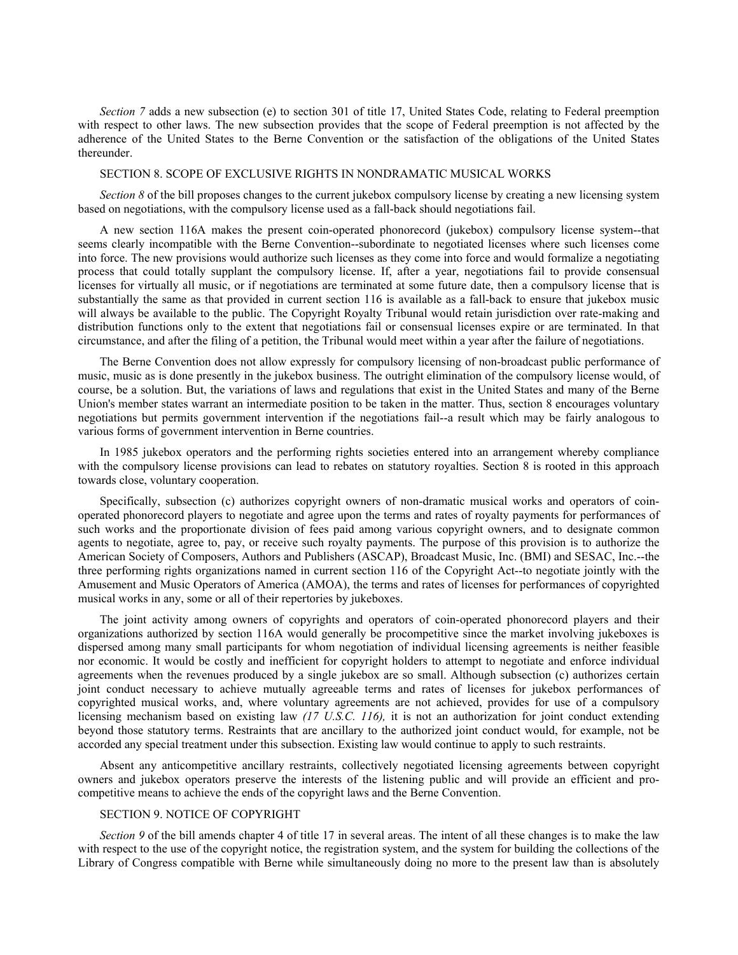*Section 7* adds a new subsection (e) to section 301 of title 17, United States Code, relating to Federal preemption with respect to other laws. The new subsection provides that the scope of Federal preemption is not affected by the adherence of the United States to the Berne Convention or the satisfaction of the obligations of the United States thereunder.

#### SECTION 8. SCOPE OF EXCLUSIVE RIGHTS IN NONDRAMATIC MUSICAL WORKS

*Section 8* of the bill proposes changes to the current jukebox compulsory license by creating a new licensing system based on negotiations, with the compulsory license used as a fall-back should negotiations fail.

A new section 116A makes the present coin-operated phonorecord (jukebox) compulsory license system--that seems clearly incompatible with the Berne Convention--subordinate to negotiated licenses where such licenses come into force. The new provisions would authorize such licenses as they come into force and would formalize a negotiating process that could totally supplant the compulsory license. If, after a year, negotiations fail to provide consensual licenses for virtually all music, or if negotiations are terminated at some future date, then a compulsory license that is substantially the same as that provided in current section 116 is available as a fall-back to ensure that jukebox music will always be available to the public. The Copyright Royalty Tribunal would retain jurisdiction over rate-making and distribution functions only to the extent that negotiations fail or consensual licenses expire or are terminated. In that circumstance, and after the filing of a petition, the Tribunal would meet within a year after the failure of negotiations.

The Berne Convention does not allow expressly for compulsory licensing of non-broadcast public performance of music, music as is done presently in the jukebox business. The outright elimination of the compulsory license would, of course, be a solution. But, the variations of laws and regulations that exist in the United States and many of the Berne Union's member states warrant an intermediate position to be taken in the matter. Thus, section 8 encourages voluntary negotiations but permits government intervention if the negotiations fail--a result which may be fairly analogous to various forms of government intervention in Berne countries.

In 1985 jukebox operators and the performing rights societies entered into an arrangement whereby compliance with the compulsory license provisions can lead to rebates on statutory royalties. Section 8 is rooted in this approach towards close, voluntary cooperation.

Specifically, subsection (c) authorizes copyright owners of non-dramatic musical works and operators of coinoperated phonorecord players to negotiate and agree upon the terms and rates of royalty payments for performances of such works and the proportionate division of fees paid among various copyright owners, and to designate common agents to negotiate, agree to, pay, or receive such royalty payments. The purpose of this provision is to authorize the American Society of Composers, Authors and Publishers (ASCAP), Broadcast Music, Inc. (BMI) and SESAC, Inc.--the three performing rights organizations named in current section 116 of the Copyright Act--to negotiate jointly with the Amusement and Music Operators of America (AMOA), the terms and rates of licenses for performances of copyrighted musical works in any, some or all of their repertories by jukeboxes.

The joint activity among owners of copyrights and operators of coin-operated phonorecord players and their organizations authorized by section 116A would generally be procompetitive since the market involving jukeboxes is dispersed among many small participants for whom negotiation of individual licensing agreements is neither feasible nor economic. It would be costly and inefficient for copyright holders to attempt to negotiate and enforce individual agreements when the revenues produced by a single jukebox are so small. Although subsection (c) authorizes certain joint conduct necessary to achieve mutually agreeable terms and rates of licenses for jukebox performances of copyrighted musical works, and, where voluntary agreements are not achieved, provides for use of a compulsory licensing mechanism based on existing law *(17 U.S.C. 116),* it is not an authorization for joint conduct extending beyond those statutory terms. Restraints that are ancillary to the authorized joint conduct would, for example, not be accorded any special treatment under this subsection. Existing law would continue to apply to such restraints.

Absent any anticompetitive ancillary restraints, collectively negotiated licensing agreements between copyright owners and jukebox operators preserve the interests of the listening public and will provide an efficient and procompetitive means to achieve the ends of the copyright laws and the Berne Convention.

#### SECTION 9. NOTICE OF COPYRIGHT

*Section 9* of the bill amends chapter 4 of title 17 in several areas. The intent of all these changes is to make the law with respect to the use of the copyright notice, the registration system, and the system for building the collections of the Library of Congress compatible with Berne while simultaneously doing no more to the present law than is absolutely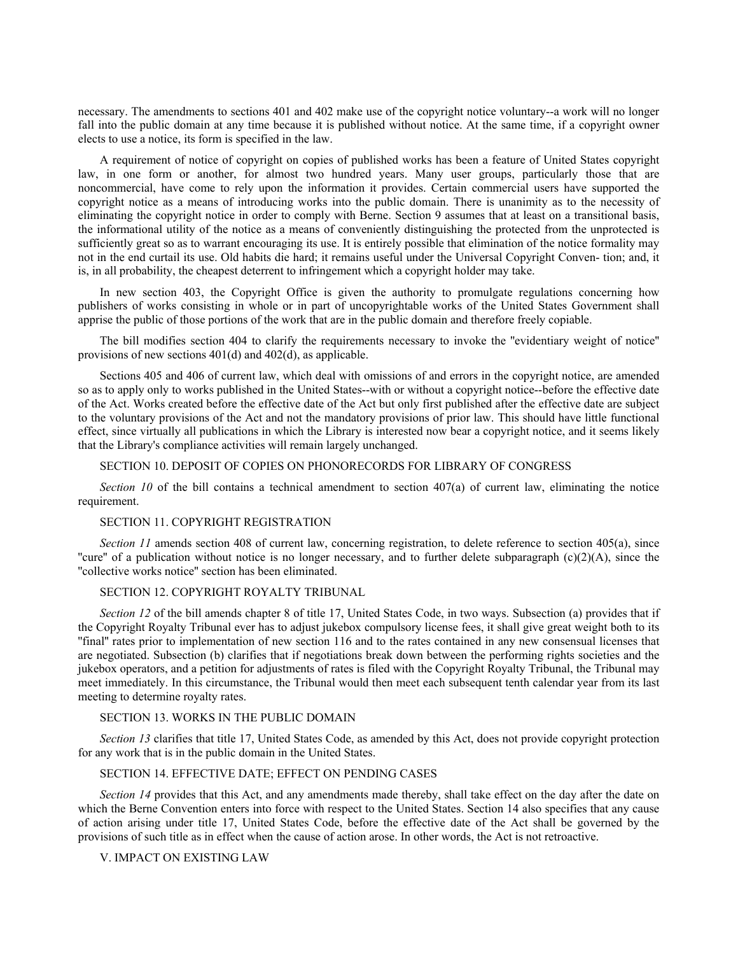necessary. The amendments to sections 401 and 402 make use of the copyright notice voluntary--a work will no longer fall into the public domain at any time because it is published without notice. At the same time, if a copyright owner elects to use a notice, its form is specified in the law.

A requirement of notice of copyright on copies of published works has been a feature of United States copyright law, in one form or another, for almost two hundred years. Many user groups, particularly those that are noncommercial, have come to rely upon the information it provides. Certain commercial users have supported the copyright notice as a means of introducing works into the public domain. There is unanimity as to the necessity of eliminating the copyright notice in order to comply with Berne. Section 9 assumes that at least on a transitional basis, the informational utility of the notice as a means of conveniently distinguishing the protected from the unprotected is sufficiently great so as to warrant encouraging its use. It is entirely possible that elimination of the notice formality may not in the end curtail its use. Old habits die hard; it remains useful under the Universal Copyright Conven- tion; and, it is, in all probability, the cheapest deterrent to infringement which a copyright holder may take.

In new section 403, the Copyright Office is given the authority to promulgate regulations concerning how publishers of works consisting in whole or in part of uncopyrightable works of the United States Government shall apprise the public of those portions of the work that are in the public domain and therefore freely copiable.

The bill modifies section 404 to clarify the requirements necessary to invoke the ''evidentiary weight of notice'' provisions of new sections 401(d) and 402(d), as applicable.

Sections 405 and 406 of current law, which deal with omissions of and errors in the copyright notice, are amended so as to apply only to works published in the United States--with or without a copyright notice--before the effective date of the Act. Works created before the effective date of the Act but only first published after the effective date are subject to the voluntary provisions of the Act and not the mandatory provisions of prior law. This should have little functional effect, since virtually all publications in which the Library is interested now bear a copyright notice, and it seems likely that the Library's compliance activities will remain largely unchanged.

#### SECTION 10. DEPOSIT OF COPIES ON PHONORECORDS FOR LIBRARY OF CONGRESS

*Section 10* of the bill contains a technical amendment to section 407(a) of current law, eliminating the notice requirement.

#### SECTION 11. COPYRIGHT REGISTRATION

*Section 11* amends section 408 of current law, concerning registration, to delete reference to section 405(a), since "cure" of a publication without notice is no longer necessary, and to further delete subparagraph  $(c)(2)(A)$ , since the ''collective works notice'' section has been eliminated.

## SECTION 12. COPYRIGHT ROYALTY TRIBUNAL

*Section 12* of the bill amends chapter 8 of title 17, United States Code, in two ways. Subsection (a) provides that if the Copyright Royalty Tribunal ever has to adjust jukebox compulsory license fees, it shall give great weight both to its ''final'' rates prior to implementation of new section 116 and to the rates contained in any new consensual licenses that are negotiated. Subsection (b) clarifies that if negotiations break down between the performing rights societies and the jukebox operators, and a petition for adjustments of rates is filed with the Copyright Royalty Tribunal, the Tribunal may meet immediately. In this circumstance, the Tribunal would then meet each subsequent tenth calendar year from its last meeting to determine royalty rates.

# SECTION 13. WORKS IN THE PUBLIC DOMAIN

*Section 13* clarifies that title 17, United States Code, as amended by this Act, does not provide copyright protection for any work that is in the public domain in the United States.

## SECTION 14. EFFECTIVE DATE; EFFECT ON PENDING CASES

*Section 14* provides that this Act, and any amendments made thereby, shall take effect on the day after the date on which the Berne Convention enters into force with respect to the United States. Section 14 also specifies that any cause of action arising under title 17, United States Code, before the effective date of the Act shall be governed by the provisions of such title as in effect when the cause of action arose. In other words, the Act is not retroactive.

V. IMPACT ON EXISTING LAW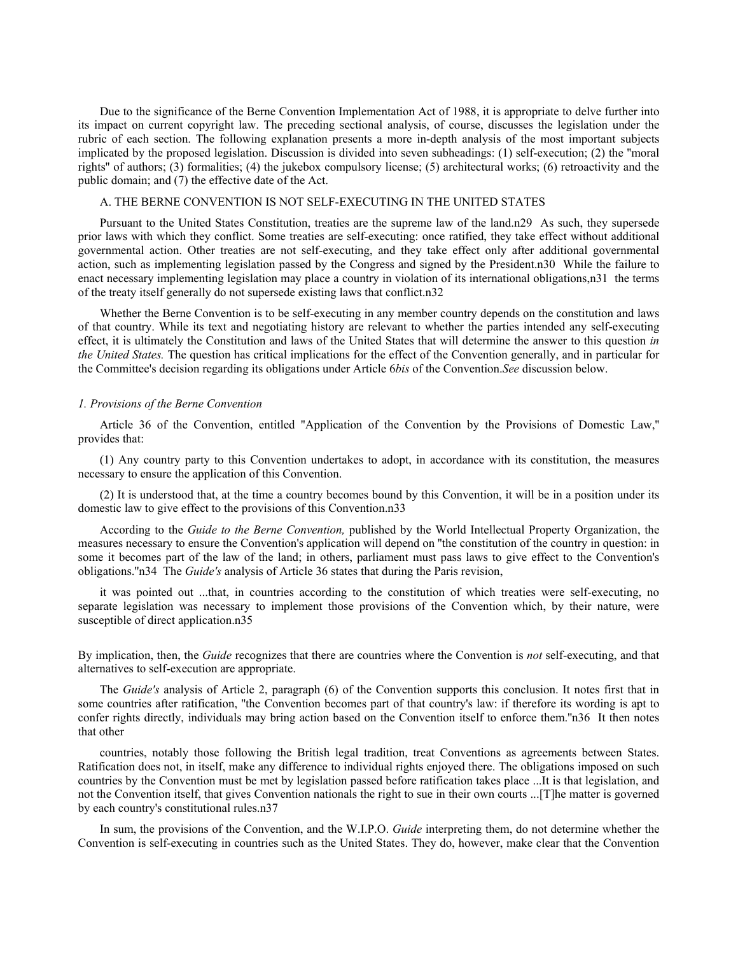Due to the significance of the Berne Convention Implementation Act of 1988, it is appropriate to delve further into its impact on current copyright law. The preceding sectional analysis, of course, discusses the legislation under the rubric of each section. The following explanation presents a more in-depth analysis of the most important subjects implicated by the proposed legislation. Discussion is divided into seven subheadings: (1) self-execution; (2) the ''moral rights'' of authors; (3) formalities; (4) the jukebox compulsory license; (5) architectural works; (6) retroactivity and the public domain; and (7) the effective date of the Act.

### A. THE BERNE CONVENTION IS NOT SELF-EXECUTING IN THE UNITED STATES

Pursuant to the United States Constitution, treaties are the supreme law of the land.n29 As such, they supersede prior laws with which they conflict. Some treaties are self-executing: once ratified, they take effect without additional governmental action. Other treaties are not self-executing, and they take effect only after additional governmental action, such as implementing legislation passed by the Congress and signed by the President.n30 While the failure to enact necessary implementing legislation may place a country in violation of its international obligations,n31 the terms of the treaty itself generally do not supersede existing laws that conflict.n32

Whether the Berne Convention is to be self-executing in any member country depends on the constitution and laws of that country. While its text and negotiating history are relevant to whether the parties intended any self-executing effect, it is ultimately the Constitution and laws of the United States that will determine the answer to this question *in the United States.* The question has critical implications for the effect of the Convention generally, and in particular for the Committee's decision regarding its obligations under Article 6*bis* of the Convention.*See* discussion below.

#### *1. Provisions of the Berne Convention*

Article 36 of the Convention, entitled ''Application of the Convention by the Provisions of Domestic Law,'' provides that:

(1) Any country party to this Convention undertakes to adopt, in accordance with its constitution, the measures necessary to ensure the application of this Convention.

(2) It is understood that, at the time a country becomes bound by this Convention, it will be in a position under its domestic law to give effect to the provisions of this Convention.n33

According to the *Guide to the Berne Convention,* published by the World Intellectual Property Organization, the measures necessary to ensure the Convention's application will depend on ''the constitution of the country in question: in some it becomes part of the law of the land; in others, parliament must pass laws to give effect to the Convention's obligations.''n34 The *Guide's* analysis of Article 36 states that during the Paris revision,

it was pointed out ...that, in countries according to the constitution of which treaties were self-executing, no separate legislation was necessary to implement those provisions of the Convention which, by their nature, were susceptible of direct application.n35

By implication, then, the *Guide* recognizes that there are countries where the Convention is *not* self-executing, and that alternatives to self-execution are appropriate.

The *Guide's* analysis of Article 2, paragraph (6) of the Convention supports this conclusion. It notes first that in some countries after ratification, ''the Convention becomes part of that country's law: if therefore its wording is apt to confer rights directly, individuals may bring action based on the Convention itself to enforce them.''n36 It then notes that other

countries, notably those following the British legal tradition, treat Conventions as agreements between States. Ratification does not, in itself, make any difference to individual rights enjoyed there. The obligations imposed on such countries by the Convention must be met by legislation passed before ratification takes place ...It is that legislation, and not the Convention itself, that gives Convention nationals the right to sue in their own courts ...[T]he matter is governed by each country's constitutional rules.n37

In sum, the provisions of the Convention, and the W.I.P.O. *Guide* interpreting them, do not determine whether the Convention is self-executing in countries such as the United States. They do, however, make clear that the Convention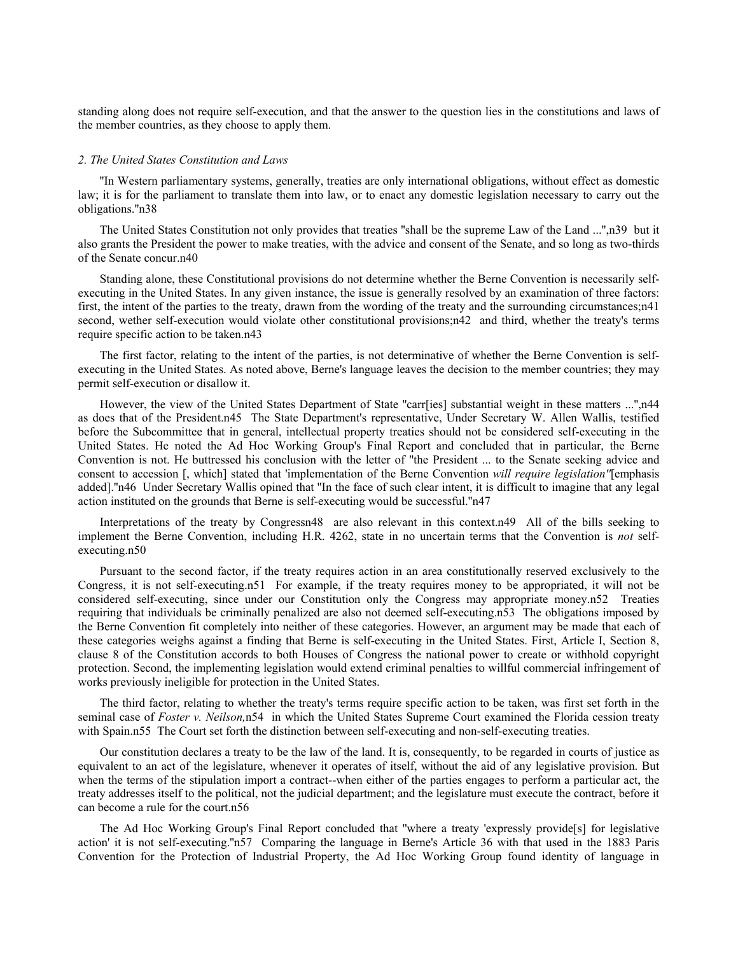standing along does not require self-execution, and that the answer to the question lies in the constitutions and laws of the member countries, as they choose to apply them.

#### *2. The United States Constitution and Laws*

''In Western parliamentary systems, generally, treaties are only international obligations, without effect as domestic law; it is for the parliament to translate them into law, or to enact any domestic legislation necessary to carry out the obligations.''n38

The United States Constitution not only provides that treaties ''shall be the supreme Law of the Land ...'',n39 but it also grants the President the power to make treaties, with the advice and consent of the Senate, and so long as two-thirds of the Senate concur.n40

Standing alone, these Constitutional provisions do not determine whether the Berne Convention is necessarily selfexecuting in the United States. In any given instance, the issue is generally resolved by an examination of three factors: first, the intent of the parties to the treaty, drawn from the wording of the treaty and the surrounding circumstances;n41 second, wether self-execution would violate other constitutional provisions;n42 and third, whether the treaty's terms require specific action to be taken.n43

The first factor, relating to the intent of the parties, is not determinative of whether the Berne Convention is selfexecuting in the United States. As noted above, Berne's language leaves the decision to the member countries; they may permit self-execution or disallow it.

However, the view of the United States Department of State ''carr[ies] substantial weight in these matters ...'',n44 as does that of the President.n45 The State Department's representative, Under Secretary W. Allen Wallis, testified before the Subcommittee that in general, intellectual property treaties should not be considered self-executing in the United States. He noted the Ad Hoc Working Group's Final Report and concluded that in particular, the Berne Convention is not. He buttressed his conclusion with the letter of ''the President ... to the Senate seeking advice and consent to accession [, which] stated that 'implementation of the Berne Convention *will require legislation''*[emphasis added].''n46 Under Secretary Wallis opined that ''In the face of such clear intent, it is difficult to imagine that any legal action instituted on the grounds that Berne is self-executing would be successful.''n47

Interpretations of the treaty by Congressn48 are also relevant in this context.n49 All of the bills seeking to implement the Berne Convention, including H.R. 4262, state in no uncertain terms that the Convention is *not* selfexecuting.n50

Pursuant to the second factor, if the treaty requires action in an area constitutionally reserved exclusively to the Congress, it is not self-executing.n51 For example, if the treaty requires money to be appropriated, it will not be considered self-executing, since under our Constitution only the Congress may appropriate money.n52 Treaties requiring that individuals be criminally penalized are also not deemed self-executing.n53 The obligations imposed by the Berne Convention fit completely into neither of these categories. However, an argument may be made that each of these categories weighs against a finding that Berne is self-executing in the United States. First, Article I, Section 8, clause 8 of the Constitution accords to both Houses of Congress the national power to create or withhold copyright protection. Second, the implementing legislation would extend criminal penalties to willful commercial infringement of works previously ineligible for protection in the United States.

The third factor, relating to whether the treaty's terms require specific action to be taken, was first set forth in the seminal case of *Foster v. Neilson,*n54 in which the United States Supreme Court examined the Florida cession treaty with Spain.n55 The Court set forth the distinction between self-executing and non-self-executing treaties.

Our constitution declares a treaty to be the law of the land. It is, consequently, to be regarded in courts of justice as equivalent to an act of the legislature, whenever it operates of itself, without the aid of any legislative provision. But when the terms of the stipulation import a contract--when either of the parties engages to perform a particular act, the treaty addresses itself to the political, not the judicial department; and the legislature must execute the contract, before it can become a rule for the court.n56

The Ad Hoc Working Group's Final Report concluded that ''where a treaty 'expressly provide[s] for legislative action' it is not self-executing.''n57 Comparing the language in Berne's Article 36 with that used in the 1883 Paris Convention for the Protection of Industrial Property, the Ad Hoc Working Group found identity of language in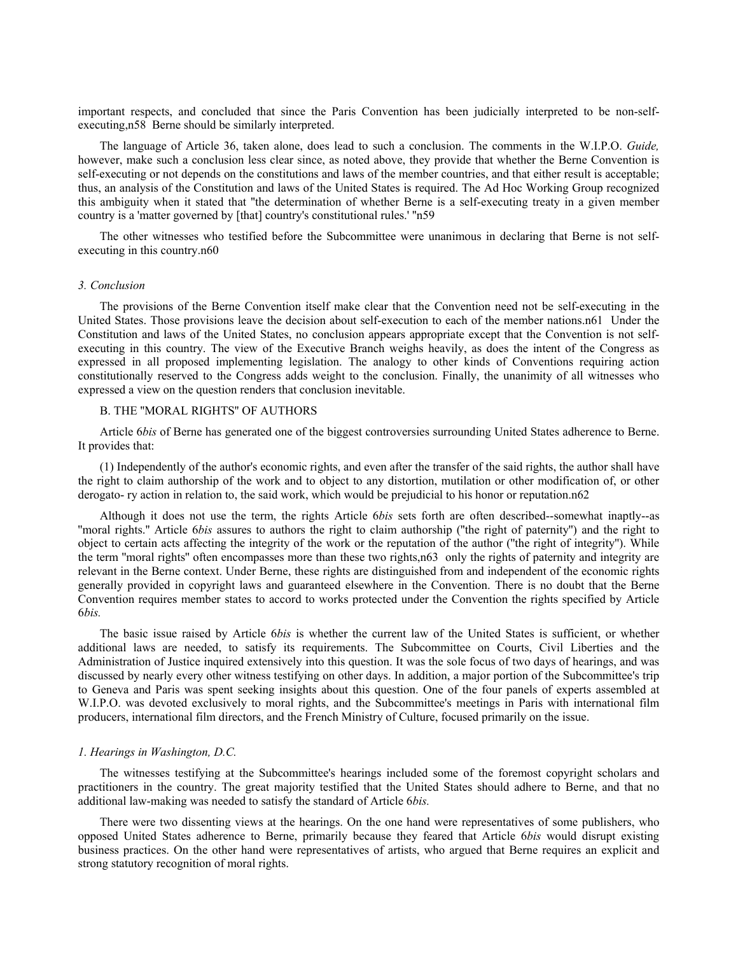important respects, and concluded that since the Paris Convention has been judicially interpreted to be non-selfexecuting,n58 Berne should be similarly interpreted.

The language of Article 36, taken alone, does lead to such a conclusion. The comments in the W.I.P.O. *Guide,* however, make such a conclusion less clear since, as noted above, they provide that whether the Berne Convention is self-executing or not depends on the constitutions and laws of the member countries, and that either result is acceptable; thus, an analysis of the Constitution and laws of the United States is required. The Ad Hoc Working Group recognized this ambiguity when it stated that ''the determination of whether Berne is a self-executing treaty in a given member country is a 'matter governed by [that] country's constitutional rules.' ''n59

The other witnesses who testified before the Subcommittee were unanimous in declaring that Berne is not selfexecuting in this country.n60

## *3. Conclusion*

The provisions of the Berne Convention itself make clear that the Convention need not be self-executing in the United States. Those provisions leave the decision about self-execution to each of the member nations.n61 Under the Constitution and laws of the United States, no conclusion appears appropriate except that the Convention is not selfexecuting in this country. The view of the Executive Branch weighs heavily, as does the intent of the Congress as expressed in all proposed implementing legislation. The analogy to other kinds of Conventions requiring action constitutionally reserved to the Congress adds weight to the conclusion. Finally, the unanimity of all witnesses who expressed a view on the question renders that conclusion inevitable.

### B. THE ''MORAL RIGHTS'' OF AUTHORS

Article 6*bis* of Berne has generated one of the biggest controversies surrounding United States adherence to Berne. It provides that:

(1) Independently of the author's economic rights, and even after the transfer of the said rights, the author shall have the right to claim authorship of the work and to object to any distortion, mutilation or other modification of, or other derogato- ry action in relation to, the said work, which would be prejudicial to his honor or reputation.n62

Although it does not use the term, the rights Article 6*bis* sets forth are often described--somewhat inaptly--as ''moral rights.'' Article 6*bis* assures to authors the right to claim authorship (''the right of paternity'') and the right to object to certain acts affecting the integrity of the work or the reputation of the author (''the right of integrity''). While the term ''moral rights'' often encompasses more than these two rights,n63 only the rights of paternity and integrity are relevant in the Berne context. Under Berne, these rights are distinguished from and independent of the economic rights generally provided in copyright laws and guaranteed elsewhere in the Convention. There is no doubt that the Berne Convention requires member states to accord to works protected under the Convention the rights specified by Article 6*bis.*

The basic issue raised by Article 6*bis* is whether the current law of the United States is sufficient, or whether additional laws are needed, to satisfy its requirements. The Subcommittee on Courts, Civil Liberties and the Administration of Justice inquired extensively into this question. It was the sole focus of two days of hearings, and was discussed by nearly every other witness testifying on other days. In addition, a major portion of the Subcommittee's trip to Geneva and Paris was spent seeking insights about this question. One of the four panels of experts assembled at W.I.P.O. was devoted exclusively to moral rights, and the Subcommittee's meetings in Paris with international film producers, international film directors, and the French Ministry of Culture, focused primarily on the issue.

#### *1. Hearings in Washington, D.C.*

The witnesses testifying at the Subcommittee's hearings included some of the foremost copyright scholars and practitioners in the country. The great majority testified that the United States should adhere to Berne, and that no additional law-making was needed to satisfy the standard of Article 6*bis.*

There were two dissenting views at the hearings. On the one hand were representatives of some publishers, who opposed United States adherence to Berne, primarily because they feared that Article 6*bis* would disrupt existing business practices. On the other hand were representatives of artists, who argued that Berne requires an explicit and strong statutory recognition of moral rights.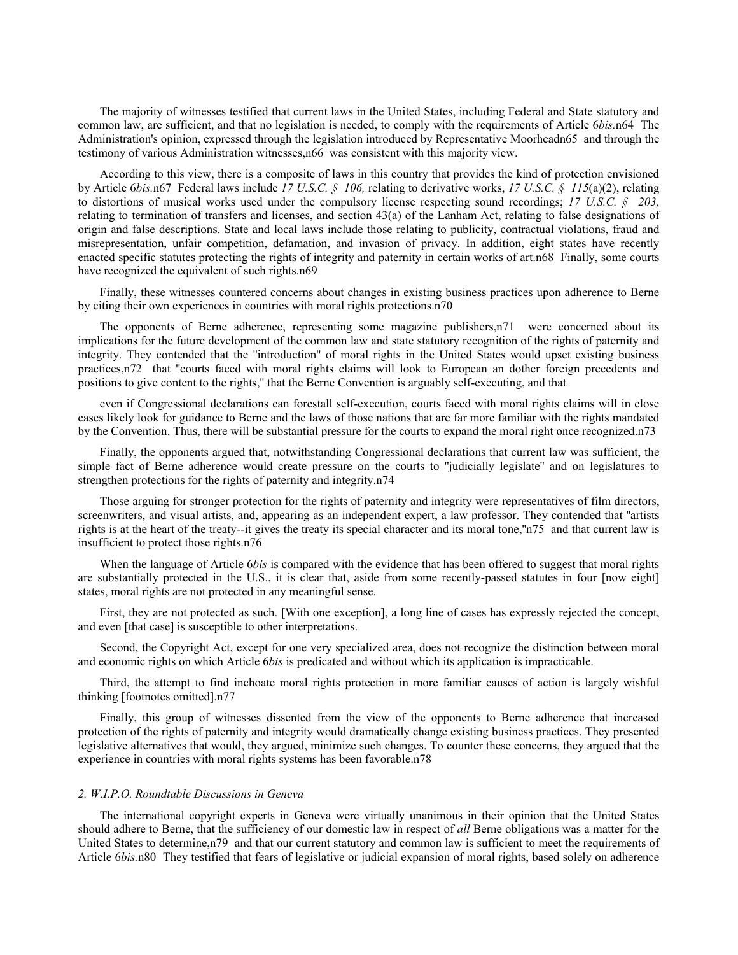The majority of witnesses testified that current laws in the United States, including Federal and State statutory and common law, are sufficient, and that no legislation is needed, to comply with the requirements of Article 6*bis.*n64 The Administration's opinion, expressed through the legislation introduced by Representative Moorheadn65 and through the testimony of various Administration witnesses,n66 was consistent with this majority view.

According to this view, there is a composite of laws in this country that provides the kind of protection envisioned by Article 6*bis.*n67 Federal laws include *17 U.S.C. § 106,* relating to derivative works, *17 U.S.C. § 115*(a)(2), relating to distortions of musical works used under the compulsory license respecting sound recordings; *17 U.S.C. § 203,* relating to termination of transfers and licenses, and section 43(a) of the Lanham Act, relating to false designations of origin and false descriptions. State and local laws include those relating to publicity, contractual violations, fraud and misrepresentation, unfair competition, defamation, and invasion of privacy. In addition, eight states have recently enacted specific statutes protecting the rights of integrity and paternity in certain works of art.n68 Finally, some courts have recognized the equivalent of such rights.n69

Finally, these witnesses countered concerns about changes in existing business practices upon adherence to Berne by citing their own experiences in countries with moral rights protections.n70

The opponents of Berne adherence, representing some magazine publishers,n71 were concerned about its implications for the future development of the common law and state statutory recognition of the rights of paternity and integrity. They contended that the ''introduction'' of moral rights in the United States would upset existing business practices,n72 that ''courts faced with moral rights claims will look to European an dother foreign precedents and positions to give content to the rights,'' that the Berne Convention is arguably self-executing, and that

even if Congressional declarations can forestall self-execution, courts faced with moral rights claims will in close cases likely look for guidance to Berne and the laws of those nations that are far more familiar with the rights mandated by the Convention. Thus, there will be substantial pressure for the courts to expand the moral right once recognized.n73

Finally, the opponents argued that, notwithstanding Congressional declarations that current law was sufficient, the simple fact of Berne adherence would create pressure on the courts to ''judicially legislate'' and on legislatures to strengthen protections for the rights of paternity and integrity.n74

Those arguing for stronger protection for the rights of paternity and integrity were representatives of film directors, screenwriters, and visual artists, and, appearing as an independent expert, a law professor. They contended that ''artists rights is at the heart of the treaty--it gives the treaty its special character and its moral tone,''n75 and that current law is insufficient to protect those rights.n76

When the language of Article 6*bis* is compared with the evidence that has been offered to suggest that moral rights are substantially protected in the U.S., it is clear that, aside from some recently-passed statutes in four [now eight] states, moral rights are not protected in any meaningful sense.

First, they are not protected as such. [With one exception], a long line of cases has expressly rejected the concept, and even [that case] is susceptible to other interpretations.

Second, the Copyright Act, except for one very specialized area, does not recognize the distinction between moral and economic rights on which Article 6*bis* is predicated and without which its application is impracticable.

Third, the attempt to find inchoate moral rights protection in more familiar causes of action is largely wishful thinking [footnotes omitted].n77

Finally, this group of witnesses dissented from the view of the opponents to Berne adherence that increased protection of the rights of paternity and integrity would dramatically change existing business practices. They presented legislative alternatives that would, they argued, minimize such changes. To counter these concerns, they argued that the experience in countries with moral rights systems has been favorable.n78

# *2. W.I.P.O. Roundtable Discussions in Geneva*

The international copyright experts in Geneva were virtually unanimous in their opinion that the United States should adhere to Berne, that the sufficiency of our domestic law in respect of *all* Berne obligations was a matter for the United States to determine,n79 and that our current statutory and common law is sufficient to meet the requirements of Article 6*bis.*n80 They testified that fears of legislative or judicial expansion of moral rights, based solely on adherence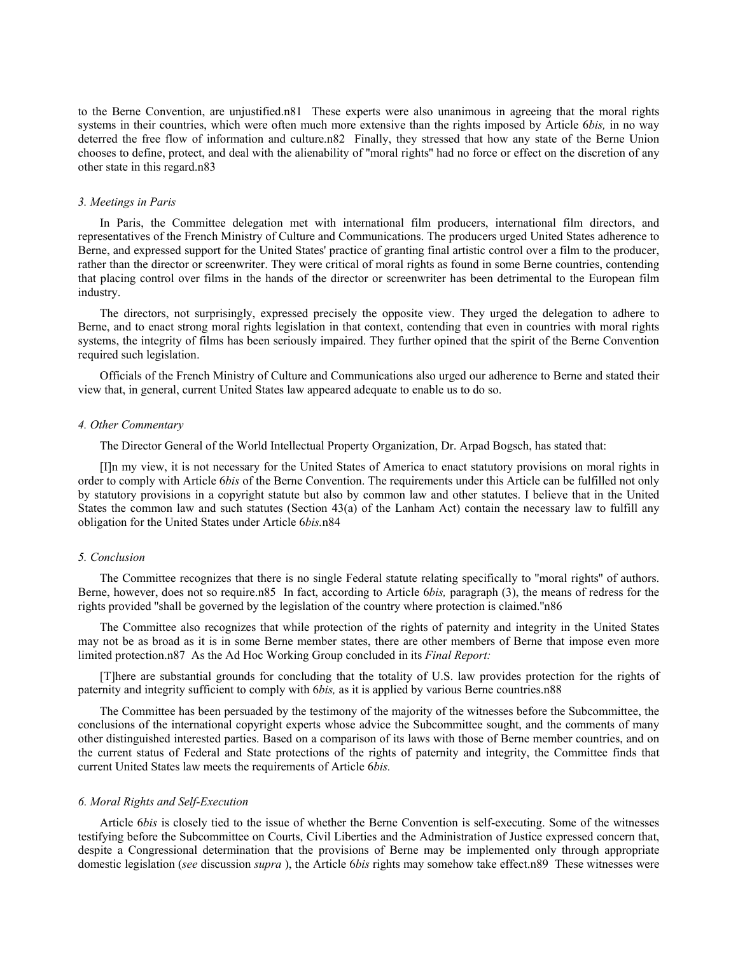to the Berne Convention, are unjustified.n81 These experts were also unanimous in agreeing that the moral rights systems in their countries, which were often much more extensive than the rights imposed by Article 6*bis,* in no way deterred the free flow of information and culture.n82 Finally, they stressed that how any state of the Berne Union chooses to define, protect, and deal with the alienability of ''moral rights'' had no force or effect on the discretion of any other state in this regard.n83

#### *3. Meetings in Paris*

In Paris, the Committee delegation met with international film producers, international film directors, and representatives of the French Ministry of Culture and Communications. The producers urged United States adherence to Berne, and expressed support for the United States' practice of granting final artistic control over a film to the producer, rather than the director or screenwriter. They were critical of moral rights as found in some Berne countries, contending that placing control over films in the hands of the director or screenwriter has been detrimental to the European film industry.

The directors, not surprisingly, expressed precisely the opposite view. They urged the delegation to adhere to Berne, and to enact strong moral rights legislation in that context, contending that even in countries with moral rights systems, the integrity of films has been seriously impaired. They further opined that the spirit of the Berne Convention required such legislation.

Officials of the French Ministry of Culture and Communications also urged our adherence to Berne and stated their view that, in general, current United States law appeared adequate to enable us to do so.

### *4. Other Commentary*

The Director General of the World Intellectual Property Organization, Dr. Arpad Bogsch, has stated that:

[I]n my view, it is not necessary for the United States of America to enact statutory provisions on moral rights in order to comply with Article 6*bis* of the Berne Convention. The requirements under this Article can be fulfilled not only by statutory provisions in a copyright statute but also by common law and other statutes. I believe that in the United States the common law and such statutes (Section 43(a) of the Lanham Act) contain the necessary law to fulfill any obligation for the United States under Article 6*bis.*n84

### *5. Conclusion*

The Committee recognizes that there is no single Federal statute relating specifically to ''moral rights'' of authors. Berne, however, does not so require.n85 In fact, according to Article 6*bis,* paragraph (3), the means of redress for the rights provided ''shall be governed by the legislation of the country where protection is claimed.''n86

The Committee also recognizes that while protection of the rights of paternity and integrity in the United States may not be as broad as it is in some Berne member states, there are other members of Berne that impose even more limited protection.n87 As the Ad Hoc Working Group concluded in its *Final Report:*

[T]here are substantial grounds for concluding that the totality of U.S. law provides protection for the rights of paternity and integrity sufficient to comply with 6*bis,* as it is applied by various Berne countries.n88

The Committee has been persuaded by the testimony of the majority of the witnesses before the Subcommittee, the conclusions of the international copyright experts whose advice the Subcommittee sought, and the comments of many other distinguished interested parties. Based on a comparison of its laws with those of Berne member countries, and on the current status of Federal and State protections of the rights of paternity and integrity, the Committee finds that current United States law meets the requirements of Article 6*bis.*

#### *6. Moral Rights and Self-Execution*

Article 6*bis* is closely tied to the issue of whether the Berne Convention is self-executing. Some of the witnesses testifying before the Subcommittee on Courts, Civil Liberties and the Administration of Justice expressed concern that, despite a Congressional determination that the provisions of Berne may be implemented only through appropriate domestic legislation (*see* discussion *supra* ), the Article 6*bis* rights may somehow take effect.n89 These witnesses were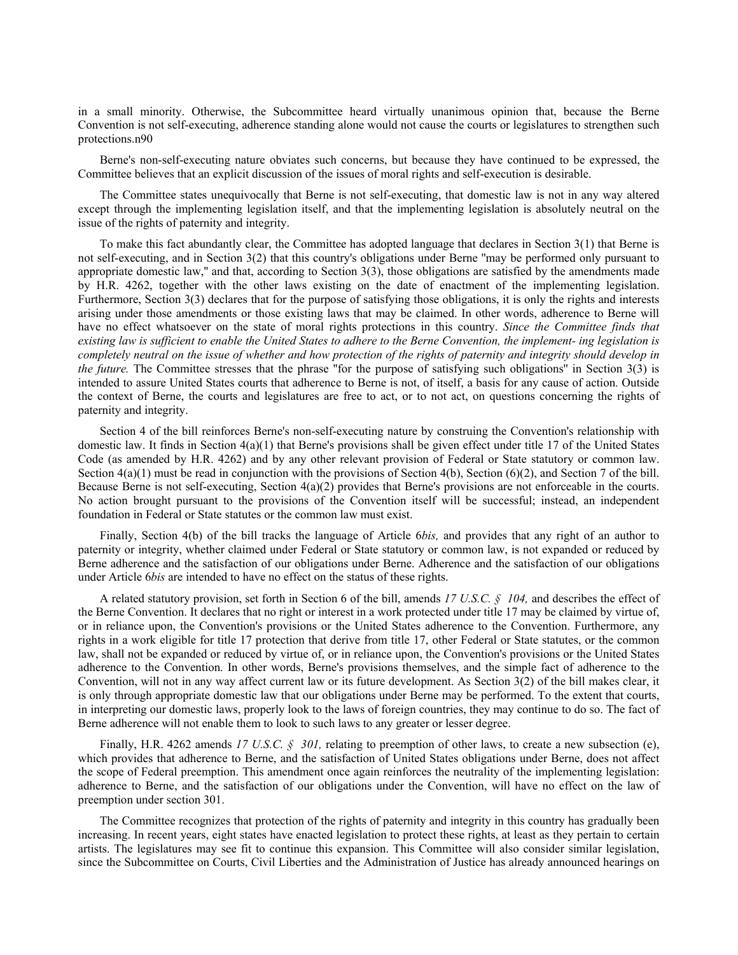in a small minority. Otherwise, the Subcommittee heard virtually unanimous opinion that, because the Berne Convention is not self-executing, adherence standing alone would not cause the courts or legislatures to strengthen such protections.n90

Berne's non-self-executing nature obviates such concerns, but because they have continued to be expressed, the Committee believes that an explicit discussion of the issues of moral rights and self-execution is desirable.

The Committee states unequivocally that Berne is not self-executing, that domestic law is not in any way altered except through the implementing legislation itself, and that the implementing legislation is absolutely neutral on the issue of the rights of paternity and integrity.

To make this fact abundantly clear, the Committee has adopted language that declares in Section 3(1) that Berne is not self-executing, and in Section 3(2) that this country's obligations under Berne ''may be performed only pursuant to appropriate domestic law,'' and that, according to Section 3(3), those obligations are satisfied by the amendments made by H.R. 4262, together with the other laws existing on the date of enactment of the implementing legislation. Furthermore, Section 3(3) declares that for the purpose of satisfying those obligations, it is only the rights and interests arising under those amendments or those existing laws that may be claimed. In other words, adherence to Berne will have no effect whatsoever on the state of moral rights protections in this country. *Since the Committee finds that existing law is sufficient to enable the United States to adhere to the Berne Convention, the implement- ing legislation is completely neutral on the issue of whether and how protection of the rights of paternity and integrity should develop in the future*. The Committee stresses that the phrase "for the purpose of satisfying such obligations" in Section 3(3) is intended to assure United States courts that adherence to Berne is not, of itself, a basis for any cause of action. Outside the context of Berne, the courts and legislatures are free to act, or to not act, on questions concerning the rights of paternity and integrity.

Section 4 of the bill reinforces Berne's non-self-executing nature by construing the Convention's relationship with domestic law. It finds in Section  $4(a)(1)$  that Berne's provisions shall be given effect under title 17 of the United States Code (as amended by H.R. 4262) and by any other relevant provision of Federal or State statutory or common law. Section  $4(a)(1)$  must be read in conjunction with the provisions of Section  $4(b)$ , Section  $(6)(2)$ , and Section 7 of the bill. Because Berne is not self-executing, Section 4(a)(2) provides that Berne's provisions are not enforceable in the courts. No action brought pursuant to the provisions of the Convention itself will be successful; instead, an independent foundation in Federal or State statutes or the common law must exist.

Finally, Section 4(b) of the bill tracks the language of Article 6*bis,* and provides that any right of an author to paternity or integrity, whether claimed under Federal or State statutory or common law, is not expanded or reduced by Berne adherence and the satisfaction of our obligations under Berne. Adherence and the satisfaction of our obligations under Article 6*bis* are intended to have no effect on the status of these rights.

A related statutory provision, set forth in Section 6 of the bill, amends *17 U.S.C. § 104,* and describes the effect of the Berne Convention. It declares that no right or interest in a work protected under title 17 may be claimed by virtue of, or in reliance upon, the Convention's provisions or the United States adherence to the Convention. Furthermore, any rights in a work eligible for title 17 protection that derive from title 17, other Federal or State statutes, or the common law, shall not be expanded or reduced by virtue of, or in reliance upon, the Convention's provisions or the United States adherence to the Convention. In other words, Berne's provisions themselves, and the simple fact of adherence to the Convention, will not in any way affect current law or its future development. As Section 3(2) of the bill makes clear, it is only through appropriate domestic law that our obligations under Berne may be performed. To the extent that courts, in interpreting our domestic laws, properly look to the laws of foreign countries, they may continue to do so. The fact of Berne adherence will not enable them to look to such laws to any greater or lesser degree.

Finally, H.R. 4262 amends *17 U.S.C.* § 301, relating to preemption of other laws, to create a new subsection (e), which provides that adherence to Berne, and the satisfaction of United States obligations under Berne, does not affect the scope of Federal preemption. This amendment once again reinforces the neutrality of the implementing legislation: adherence to Berne, and the satisfaction of our obligations under the Convention, will have no effect on the law of preemption under section 301.

The Committee recognizes that protection of the rights of paternity and integrity in this country has gradually been increasing. In recent years, eight states have enacted legislation to protect these rights, at least as they pertain to certain artists. The legislatures may see fit to continue this expansion. This Committee will also consider similar legislation, since the Subcommittee on Courts, Civil Liberties and the Administration of Justice has already announced hearings on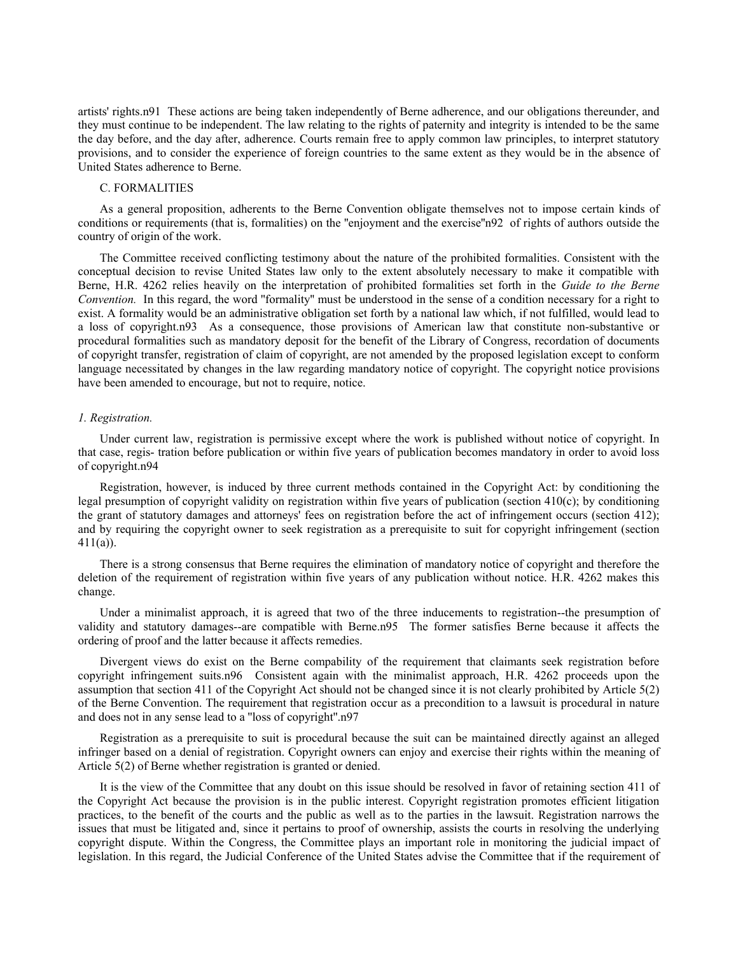artists' rights.n91 These actions are being taken independently of Berne adherence, and our obligations thereunder, and they must continue to be independent. The law relating to the rights of paternity and integrity is intended to be the same the day before, and the day after, adherence. Courts remain free to apply common law principles, to interpret statutory provisions, and to consider the experience of foreign countries to the same extent as they would be in the absence of United States adherence to Berne.

#### C. FORMALITIES

As a general proposition, adherents to the Berne Convention obligate themselves not to impose certain kinds of conditions or requirements (that is, formalities) on the ''enjoyment and the exercise''n92 of rights of authors outside the country of origin of the work.

The Committee received conflicting testimony about the nature of the prohibited formalities. Consistent with the conceptual decision to revise United States law only to the extent absolutely necessary to make it compatible with Berne, H.R. 4262 relies heavily on the interpretation of prohibited formalities set forth in the *Guide to the Berne Convention.* In this regard, the word ''formality'' must be understood in the sense of a condition necessary for a right to exist. A formality would be an administrative obligation set forth by a national law which, if not fulfilled, would lead to a loss of copyright.n93 As a consequence, those provisions of American law that constitute non-substantive or procedural formalities such as mandatory deposit for the benefit of the Library of Congress, recordation of documents of copyright transfer, registration of claim of copyright, are not amended by the proposed legislation except to conform language necessitated by changes in the law regarding mandatory notice of copyright. The copyright notice provisions have been amended to encourage, but not to require, notice.

# *1. Registration.*

Under current law, registration is permissive except where the work is published without notice of copyright. In that case, regis- tration before publication or within five years of publication becomes mandatory in order to avoid loss of copyright.n94

Registration, however, is induced by three current methods contained in the Copyright Act: by conditioning the legal presumption of copyright validity on registration within five years of publication (section 410(c); by conditioning the grant of statutory damages and attorneys' fees on registration before the act of infringement occurs (section 412); and by requiring the copyright owner to seek registration as a prerequisite to suit for copyright infringement (section  $411(a)$ ).

There is a strong consensus that Berne requires the elimination of mandatory notice of copyright and therefore the deletion of the requirement of registration within five years of any publication without notice. H.R. 4262 makes this change.

Under a minimalist approach, it is agreed that two of the three inducements to registration--the presumption of validity and statutory damages--are compatible with Berne.n95 The former satisfies Berne because it affects the ordering of proof and the latter because it affects remedies.

Divergent views do exist on the Berne compability of the requirement that claimants seek registration before copyright infringement suits.n96 Consistent again with the minimalist approach, H.R. 4262 proceeds upon the assumption that section 411 of the Copyright Act should not be changed since it is not clearly prohibited by Article 5(2) of the Berne Convention. The requirement that registration occur as a precondition to a lawsuit is procedural in nature and does not in any sense lead to a ''loss of copyright''.n97

Registration as a prerequisite to suit is procedural because the suit can be maintained directly against an alleged infringer based on a denial of registration. Copyright owners can enjoy and exercise their rights within the meaning of Article 5(2) of Berne whether registration is granted or denied.

It is the view of the Committee that any doubt on this issue should be resolved in favor of retaining section 411 of the Copyright Act because the provision is in the public interest. Copyright registration promotes efficient litigation practices, to the benefit of the courts and the public as well as to the parties in the lawsuit. Registration narrows the issues that must be litigated and, since it pertains to proof of ownership, assists the courts in resolving the underlying copyright dispute. Within the Congress, the Committee plays an important role in monitoring the judicial impact of legislation. In this regard, the Judicial Conference of the United States advise the Committee that if the requirement of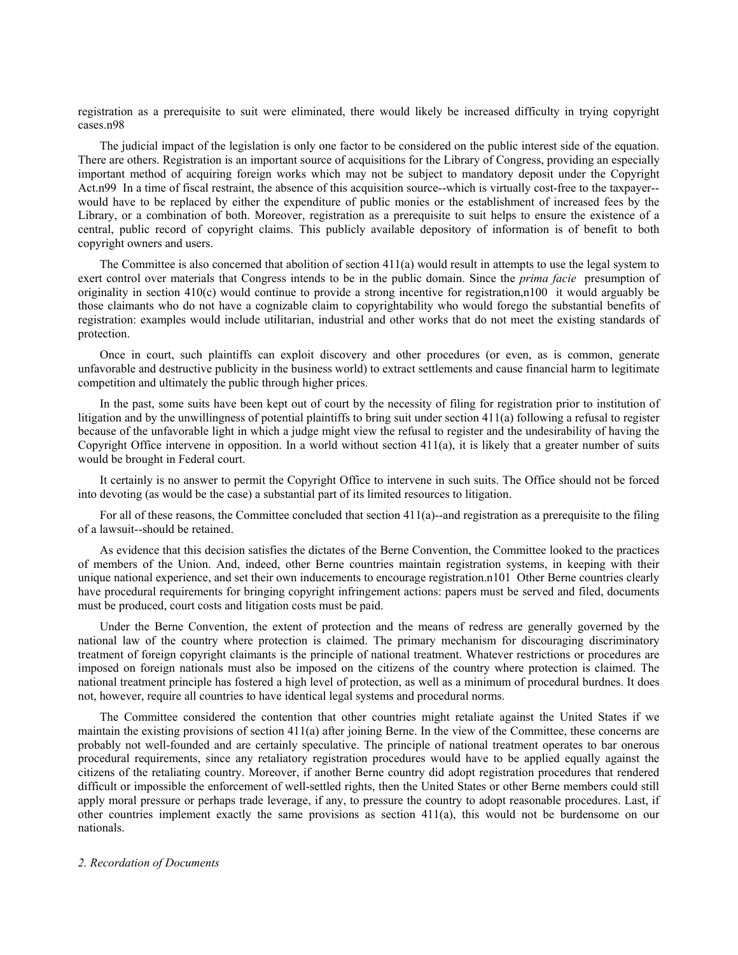registration as a prerequisite to suit were eliminated, there would likely be increased difficulty in trying copyright cases.n98

The judicial impact of the legislation is only one factor to be considered on the public interest side of the equation. There are others. Registration is an important source of acquisitions for the Library of Congress, providing an especially important method of acquiring foreign works which may not be subject to mandatory deposit under the Copyright Act.n99 In a time of fiscal restraint, the absence of this acquisition source--which is virtually cost-free to the taxpayer- would have to be replaced by either the expenditure of public monies or the establishment of increased fees by the Library, or a combination of both. Moreover, registration as a prerequisite to suit helps to ensure the existence of a central, public record of copyright claims. This publicly available depository of information is of benefit to both copyright owners and users.

The Committee is also concerned that abolition of section  $411(a)$  would result in attempts to use the legal system to exert control over materials that Congress intends to be in the public domain. Since the *prima facie* presumption of originality in section 410(c) would continue to provide a strong incentive for registration,n100 it would arguably be those claimants who do not have a cognizable claim to copyrightability who would forego the substantial benefits of registration: examples would include utilitarian, industrial and other works that do not meet the existing standards of protection.

Once in court, such plaintiffs can exploit discovery and other procedures (or even, as is common, generate unfavorable and destructive publicity in the business world) to extract settlements and cause financial harm to legitimate competition and ultimately the public through higher prices.

In the past, some suits have been kept out of court by the necessity of filing for registration prior to institution of litigation and by the unwillingness of potential plaintiffs to bring suit under section 411(a) following a refusal to register because of the unfavorable light in which a judge might view the refusal to register and the undesirability of having the Copyright Office intervene in opposition. In a world without section  $411(a)$ , it is likely that a greater number of suits would be brought in Federal court.

It certainly is no answer to permit the Copyright Office to intervene in such suits. The Office should not be forced into devoting (as would be the case) a substantial part of its limited resources to litigation.

For all of these reasons, the Committee concluded that section  $411(a)$ --and registration as a prerequisite to the filing of a lawsuit--should be retained.

As evidence that this decision satisfies the dictates of the Berne Convention, the Committee looked to the practices of members of the Union. And, indeed, other Berne countries maintain registration systems, in keeping with their unique national experience, and set their own inducements to encourage registration.n101 Other Berne countries clearly have procedural requirements for bringing copyright infringement actions: papers must be served and filed, documents must be produced, court costs and litigation costs must be paid.

Under the Berne Convention, the extent of protection and the means of redress are generally governed by the national law of the country where protection is claimed. The primary mechanism for discouraging discriminatory treatment of foreign copyright claimants is the principle of national treatment. Whatever restrictions or procedures are imposed on foreign nationals must also be imposed on the citizens of the country where protection is claimed. The national treatment principle has fostered a high level of protection, as well as a minimum of procedural burdnes. It does not, however, require all countries to have identical legal systems and procedural norms.

The Committee considered the contention that other countries might retaliate against the United States if we maintain the existing provisions of section 411(a) after joining Berne. In the view of the Committee, these concerns are probably not well-founded and are certainly speculative. The principle of national treatment operates to bar onerous procedural requirements, since any retaliatory registration procedures would have to be applied equally against the citizens of the retaliating country. Moreover, if another Berne country did adopt registration procedures that rendered difficult or impossible the enforcement of well-settled rights, then the United States or other Berne members could still apply moral pressure or perhaps trade leverage, if any, to pressure the country to adopt reasonable procedures. Last, if other countries implement exactly the same provisions as section 411(a), this would not be burdensome on our nationals.

#### *2. Recordation of Documents*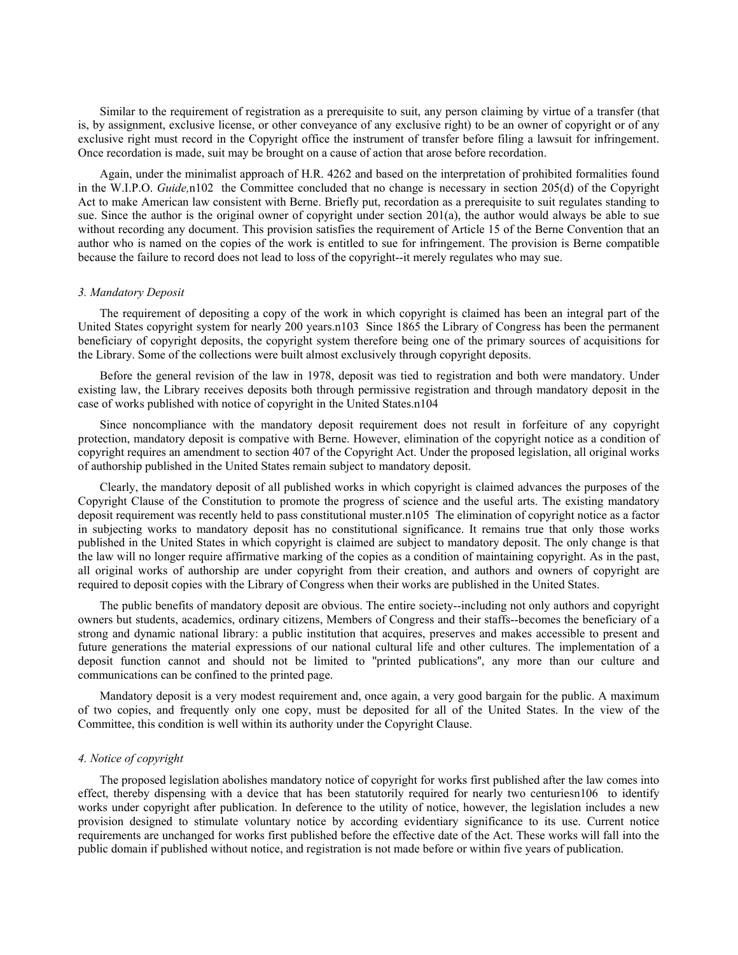Similar to the requirement of registration as a prerequisite to suit, any person claiming by virtue of a transfer (that is, by assignment, exclusive license, or other conveyance of any exclusive right) to be an owner of copyright or of any exclusive right must record in the Copyright office the instrument of transfer before filing a lawsuit for infringement. Once recordation is made, suit may be brought on a cause of action that arose before recordation.

Again, under the minimalist approach of H.R. 4262 and based on the interpretation of prohibited formalities found in the W.I.P.O. *Guide,*n102 the Committee concluded that no change is necessary in section 205(d) of the Copyright Act to make American law consistent with Berne. Briefly put, recordation as a prerequisite to suit regulates standing to sue. Since the author is the original owner of copyright under section 201(a), the author would always be able to sue without recording any document. This provision satisfies the requirement of Article 15 of the Berne Convention that an author who is named on the copies of the work is entitled to sue for infringement. The provision is Berne compatible because the failure to record does not lead to loss of the copyright--it merely regulates who may sue.

#### *3. Mandatory Deposit*

The requirement of depositing a copy of the work in which copyright is claimed has been an integral part of the United States copyright system for nearly 200 years.n103 Since 1865 the Library of Congress has been the permanent beneficiary of copyright deposits, the copyright system therefore being one of the primary sources of acquisitions for the Library. Some of the collections were built almost exclusively through copyright deposits.

Before the general revision of the law in 1978, deposit was tied to registration and both were mandatory. Under existing law, the Library receives deposits both through permissive registration and through mandatory deposit in the case of works published with notice of copyright in the United States.n104

Since noncompliance with the mandatory deposit requirement does not result in forfeiture of any copyright protection, mandatory deposit is compative with Berne. However, elimination of the copyright notice as a condition of copyright requires an amendment to section 407 of the Copyright Act. Under the proposed legislation, all original works of authorship published in the United States remain subject to mandatory deposit.

Clearly, the mandatory deposit of all published works in which copyright is claimed advances the purposes of the Copyright Clause of the Constitution to promote the progress of science and the useful arts. The existing mandatory deposit requirement was recently held to pass constitutional muster.n105 The elimination of copyright notice as a factor in subjecting works to mandatory deposit has no constitutional significance. It remains true that only those works published in the United States in which copyright is claimed are subject to mandatory deposit. The only change is that the law will no longer require affirmative marking of the copies as a condition of maintaining copyright. As in the past, all original works of authorship are under copyright from their creation, and authors and owners of copyright are required to deposit copies with the Library of Congress when their works are published in the United States.

The public benefits of mandatory deposit are obvious. The entire society--including not only authors and copyright owners but students, academics, ordinary citizens, Members of Congress and their staffs--becomes the beneficiary of a strong and dynamic national library: a public institution that acquires, preserves and makes accessible to present and future generations the material expressions of our national cultural life and other cultures. The implementation of a deposit function cannot and should not be limited to ''printed publications'', any more than our culture and communications can be confined to the printed page.

Mandatory deposit is a very modest requirement and, once again, a very good bargain for the public. A maximum of two copies, and frequently only one copy, must be deposited for all of the United States. In the view of the Committee, this condition is well within its authority under the Copyright Clause.

## *4. Notice of copyright*

The proposed legislation abolishes mandatory notice of copyright for works first published after the law comes into effect, thereby dispensing with a device that has been statutorily required for nearly two centuriesn106 to identify works under copyright after publication. In deference to the utility of notice, however, the legislation includes a new provision designed to stimulate voluntary notice by according evidentiary significance to its use. Current notice requirements are unchanged for works first published before the effective date of the Act. These works will fall into the public domain if published without notice, and registration is not made before or within five years of publication.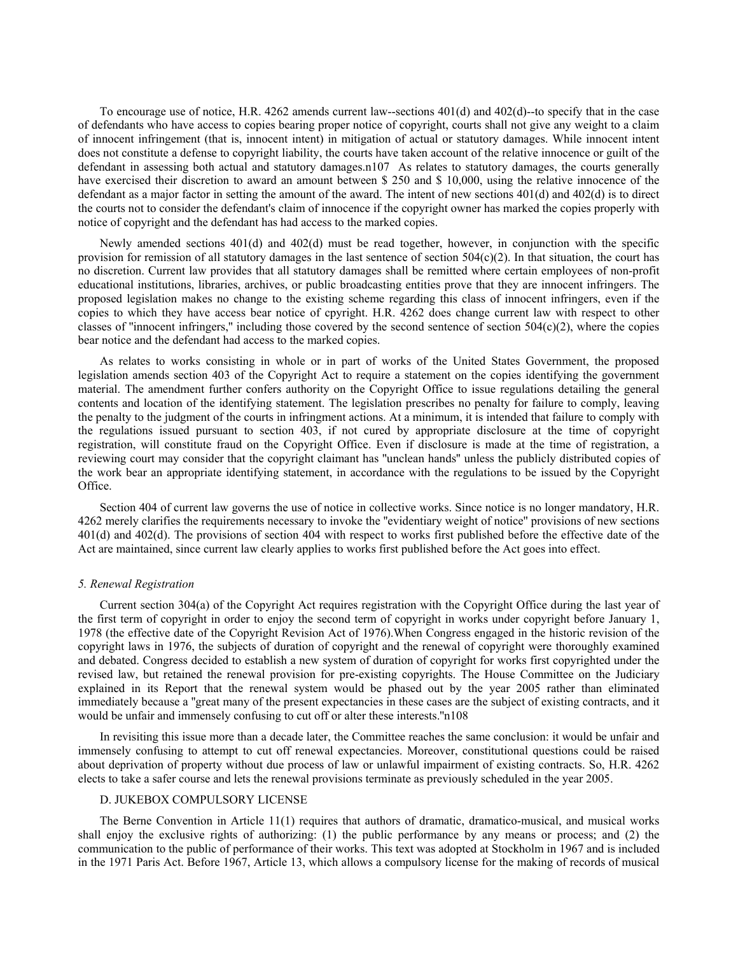To encourage use of notice, H.R. 4262 amends current law--sections 401(d) and 402(d)--to specify that in the case of defendants who have access to copies bearing proper notice of copyright, courts shall not give any weight to a claim of innocent infringement (that is, innocent intent) in mitigation of actual or statutory damages. While innocent intent does not constitute a defense to copyright liability, the courts have taken account of the relative innocence or guilt of the defendant in assessing both actual and statutory damages.n107 As relates to statutory damages, the courts generally have exercised their discretion to award an amount between \$ 250 and \$ 10,000, using the relative innocence of the defendant as a major factor in setting the amount of the award. The intent of new sections 401(d) and 402(d) is to direct the courts not to consider the defendant's claim of innocence if the copyright owner has marked the copies properly with notice of copyright and the defendant has had access to the marked copies.

Newly amended sections 401(d) and 402(d) must be read together, however, in conjunction with the specific provision for remission of all statutory damages in the last sentence of section  $504(c)(2)$ . In that situation, the court has no discretion. Current law provides that all statutory damages shall be remitted where certain employees of non-profit educational institutions, libraries, archives, or public broadcasting entities prove that they are innocent infringers. The proposed legislation makes no change to the existing scheme regarding this class of innocent infringers, even if the copies to which they have access bear notice of cpyright. H.R. 4262 does change current law with respect to other classes of ''innocent infringers,'' including those covered by the second sentence of section 504(c)(2), where the copies bear notice and the defendant had access to the marked copies.

As relates to works consisting in whole or in part of works of the United States Government, the proposed legislation amends section 403 of the Copyright Act to require a statement on the copies identifying the government material. The amendment further confers authority on the Copyright Office to issue regulations detailing the general contents and location of the identifying statement. The legislation prescribes no penalty for failure to comply, leaving the penalty to the judgment of the courts in infringment actions. At a minimum, it is intended that failure to comply with the regulations issued pursuant to section 403, if not cured by appropriate disclosure at the time of copyright registration, will constitute fraud on the Copyright Office. Even if disclosure is made at the time of registration, a reviewing court may consider that the copyright claimant has ''unclean hands'' unless the publicly distributed copies of the work bear an appropriate identifying statement, in accordance with the regulations to be issued by the Copyright Office.

Section 404 of current law governs the use of notice in collective works. Since notice is no longer mandatory, H.R. 4262 merely clarifies the requirements necessary to invoke the ''evidentiary weight of notice'' provisions of new sections 401(d) and 402(d). The provisions of section 404 with respect to works first published before the effective date of the Act are maintained, since current law clearly applies to works first published before the Act goes into effect.

#### *5. Renewal Registration*

Current section 304(a) of the Copyright Act requires registration with the Copyright Office during the last year of the first term of copyright in order to enjoy the second term of copyright in works under copyright before January 1, 1978 (the effective date of the Copyright Revision Act of 1976).When Congress engaged in the historic revision of the copyright laws in 1976, the subjects of duration of copyright and the renewal of copyright were thoroughly examined and debated. Congress decided to establish a new system of duration of copyright for works first copyrighted under the revised law, but retained the renewal provision for pre-existing copyrights. The House Committee on the Judiciary explained in its Report that the renewal system would be phased out by the year 2005 rather than eliminated immediately because a ''great many of the present expectancies in these cases are the subject of existing contracts, and it would be unfair and immensely confusing to cut off or alter these interests.''n108

In revisiting this issue more than a decade later, the Committee reaches the same conclusion: it would be unfair and immensely confusing to attempt to cut off renewal expectancies. Moreover, constitutional questions could be raised about deprivation of property without due process of law or unlawful impairment of existing contracts. So, H.R. 4262 elects to take a safer course and lets the renewal provisions terminate as previously scheduled in the year 2005.

## D. JUKEBOX COMPULSORY LICENSE

The Berne Convention in Article 11(1) requires that authors of dramatic, dramatico-musical, and musical works shall enjoy the exclusive rights of authorizing: (1) the public performance by any means or process; and (2) the communication to the public of performance of their works. This text was adopted at Stockholm in 1967 and is included in the 1971 Paris Act. Before 1967, Article 13, which allows a compulsory license for the making of records of musical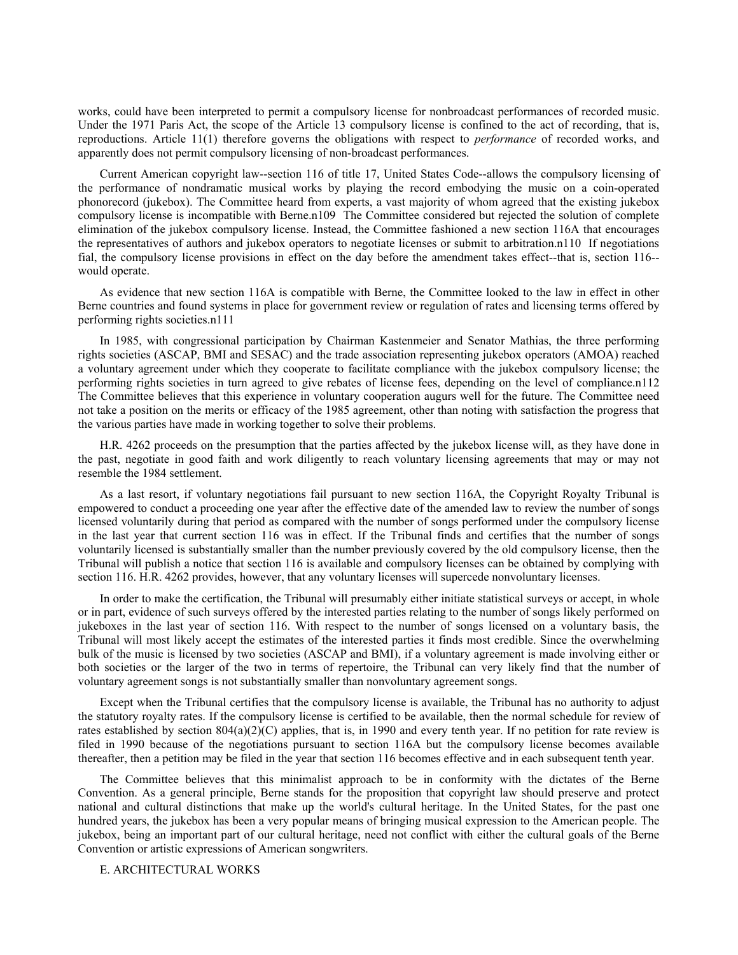works, could have been interpreted to permit a compulsory license for nonbroadcast performances of recorded music. Under the 1971 Paris Act, the scope of the Article 13 compulsory license is confined to the act of recording, that is, reproductions. Article 11(1) therefore governs the obligations with respect to *performance* of recorded works, and apparently does not permit compulsory licensing of non-broadcast performances.

Current American copyright law--section 116 of title 17, United States Code--allows the compulsory licensing of the performance of nondramatic musical works by playing the record embodying the music on a coin-operated phonorecord (jukebox). The Committee heard from experts, a vast majority of whom agreed that the existing jukebox compulsory license is incompatible with Berne.n109 The Committee considered but rejected the solution of complete elimination of the jukebox compulsory license. Instead, the Committee fashioned a new section 116A that encourages the representatives of authors and jukebox operators to negotiate licenses or submit to arbitration.n110 If negotiations fial, the compulsory license provisions in effect on the day before the amendment takes effect--that is, section 116- would operate.

As evidence that new section 116A is compatible with Berne, the Committee looked to the law in effect in other Berne countries and found systems in place for government review or regulation of rates and licensing terms offered by performing rights societies.n111

In 1985, with congressional participation by Chairman Kastenmeier and Senator Mathias, the three performing rights societies (ASCAP, BMI and SESAC) and the trade association representing jukebox operators (AMOA) reached a voluntary agreement under which they cooperate to facilitate compliance with the jukebox compulsory license; the performing rights societies in turn agreed to give rebates of license fees, depending on the level of compliance.n112 The Committee believes that this experience in voluntary cooperation augurs well for the future. The Committee need not take a position on the merits or efficacy of the 1985 agreement, other than noting with satisfaction the progress that the various parties have made in working together to solve their problems.

H.R. 4262 proceeds on the presumption that the parties affected by the jukebox license will, as they have done in the past, negotiate in good faith and work diligently to reach voluntary licensing agreements that may or may not resemble the 1984 settlement.

As a last resort, if voluntary negotiations fail pursuant to new section 116A, the Copyright Royalty Tribunal is empowered to conduct a proceeding one year after the effective date of the amended law to review the number of songs licensed voluntarily during that period as compared with the number of songs performed under the compulsory license in the last year that current section 116 was in effect. If the Tribunal finds and certifies that the number of songs voluntarily licensed is substantially smaller than the number previously covered by the old compulsory license, then the Tribunal will publish a notice that section 116 is available and compulsory licenses can be obtained by complying with section 116. H.R. 4262 provides, however, that any voluntary licenses will supercede nonvoluntary licenses.

In order to make the certification, the Tribunal will presumably either initiate statistical surveys or accept, in whole or in part, evidence of such surveys offered by the interested parties relating to the number of songs likely performed on jukeboxes in the last year of section 116. With respect to the number of songs licensed on a voluntary basis, the Tribunal will most likely accept the estimates of the interested parties it finds most credible. Since the overwhelming bulk of the music is licensed by two societies (ASCAP and BMI), if a voluntary agreement is made involving either or both societies or the larger of the two in terms of repertoire, the Tribunal can very likely find that the number of voluntary agreement songs is not substantially smaller than nonvoluntary agreement songs.

Except when the Tribunal certifies that the compulsory license is available, the Tribunal has no authority to adjust the statutory royalty rates. If the compulsory license is certified to be available, then the normal schedule for review of rates established by section  $804(a)(2)(C)$  applies, that is, in 1990 and every tenth year. If no petition for rate review is filed in 1990 because of the negotiations pursuant to section 116A but the compulsory license becomes available thereafter, then a petition may be filed in the year that section 116 becomes effective and in each subsequent tenth year.

The Committee believes that this minimalist approach to be in conformity with the dictates of the Berne Convention. As a general principle, Berne stands for the proposition that copyright law should preserve and protect national and cultural distinctions that make up the world's cultural heritage. In the United States, for the past one hundred years, the jukebox has been a very popular means of bringing musical expression to the American people. The jukebox, being an important part of our cultural heritage, need not conflict with either the cultural goals of the Berne Convention or artistic expressions of American songwriters.

E. ARCHITECTURAL WORKS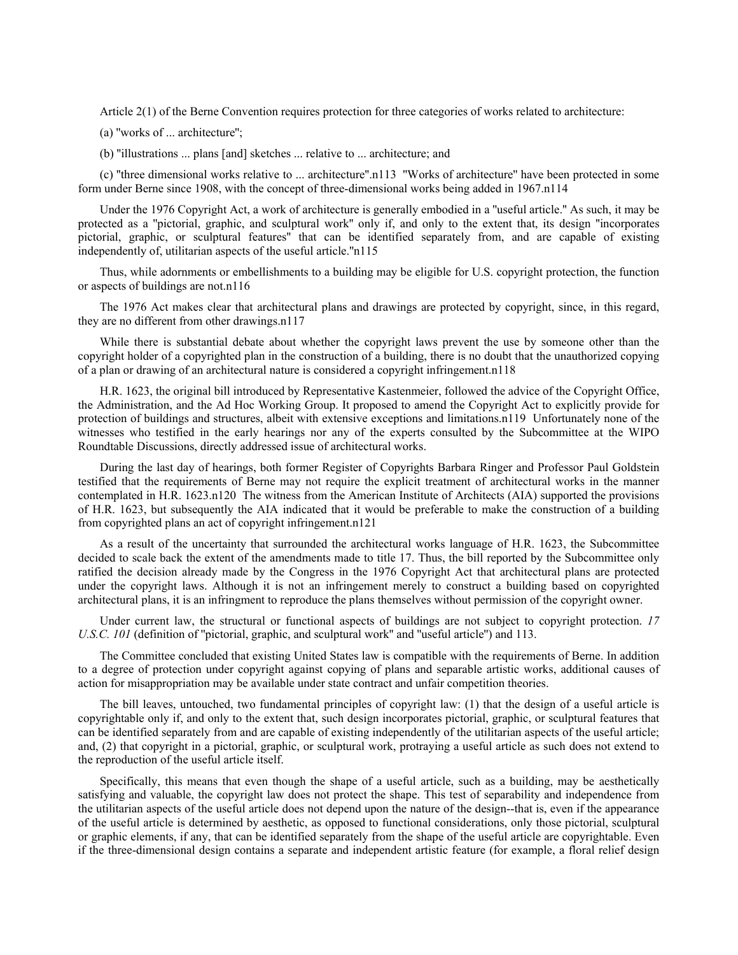Article 2(1) of the Berne Convention requires protection for three categories of works related to architecture:

(a) ''works of ... architecture'';

(b) ''illustrations ... plans [and] sketches ... relative to ... architecture; and

(c) ''three dimensional works relative to ... architecture''.n113 ''Works of architecture'' have been protected in some form under Berne since 1908, with the concept of three-dimensional works being added in 1967.n114

Under the 1976 Copyright Act, a work of architecture is generally embodied in a ''useful article.'' As such, it may be protected as a ''pictorial, graphic, and sculptural work'' only if, and only to the extent that, its design ''incorporates pictorial, graphic, or sculptural features'' that can be identified separately from, and are capable of existing independently of, utilitarian aspects of the useful article.''n115

Thus, while adornments or embellishments to a building may be eligible for U.S. copyright protection, the function or aspects of buildings are not.n116

The 1976 Act makes clear that architectural plans and drawings are protected by copyright, since, in this regard, they are no different from other drawings.n117

While there is substantial debate about whether the copyright laws prevent the use by someone other than the copyright holder of a copyrighted plan in the construction of a building, there is no doubt that the unauthorized copying of a plan or drawing of an architectural nature is considered a copyright infringement.n118

H.R. 1623, the original bill introduced by Representative Kastenmeier, followed the advice of the Copyright Office, the Administration, and the Ad Hoc Working Group. It proposed to amend the Copyright Act to explicitly provide for protection of buildings and structures, albeit with extensive exceptions and limitations.n119 Unfortunately none of the witnesses who testified in the early hearings nor any of the experts consulted by the Subcommittee at the WIPO Roundtable Discussions, directly addressed issue of architectural works.

During the last day of hearings, both former Register of Copyrights Barbara Ringer and Professor Paul Goldstein testified that the requirements of Berne may not require the explicit treatment of architectural works in the manner contemplated in H.R. 1623.n120 The witness from the American Institute of Architects (AIA) supported the provisions of H.R. 1623, but subsequently the AIA indicated that it would be preferable to make the construction of a building from copyrighted plans an act of copyright infringement.n121

As a result of the uncertainty that surrounded the architectural works language of H.R. 1623, the Subcommittee decided to scale back the extent of the amendments made to title 17. Thus, the bill reported by the Subcommittee only ratified the decision already made by the Congress in the 1976 Copyright Act that architectural plans are protected under the copyright laws. Although it is not an infringement merely to construct a building based on copyrighted architectural plans, it is an infringment to reproduce the plans themselves without permission of the copyright owner.

Under current law, the structural or functional aspects of buildings are not subject to copyright protection. *17 U.S.C. 101* (definition of ''pictorial, graphic, and sculptural work'' and ''useful article'') and 113.

The Committee concluded that existing United States law is compatible with the requirements of Berne. In addition to a degree of protection under copyright against copying of plans and separable artistic works, additional causes of action for misappropriation may be available under state contract and unfair competition theories.

The bill leaves, untouched, two fundamental principles of copyright law: (1) that the design of a useful article is copyrightable only if, and only to the extent that, such design incorporates pictorial, graphic, or sculptural features that can be identified separately from and are capable of existing independently of the utilitarian aspects of the useful article; and, (2) that copyright in a pictorial, graphic, or sculptural work, protraying a useful article as such does not extend to the reproduction of the useful article itself.

Specifically, this means that even though the shape of a useful article, such as a building, may be aesthetically satisfying and valuable, the copyright law does not protect the shape. This test of separability and independence from the utilitarian aspects of the useful article does not depend upon the nature of the design--that is, even if the appearance of the useful article is determined by aesthetic, as opposed to functional considerations, only those pictorial, sculptural or graphic elements, if any, that can be identified separately from the shape of the useful article are copyrightable. Even if the three-dimensional design contains a separate and independent artistic feature (for example, a floral relief design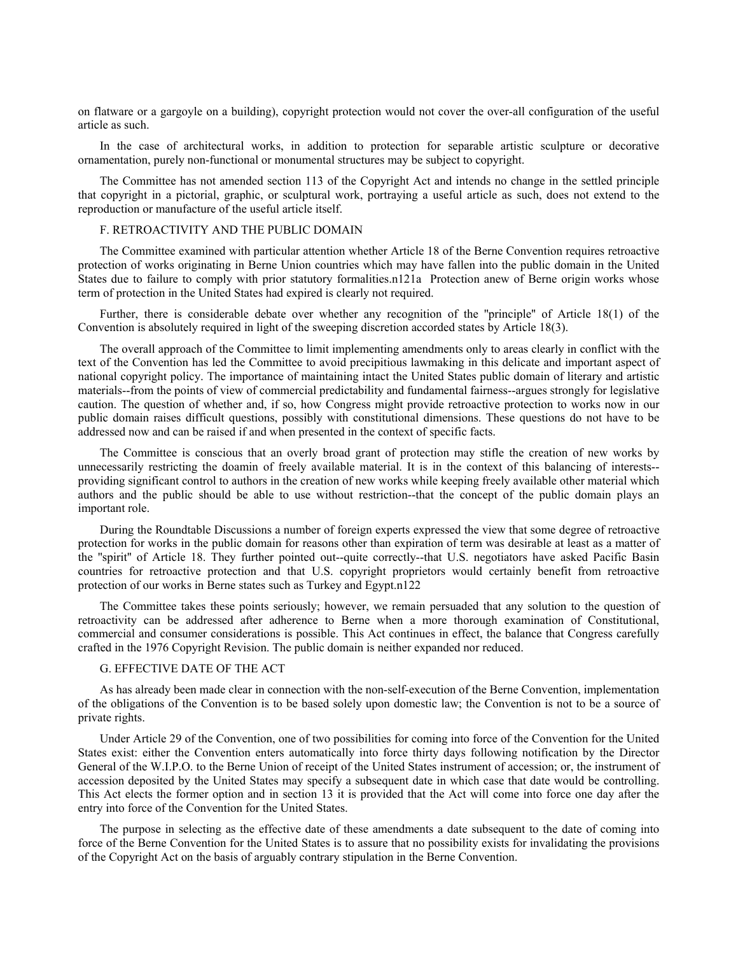on flatware or a gargoyle on a building), copyright protection would not cover the over-all configuration of the useful article as such.

In the case of architectural works, in addition to protection for separable artistic sculpture or decorative ornamentation, purely non-functional or monumental structures may be subject to copyright.

The Committee has not amended section 113 of the Copyright Act and intends no change in the settled principle that copyright in a pictorial, graphic, or sculptural work, portraying a useful article as such, does not extend to the reproduction or manufacture of the useful article itself.

### F. RETROACTIVITY AND THE PUBLIC DOMAIN

The Committee examined with particular attention whether Article 18 of the Berne Convention requires retroactive protection of works originating in Berne Union countries which may have fallen into the public domain in the United States due to failure to comply with prior statutory formalities.n121a Protection anew of Berne origin works whose term of protection in the United States had expired is clearly not required.

Further, there is considerable debate over whether any recognition of the "principle" of Article 18(1) of the Convention is absolutely required in light of the sweeping discretion accorded states by Article 18(3).

The overall approach of the Committee to limit implementing amendments only to areas clearly in conflict with the text of the Convention has led the Committee to avoid precipitious lawmaking in this delicate and important aspect of national copyright policy. The importance of maintaining intact the United States public domain of literary and artistic materials--from the points of view of commercial predictability and fundamental fairness--argues strongly for legislative caution. The question of whether and, if so, how Congress might provide retroactive protection to works now in our public domain raises difficult questions, possibly with constitutional dimensions. These questions do not have to be addressed now and can be raised if and when presented in the context of specific facts.

The Committee is conscious that an overly broad grant of protection may stifle the creation of new works by unnecessarily restricting the doamin of freely available material. It is in the context of this balancing of interests- providing significant control to authors in the creation of new works while keeping freely available other material which authors and the public should be able to use without restriction--that the concept of the public domain plays an important role.

During the Roundtable Discussions a number of foreign experts expressed the view that some degree of retroactive protection for works in the public domain for reasons other than expiration of term was desirable at least as a matter of the ''spirit'' of Article 18. They further pointed out--quite correctly--that U.S. negotiators have asked Pacific Basin countries for retroactive protection and that U.S. copyright proprietors would certainly benefit from retroactive protection of our works in Berne states such as Turkey and Egypt.n122

The Committee takes these points seriously; however, we remain persuaded that any solution to the question of retroactivity can be addressed after adherence to Berne when a more thorough examination of Constitutional, commercial and consumer considerations is possible. This Act continues in effect, the balance that Congress carefully crafted in the 1976 Copyright Revision. The public domain is neither expanded nor reduced.

#### G. EFFECTIVE DATE OF THE ACT

As has already been made clear in connection with the non-self-execution of the Berne Convention, implementation of the obligations of the Convention is to be based solely upon domestic law; the Convention is not to be a source of private rights.

Under Article 29 of the Convention, one of two possibilities for coming into force of the Convention for the United States exist: either the Convention enters automatically into force thirty days following notification by the Director General of the W.I.P.O. to the Berne Union of receipt of the United States instrument of accession; or, the instrument of accession deposited by the United States may specify a subsequent date in which case that date would be controlling. This Act elects the former option and in section 13 it is provided that the Act will come into force one day after the entry into force of the Convention for the United States.

The purpose in selecting as the effective date of these amendments a date subsequent to the date of coming into force of the Berne Convention for the United States is to assure that no possibility exists for invalidating the provisions of the Copyright Act on the basis of arguably contrary stipulation in the Berne Convention.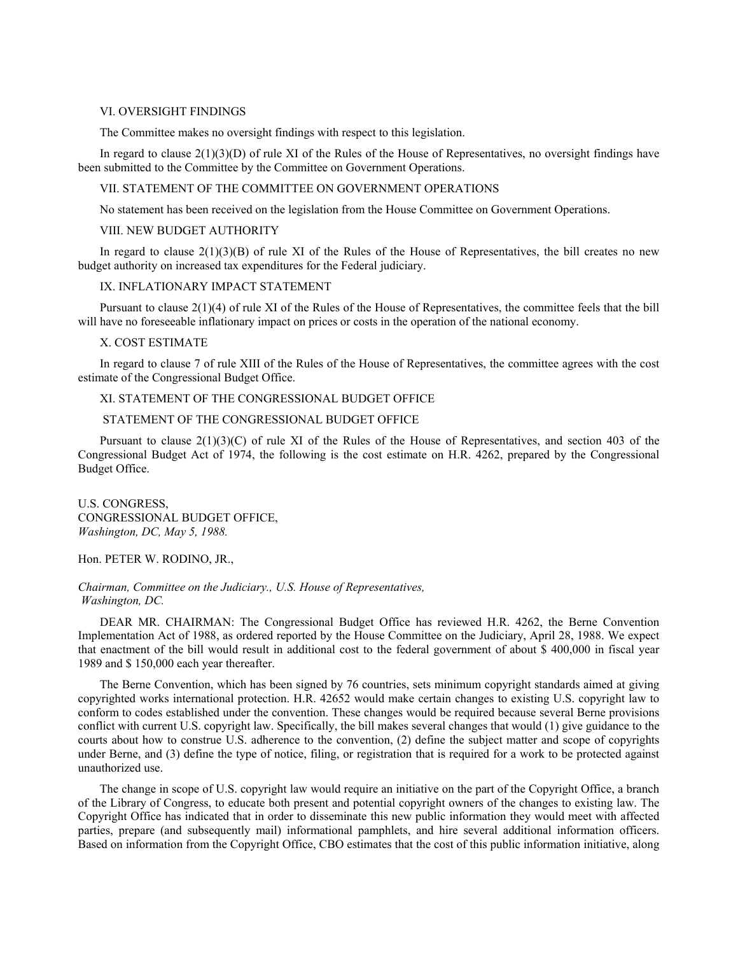#### VI. OVERSIGHT FINDINGS

The Committee makes no oversight findings with respect to this legislation.

In regard to clause  $2(1)(3)(D)$  of rule XI of the Rules of the House of Representatives, no oversight findings have been submitted to the Committee by the Committee on Government Operations.

## VII. STATEMENT OF THE COMMITTEE ON GOVERNMENT OPERATIONS

No statement has been received on the legislation from the House Committee on Government Operations.

# VIII. NEW BUDGET AUTHORITY

In regard to clause  $2(1)(3)(B)$  of rule XI of the Rules of the House of Representatives, the bill creates no new budget authority on increased tax expenditures for the Federal judiciary.

## IX. INFLATIONARY IMPACT STATEMENT

Pursuant to clause 2(1)(4) of rule XI of the Rules of the House of Representatives, the committee feels that the bill will have no foreseeable inflationary impact on prices or costs in the operation of the national economy.

# X. COST ESTIMATE

In regard to clause 7 of rule XIII of the Rules of the House of Representatives, the committee agrees with the cost estimate of the Congressional Budget Office.

# XI. STATEMENT OF THE CONGRESSIONAL BUDGET OFFICE

# STATEMENT OF THE CONGRESSIONAL BUDGET OFFICE

Pursuant to clause 2(1)(3)(C) of rule XI of the Rules of the House of Representatives, and section 403 of the Congressional Budget Act of 1974, the following is the cost estimate on H.R. 4262, prepared by the Congressional Budget Office.

U.S. CONGRESS, CONGRESSIONAL BUDGET OFFICE, *Washington, DC, May 5, 1988.*

# Hon. PETER W. RODINO, JR.,

# *Chairman, Committee on the Judiciary., U.S. House of Representatives, Washington, DC.*

DEAR MR. CHAIRMAN: The Congressional Budget Office has reviewed H.R. 4262, the Berne Convention Implementation Act of 1988, as ordered reported by the House Committee on the Judiciary, April 28, 1988. We expect that enactment of the bill would result in additional cost to the federal government of about \$ 400,000 in fiscal year 1989 and \$ 150,000 each year thereafter.

The Berne Convention, which has been signed by 76 countries, sets minimum copyright standards aimed at giving copyrighted works international protection. H.R. 42652 would make certain changes to existing U.S. copyright law to conform to codes established under the convention. These changes would be required because several Berne provisions conflict with current U.S. copyright law. Specifically, the bill makes several changes that would (1) give guidance to the courts about how to construe U.S. adherence to the convention, (2) define the subject matter and scope of copyrights under Berne, and (3) define the type of notice, filing, or registration that is required for a work to be protected against unauthorized use.

The change in scope of U.S. copyright law would require an initiative on the part of the Copyright Office, a branch of the Library of Congress, to educate both present and potential copyright owners of the changes to existing law. The Copyright Office has indicated that in order to disseminate this new public information they would meet with affected parties, prepare (and subsequently mail) informational pamphlets, and hire several additional information officers. Based on information from the Copyright Office, CBO estimates that the cost of this public information initiative, along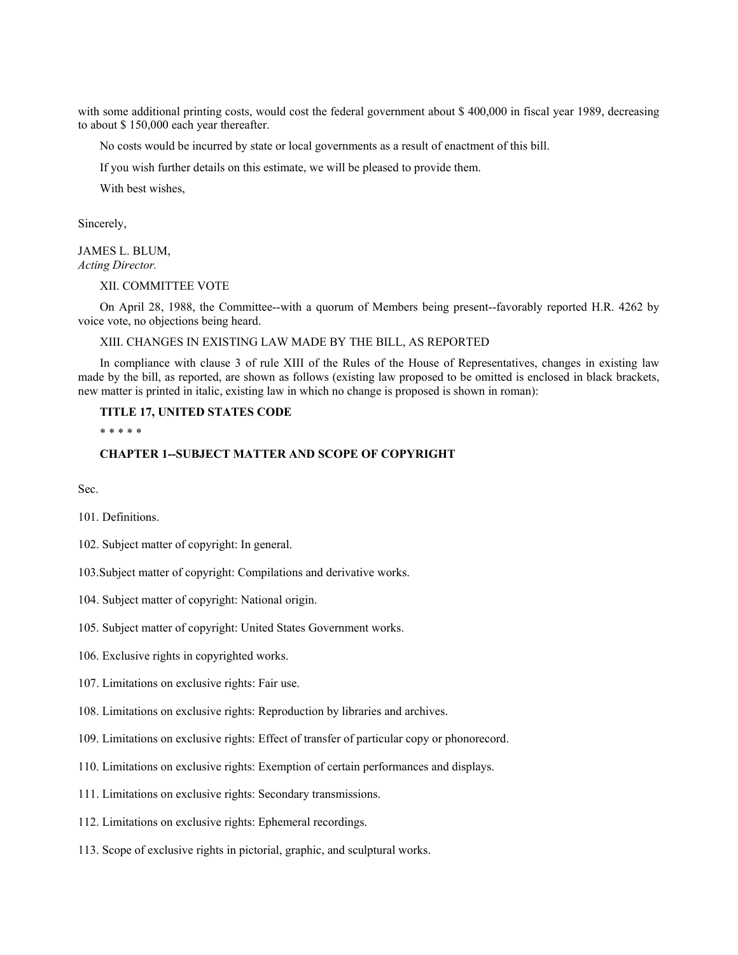with some additional printing costs, would cost the federal government about \$400,000 in fiscal year 1989, decreasing to about \$ 150,000 each year thereafter.

No costs would be incurred by state or local governments as a result of enactment of this bill.

If you wish further details on this estimate, we will be pleased to provide them.

With best wishes,

Sincerely,

JAMES L. BLUM, *Acting Director.*

#### XII. COMMITTEE VOTE

On April 28, 1988, the Committee--with a quorum of Members being present--favorably reported H.R. 4262 by voice vote, no objections being heard.

XIII. CHANGES IN EXISTING LAW MADE BY THE BILL, AS REPORTED

In compliance with clause 3 of rule XIII of the Rules of the House of Representatives, changes in existing law made by the bill, as reported, are shown as follows (existing law proposed to be omitted is enclosed in black brackets, new matter is printed in italic, existing law in which no change is proposed is shown in roman):

# **TITLE 17, UNITED STATES CODE**

\* \* \* \* \*

# **CHAPTER 1--SUBJECT MATTER AND SCOPE OF COPYRIGHT**

Sec.

101. Definitions.

102. Subject matter of copyright: In general.

103.Subject matter of copyright: Compilations and derivative works.

104. Subject matter of copyright: National origin.

105. Subject matter of copyright: United States Government works.

106. Exclusive rights in copyrighted works.

107. Limitations on exclusive rights: Fair use.

108. Limitations on exclusive rights: Reproduction by libraries and archives.

109. Limitations on exclusive rights: Effect of transfer of particular copy or phonorecord.

110. Limitations on exclusive rights: Exemption of certain performances and displays.

111. Limitations on exclusive rights: Secondary transmissions.

112. Limitations on exclusive rights: Ephemeral recordings.

113. Scope of exclusive rights in pictorial, graphic, and sculptural works.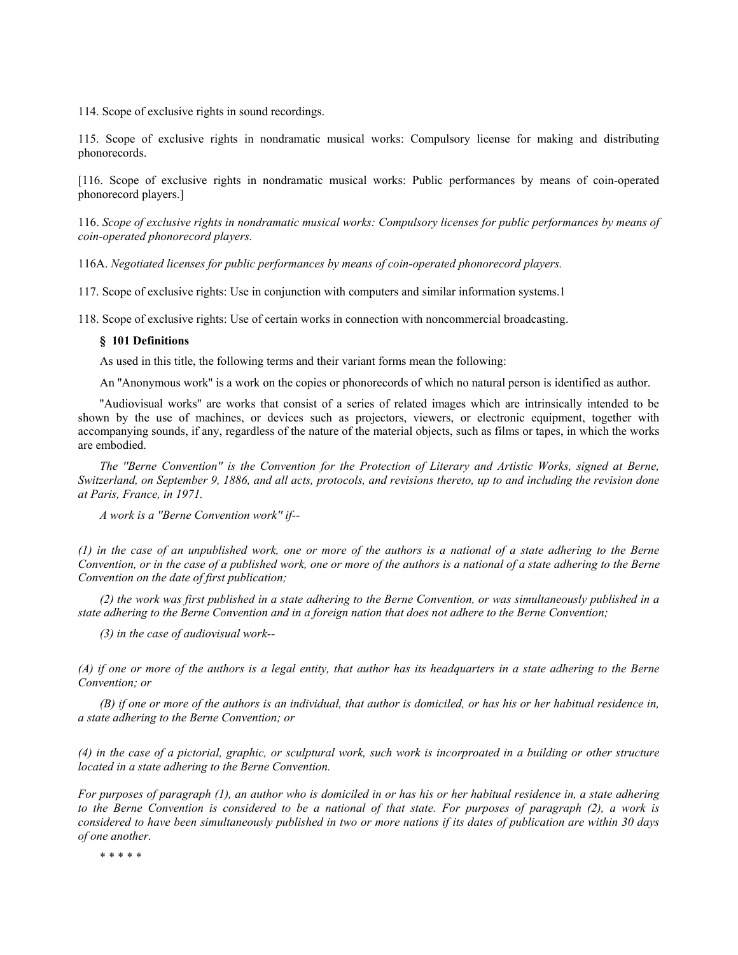114. Scope of exclusive rights in sound recordings.

115. Scope of exclusive rights in nondramatic musical works: Compulsory license for making and distributing phonorecords.

[116. Scope of exclusive rights in nondramatic musical works: Public performances by means of coin-operated phonorecord players.]

116. *Scope of exclusive rights in nondramatic musical works: Compulsory licenses for public performances by means of coin-operated phonorecord players.*

116A. *Negotiated licenses for public performances by means of coin-operated phonorecord players.*

117. Scope of exclusive rights: Use in conjunction with computers and similar information systems.1

118. Scope of exclusive rights: Use of certain works in connection with noncommercial broadcasting.

#### **§ 101 Definitions**

As used in this title, the following terms and their variant forms mean the following:

An ''Anonymous work'' is a work on the copies or phonorecords of which no natural person is identified as author.

''Audiovisual works'' are works that consist of a series of related images which are intrinsically intended to be shown by the use of machines, or devices such as projectors, viewers, or electronic equipment, together with accompanying sounds, if any, regardless of the nature of the material objects, such as films or tapes, in which the works are embodied.

*The ''Berne Convention'' is the Convention for the Protection of Literary and Artistic Works, signed at Berne, Switzerland, on September 9, 1886, and all acts, protocols, and revisions thereto, up to and including the revision done at Paris, France, in 1971.*

*A work is a ''Berne Convention work'' if--*

*(1) in the case of an unpublished work, one or more of the authors is a national of a state adhering to the Berne Convention, or in the case of a published work, one or more of the authors is a national of a state adhering to the Berne Convention on the date of first publication;*

*(2) the work was first published in a state adhering to the Berne Convention, or was simultaneously published in a state adhering to the Berne Convention and in a foreign nation that does not adhere to the Berne Convention;*

*(3) in the case of audiovisual work--*

*(A) if one or more of the authors is a legal entity, that author has its headquarters in a state adhering to the Berne Convention; or*

*(B) if one or more of the authors is an individual, that author is domiciled, or has his or her habitual residence in, a state adhering to the Berne Convention; or*

*(4) in the case of a pictorial, graphic, or sculptural work, such work is incorproated in a building or other structure located in a state adhering to the Berne Convention.*

*For purposes of paragraph (1), an author who is domiciled in or has his or her habitual residence in, a state adhering to the Berne Convention is considered to be a national of that state. For purposes of paragraph (2), a work is considered to have been simultaneously published in two or more nations if its dates of publication are within 30 days of one another.*

\* \* \* \* \*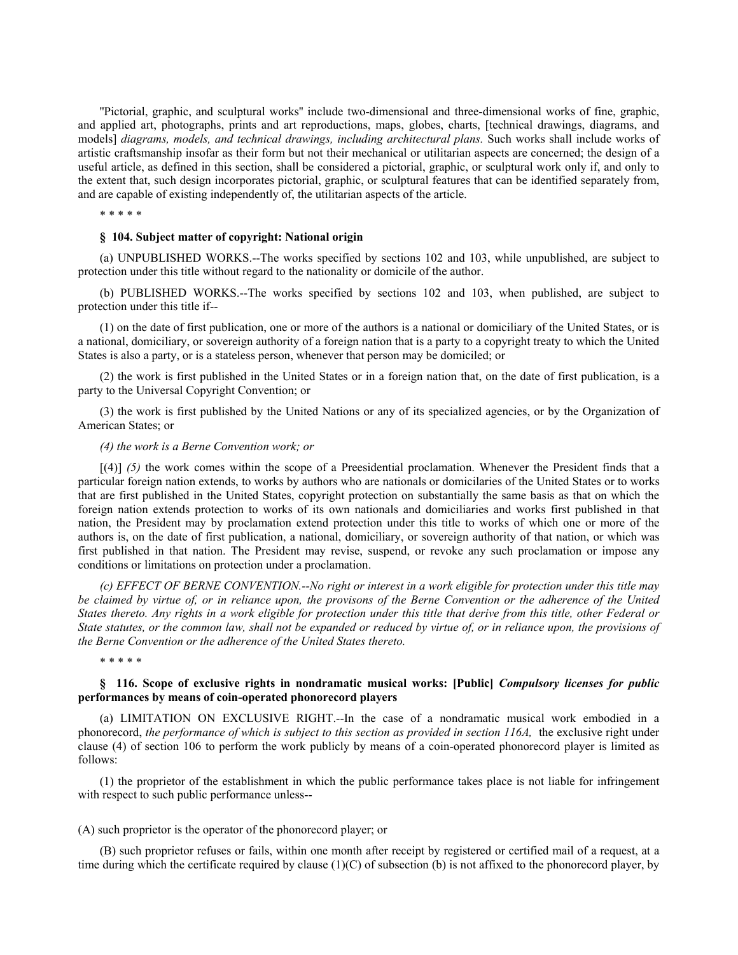''Pictorial, graphic, and sculptural works'' include two-dimensional and three-dimensional works of fine, graphic, and applied art, photographs, prints and art reproductions, maps, globes, charts, [technical drawings, diagrams, and models] *diagrams, models, and technical drawings, including architectural plans.* Such works shall include works of artistic craftsmanship insofar as their form but not their mechanical or utilitarian aspects are concerned; the design of a useful article, as defined in this section, shall be considered a pictorial, graphic, or sculptural work only if, and only to the extent that, such design incorporates pictorial, graphic, or sculptural features that can be identified separately from, and are capable of existing independently of, the utilitarian aspects of the article.

\* \* \* \* \*

### **§ 104. Subject matter of copyright: National origin**

(a) UNPUBLISHED WORKS.--The works specified by sections 102 and 103, while unpublished, are subject to protection under this title without regard to the nationality or domicile of the author.

(b) PUBLISHED WORKS.--The works specified by sections 102 and 103, when published, are subject to protection under this title if--

(1) on the date of first publication, one or more of the authors is a national or domiciliary of the United States, or is a national, domiciliary, or sovereign authority of a foreign nation that is a party to a copyright treaty to which the United States is also a party, or is a stateless person, whenever that person may be domiciled; or

(2) the work is first published in the United States or in a foreign nation that, on the date of first publication, is a party to the Universal Copyright Convention; or

(3) the work is first published by the United Nations or any of its specialized agencies, or by the Organization of American States; or

#### *(4) the work is a Berne Convention work; or*

[(4)] *(5)* the work comes within the scope of a Preesidential proclamation. Whenever the President finds that a particular foreign nation extends, to works by authors who are nationals or domicilaries of the United States or to works that are first published in the United States, copyright protection on substantially the same basis as that on which the foreign nation extends protection to works of its own nationals and domiciliaries and works first published in that nation, the President may by proclamation extend protection under this title to works of which one or more of the authors is, on the date of first publication, a national, domiciliary, or sovereign authority of that nation, or which was first published in that nation. The President may revise, suspend, or revoke any such proclamation or impose any conditions or limitations on protection under a proclamation.

*(c) EFFECT OF BERNE CONVENTION.--No right or interest in a work eligible for protection under this title may be claimed by virtue of, or in reliance upon, the provisons of the Berne Convention or the adherence of the United States thereto. Any rights in a work eligible for protection under this title that derive from this title, other Federal or State statutes, or the common law, shall not be expanded or reduced by virtue of, or in reliance upon, the provisions of the Berne Convention or the adherence of the United States thereto.*

\* \* \* \* \*

# **§ 116. Scope of exclusive rights in nondramatic musical works: [Public]** *Compulsory licenses for public*  **performances by means of coin-operated phonorecord players**

(a) LIMITATION ON EXCLUSIVE RIGHT.--In the case of a nondramatic musical work embodied in a phonorecord, *the performance of which is subject to this section as provided in section 116A,* the exclusive right under clause (4) of section 106 to perform the work publicly by means of a coin-operated phonorecord player is limited as follows:

(1) the proprietor of the establishment in which the public performance takes place is not liable for infringement with respect to such public performance unless--

#### (A) such proprietor is the operator of the phonorecord player; or

(B) such proprietor refuses or fails, within one month after receipt by registered or certified mail of a request, at a time during which the certificate required by clause  $(1)(C)$  of subsection (b) is not affixed to the phonorecord player, by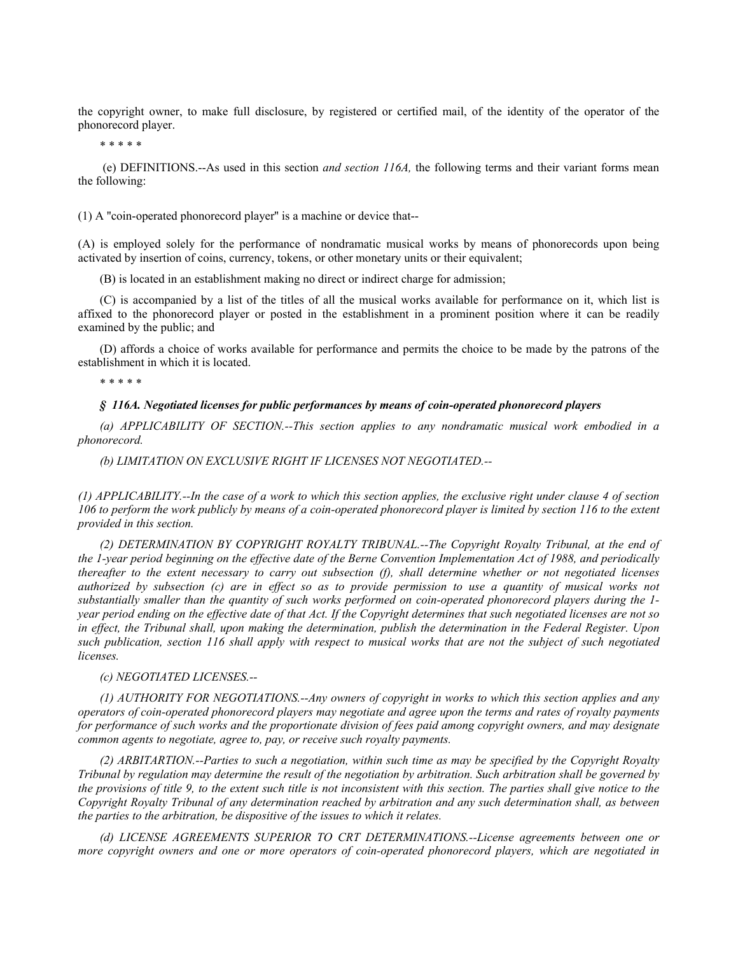the copyright owner, to make full disclosure, by registered or certified mail, of the identity of the operator of the phonorecord player.

\* \* \* \* \*

 (e) DEFINITIONS.--As used in this section *and section 116A,* the following terms and their variant forms mean the following:

(1) A ''coin-operated phonorecord player'' is a machine or device that--

(A) is employed solely for the performance of nondramatic musical works by means of phonorecords upon being activated by insertion of coins, currency, tokens, or other monetary units or their equivalent;

(B) is located in an establishment making no direct or indirect charge for admission;

(C) is accompanied by a list of the titles of all the musical works available for performance on it, which list is affixed to the phonorecord player or posted in the establishment in a prominent position where it can be readily examined by the public; and

(D) affords a choice of works available for performance and permits the choice to be made by the patrons of the establishment in which it is located.

\* \* \* \* \*

## *§ 116A. Negotiated licenses for public performances by means of coin-operated phonorecord players*

*(a) APPLICABILITY OF SECTION.--This section applies to any nondramatic musical work embodied in a phonorecord.*

*(b) LIMITATION ON EXCLUSIVE RIGHT IF LICENSES NOT NEGOTIATED.--*

*(1) APPLICABILITY.--In the case of a work to which this section applies, the exclusive right under clause 4 of section 106 to perform the work publicly by means of a coin-operated phonorecord player is limited by section 116 to the extent provided in this section.*

*(2) DETERMINATION BY COPYRIGHT ROYALTY TRIBUNAL.--The Copyright Royalty Tribunal, at the end of the 1-year period beginning on the effective date of the Berne Convention Implementation Act of 1988, and periodically thereafter to the extent necessary to carry out subsection (f), shall determine whether or not negotiated licenses authorized by subsection (c) are in effect so as to provide permission to use a quantity of musical works not substantially smaller than the quantity of such works performed on coin-operated phonorecord players during the 1 year period ending on the effective date of that Act. If the Copyright determines that such negotiated licenses are not so in effect, the Tribunal shall, upon making the determination, publish the determination in the Federal Register. Upon such publication, section 116 shall apply with respect to musical works that are not the subject of such negotiated licenses.*

#### *(c) NEGOTIATED LICENSES.--*

*(1) AUTHORITY FOR NEGOTIATIONS.--Any owners of copyright in works to which this section applies and any operators of coin-operated phonorecord players may negotiate and agree upon the terms and rates of royalty payments for performance of such works and the proportionate division of fees paid among copyright owners, and may designate common agents to negotiate, agree to, pay, or receive such royalty payments.*

*(2) ARBITARTION.--Parties to such a negotiation, within such time as may be specified by the Copyright Royalty Tribunal by regulation may determine the result of the negotiation by arbitration. Such arbitration shall be governed by the provisions of title 9, to the extent such title is not inconsistent with this section. The parties shall give notice to the Copyright Royalty Tribunal of any determination reached by arbitration and any such determination shall, as between the parties to the arbitration, be dispositive of the issues to which it relates.*

*(d) LICENSE AGREEMENTS SUPERIOR TO CRT DETERMINATIONS.--License agreements between one or more copyright owners and one or more operators of coin-operated phonorecord players, which are negotiated in*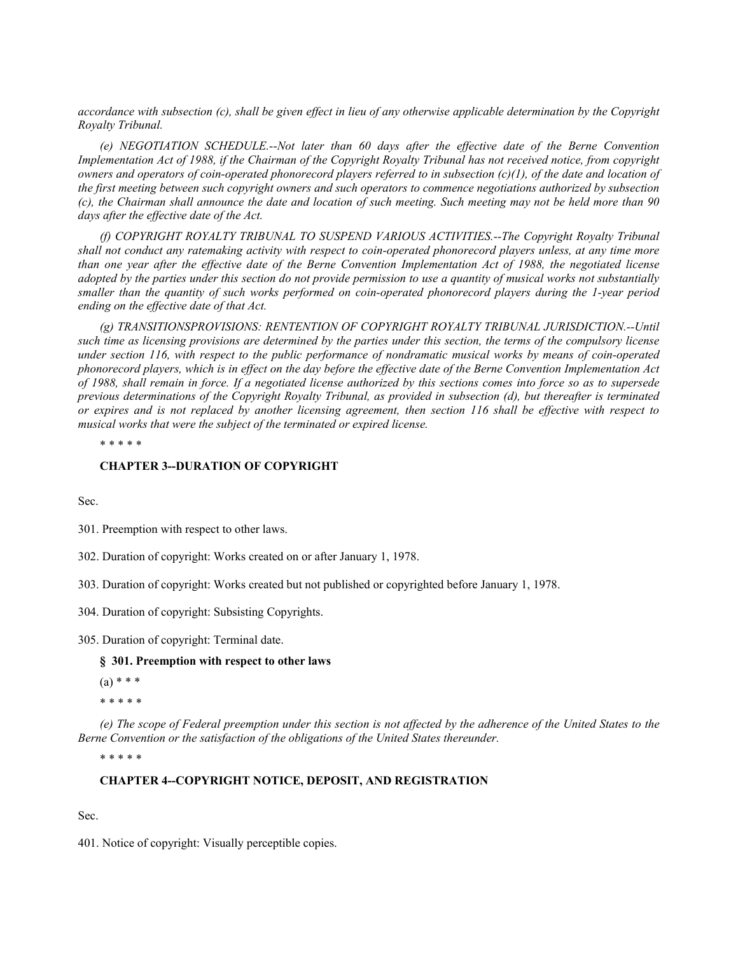*accordance with subsection (c), shall be given effect in lieu of any otherwise applicable determination by the Copyright Royalty Tribunal.*

*(e) NEGOTIATION SCHEDULE.--Not later than 60 days after the effective date of the Berne Convention Implementation Act of 1988, if the Chairman of the Copyright Royalty Tribunal has not received notice, from copyright owners and operators of coin-operated phonorecord players referred to in subsection (c)(1), of the date and location of the first meeting between such copyright owners and such operators to commence negotiations authorized by subsection (c), the Chairman shall announce the date and location of such meeting. Such meeting may not be held more than 90 days after the effective date of the Act.*

*(f) COPYRIGHT ROYALTY TRIBUNAL TO SUSPEND VARIOUS ACTIVITIES.--The Copyright Royalty Tribunal shall not conduct any ratemaking activity with respect to coin-operated phonorecord players unless, at any time more than one year after the effective date of the Berne Convention Implementation Act of 1988, the negotiated license adopted by the parties under this section do not provide permission to use a quantity of musical works not substantially smaller than the quantity of such works performed on coin-operated phonorecord players during the 1-year period ending on the effective date of that Act.*

*(g) TRANSITIONSPROVISIONS: RENTENTION OF COPYRIGHT ROYALTY TRIBUNAL JURISDICTION.--Until such time as licensing provisions are determined by the parties under this section, the terms of the compulsory license under section 116, with respect to the public performance of nondramatic musical works by means of coin-operated phonorecord players, which is in effect on the day before the effective date of the Berne Convention Implementation Act of 1988, shall remain in force. If a negotiated license authorized by this sections comes into force so as to supersede previous determinations of the Copyright Royalty Tribunal, as provided in subsection (d), but thereafter is terminated or expires and is not replaced by another licensing agreement, then section 116 shall be effective with respect to musical works that were the subject of the terminated or expired license.*

\* \* \* \* \*

# **CHAPTER 3--DURATION OF COPYRIGHT**

Sec.

301. Preemption with respect to other laws.

302. Duration of copyright: Works created on or after January 1, 1978.

303. Duration of copyright: Works created but not published or copyrighted before January 1, 1978.

304. Duration of copyright: Subsisting Copyrights.

305. Duration of copyright: Terminal date.

#### **§ 301. Preemption with respect to other laws**

 $(a) * * *$ 

\* \* \* \* \*

*(e) The scope of Federal preemption under this section is not affected by the adherence of the United States to the Berne Convention or the satisfaction of the obligations of the United States thereunder.*

\* \* \* \* \*

### **CHAPTER 4--COPYRIGHT NOTICE, DEPOSIT, AND REGISTRATION**

Sec.

401. Notice of copyright: Visually perceptible copies.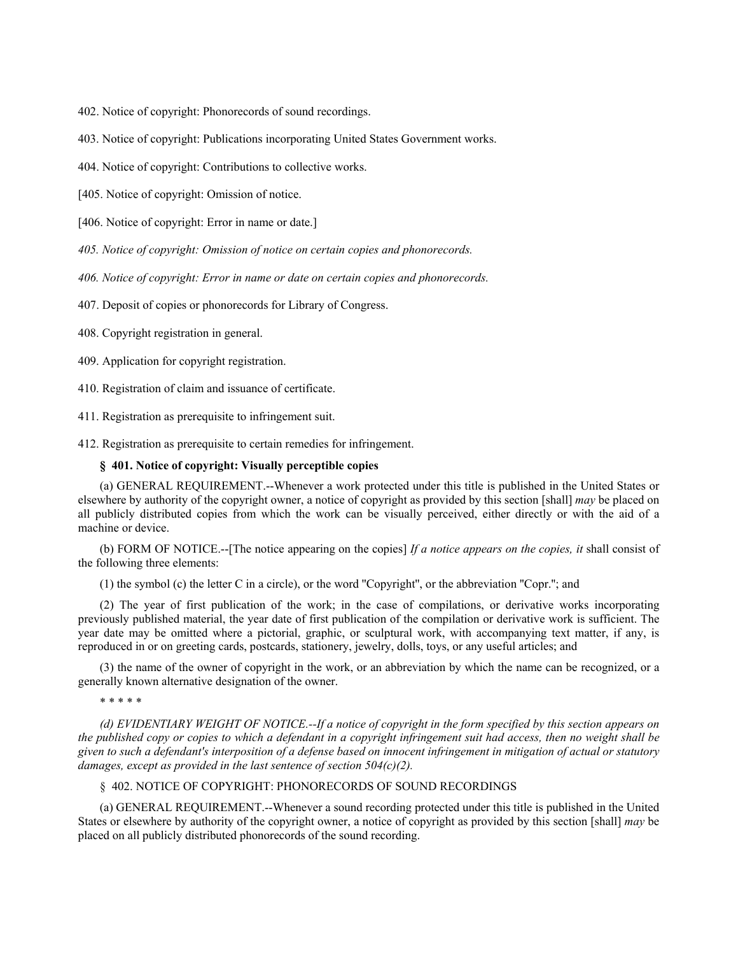- 402. Notice of copyright: Phonorecords of sound recordings.
- 403. Notice of copyright: Publications incorporating United States Government works.
- 404. Notice of copyright: Contributions to collective works.
- [405. Notice of copyright: Omission of notice.
- [406. Notice of copyright: Error in name or date.]
- *405. Notice of copyright: Omission of notice on certain copies and phonorecords.*
- *406. Notice of copyright: Error in name or date on certain copies and phonorecords.*
- 407. Deposit of copies or phonorecords for Library of Congress.
- 408. Copyright registration in general.
- 409. Application for copyright registration.
- 410. Registration of claim and issuance of certificate.
- 411. Registration as prerequisite to infringement suit.
- 412. Registration as prerequisite to certain remedies for infringement.

# **§ 401. Notice of copyright: Visually perceptible copies**

(a) GENERAL REQUIREMENT.--Whenever a work protected under this title is published in the United States or elsewhere by authority of the copyright owner, a notice of copyright as provided by this section [shall] *may* be placed on all publicly distributed copies from which the work can be visually perceived, either directly or with the aid of a machine or device.

(b) FORM OF NOTICE.--[The notice appearing on the copies] *If a notice appears on the copies, it* shall consist of the following three elements:

(1) the symbol (c) the letter C in a circle), or the word ''Copyright'', or the abbreviation ''Copr.''; and

(2) The year of first publication of the work; in the case of compilations, or derivative works incorporating previously published material, the year date of first publication of the compilation or derivative work is sufficient. The year date may be omitted where a pictorial, graphic, or sculptural work, with accompanying text matter, if any, is reproduced in or on greeting cards, postcards, stationery, jewelry, dolls, toys, or any useful articles; and

(3) the name of the owner of copyright in the work, or an abbreviation by which the name can be recognized, or a generally known alternative designation of the owner.

\* \* \* \* \*

*(d) EVIDENTIARY WEIGHT OF NOTICE.--If a notice of copyright in the form specified by this section appears on the published copy or copies to which a defendant in a copyright infringement suit had access, then no weight shall be given to such a defendant's interposition of a defense based on innocent infringement in mitigation of actual or statutory damages, except as provided in the last sentence of section 504(c)(2).*

## § 402. NOTICE OF COPYRIGHT: PHONORECORDS OF SOUND RECORDINGS

(a) GENERAL REQUIREMENT.--Whenever a sound recording protected under this title is published in the United States or elsewhere by authority of the copyright owner, a notice of copyright as provided by this section [shall] *may* be placed on all publicly distributed phonorecords of the sound recording.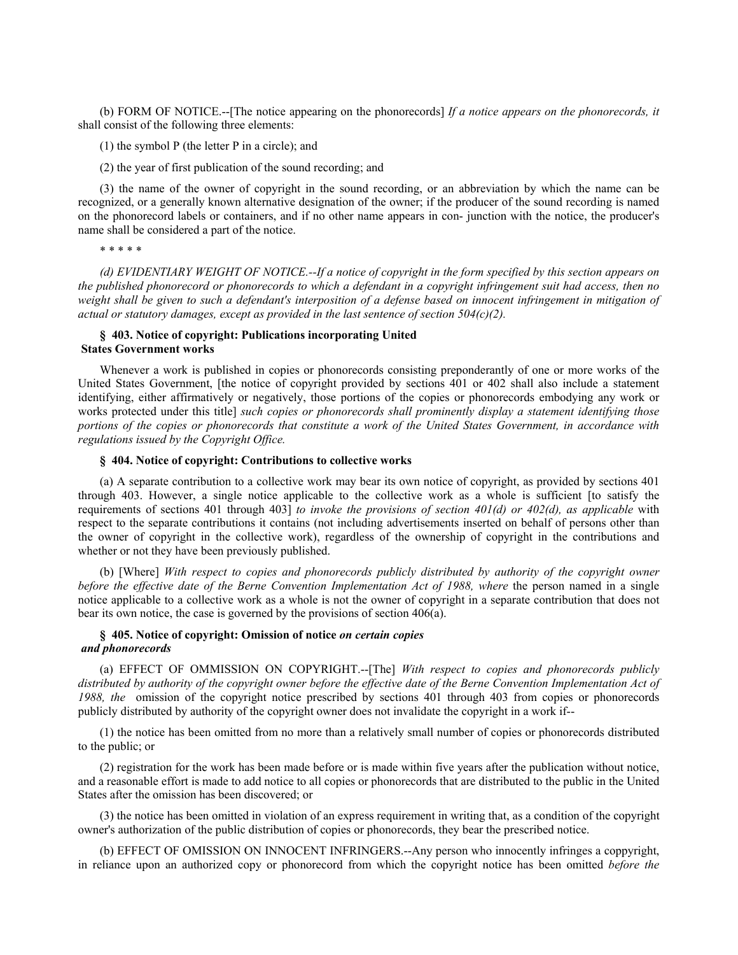(b) FORM OF NOTICE.--[The notice appearing on the phonorecords] *If a notice appears on the phonorecords, it* shall consist of the following three elements:

(1) the symbol P (the letter P in a circle); and

(2) the year of first publication of the sound recording; and

(3) the name of the owner of copyright in the sound recording, or an abbreviation by which the name can be recognized, or a generally known alternative designation of the owner; if the producer of the sound recording is named on the phonorecord labels or containers, and if no other name appears in con- junction with the notice, the producer's name shall be considered a part of the notice.

\* \* \* \* \*

*(d) EVIDENTIARY WEIGHT OF NOTICE.--If a notice of copyright in the form specified by this section appears on the published phonorecord or phonorecords to which a defendant in a copyright infringement suit had access, then no*  weight shall be given to such a defendant's interposition of a defense based on innocent infringement in mitigation of *actual or statutory damages, except as provided in the last sentence of section 504(c)(2).*

#### **§ 403. Notice of copyright: Publications incorporating United States Government works**

Whenever a work is published in copies or phonorecords consisting preponderantly of one or more works of the United States Government, [the notice of copyright provided by sections 401 or 402 shall also include a statement identifying, either affirmatively or negatively, those portions of the copies or phonorecords embodying any work or works protected under this title] *such copies or phonorecords shall prominently display a statement identifying those portions of the copies or phonorecords that constitute a work of the United States Government, in accordance with regulations issued by the Copyright Office.*

#### **§ 404. Notice of copyright: Contributions to collective works**

(a) A separate contribution to a collective work may bear its own notice of copyright, as provided by sections 401 through 403. However, a single notice applicable to the collective work as a whole is sufficient [to satisfy the requirements of sections 401 through 403] *to invoke the provisions of section 401(d) or 402(d), as applicable* with respect to the separate contributions it contains (not including advertisements inserted on behalf of persons other than the owner of copyright in the collective work), regardless of the ownership of copyright in the contributions and whether or not they have been previously published.

(b) [Where] *With respect to copies and phonorecords publicly distributed by authority of the copyright owner before the effective date of the Berne Convention Implementation Act of 1988, where* the person named in a single notice applicable to a collective work as a whole is not the owner of copyright in a separate contribution that does not bear its own notice, the case is governed by the provisions of section 406(a).

### **§ 405. Notice of copyright: Omission of notice** *on certain copies and phonorecords*

(a) EFFECT OF OMMISSION ON COPYRIGHT.--[The] *With respect to copies and phonorecords publicly distributed by authority of the copyright owner before the effective date of the Berne Convention Implementation Act of 1988, the* omission of the copyright notice prescribed by sections 401 through 403 from copies or phonorecords publicly distributed by authority of the copyright owner does not invalidate the copyright in a work if--

(1) the notice has been omitted from no more than a relatively small number of copies or phonorecords distributed to the public; or

(2) registration for the work has been made before or is made within five years after the publication without notice, and a reasonable effort is made to add notice to all copies or phonorecords that are distributed to the public in the United States after the omission has been discovered; or

(3) the notice has been omitted in violation of an express requirement in writing that, as a condition of the copyright owner's authorization of the public distribution of copies or phonorecords, they bear the prescribed notice.

(b) EFFECT OF OMISSION ON INNOCENT INFRINGERS.--Any person who innocently infringes a coppyright, in reliance upon an authorized copy or phonorecord from which the copyright notice has been omitted *before the*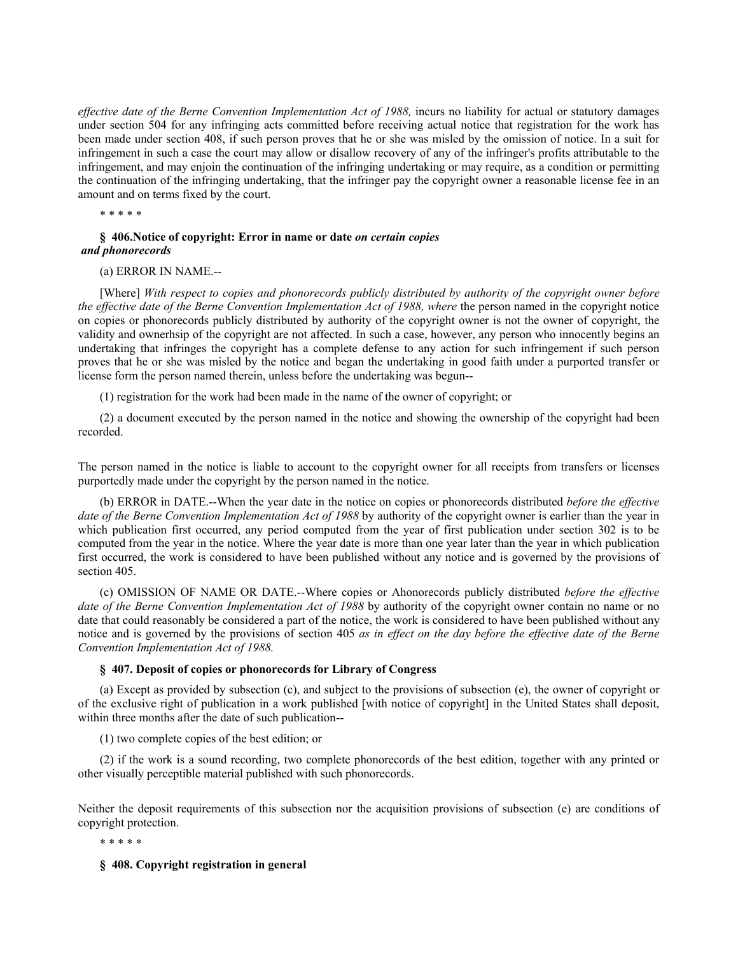*effective date of the Berne Convention Implementation Act of 1988,* incurs no liability for actual or statutory damages under section 504 for any infringing acts committed before receiving actual notice that registration for the work has been made under section 408, if such person proves that he or she was misled by the omission of notice. In a suit for infringement in such a case the court may allow or disallow recovery of any of the infringer's profits attributable to the infringement, and may enjoin the continuation of the infringing undertaking or may require, as a condition or permitting the continuation of the infringing undertaking, that the infringer pay the copyright owner a reasonable license fee in an amount and on terms fixed by the court.

\* \* \* \* \*

#### **§ 406.Notice of copyright: Error in name or date** *on certain copies and phonorecords*

(a) ERROR IN NAME.--

[Where] *With respect to copies and phonorecords publicly distributed by authority of the copyright owner before the effective date of the Berne Convention Implementation Act of 1988, where the person named in the copyright notice* on copies or phonorecords publicly distributed by authority of the copyright owner is not the owner of copyright, the validity and ownerhsip of the copyright are not affected. In such a case, however, any person who innocently begins an undertaking that infringes the copyright has a complete defense to any action for such infringement if such person proves that he or she was misled by the notice and began the undertaking in good faith under a purported transfer or license form the person named therein, unless before the undertaking was begun--

(1) registration for the work had been made in the name of the owner of copyright; or

(2) a document executed by the person named in the notice and showing the ownership of the copyright had been recorded.

The person named in the notice is liable to account to the copyright owner for all receipts from transfers or licenses purportedly made under the copyright by the person named in the notice.

(b) ERROR in DATE.--When the year date in the notice on copies or phonorecords distributed *before the effective date of the Berne Convention Implementation Act of 1988* by authority of the copyright owner is earlier than the year in which publication first occurred, any period computed from the year of first publication under section 302 is to be computed from the year in the notice. Where the year date is more than one year later than the year in which publication first occurred, the work is considered to have been published without any notice and is governed by the provisions of section 405.

(c) OMISSION OF NAME OR DATE.--Where copies or Ahonorecords publicly distributed *before the effective date of the Berne Convention Implementation Act of 1988* by authority of the copyright owner contain no name or no date that could reasonably be considered a part of the notice, the work is considered to have been published without any notice and is governed by the provisions of section 405 *as in effect on the day before the effective date of the Berne Convention Implementation Act of 1988.*

# **§ 407. Deposit of copies or phonorecords for Library of Congress**

(a) Except as provided by subsection (c), and subject to the provisions of subsection (e), the owner of copyright or of the exclusive right of publication in a work published [with notice of copyright] in the United States shall deposit, within three months after the date of such publication--

(1) two complete copies of the best edition; or

(2) if the work is a sound recording, two complete phonorecords of the best edition, together with any printed or other visually perceptible material published with such phonorecords.

Neither the deposit requirements of this subsection nor the acquisition provisions of subsection (e) are conditions of copyright protection.

\* \* \* \* \*

#### **§ 408. Copyright registration in general**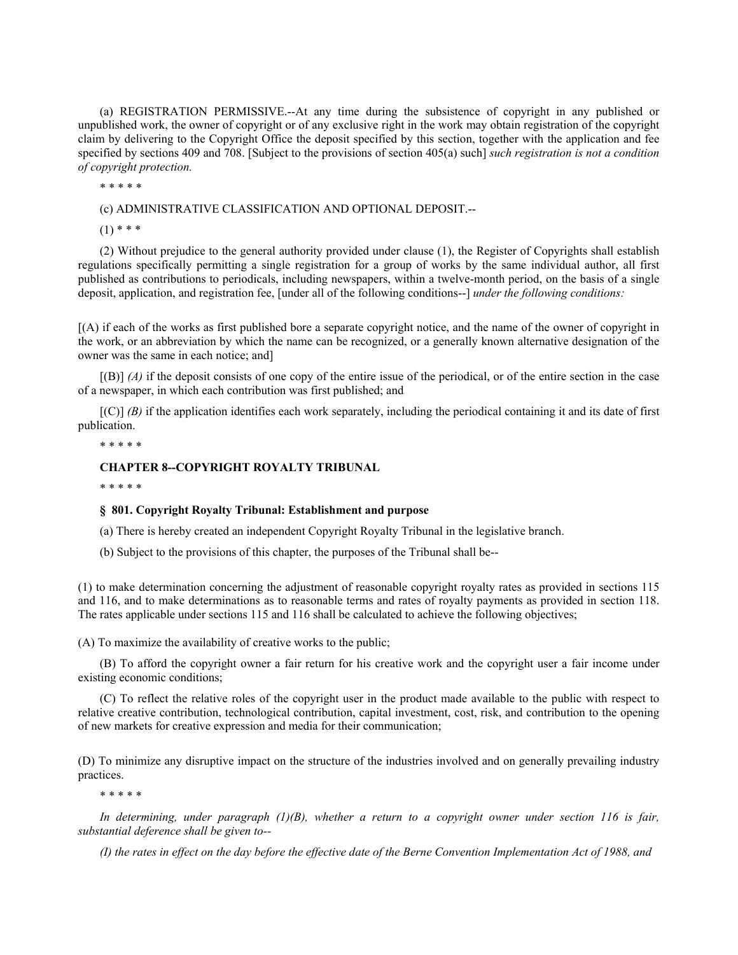(a) REGISTRATION PERMISSIVE.--At any time during the subsistence of copyright in any published or unpublished work, the owner of copyright or of any exclusive right in the work may obtain registration of the copyright claim by delivering to the Copyright Office the deposit specified by this section, together with the application and fee specified by sections 409 and 708. [Subject to the provisions of section 405(a) such] *such registration is not a condition of copyright protection.*

\* \* \* \* \*

(c) ADMINISTRATIVE CLASSIFICATION AND OPTIONAL DEPOSIT.--

 $(1)$  \* \* \*

(2) Without prejudice to the general authority provided under clause (1), the Register of Copyrights shall establish regulations specifically permitting a single registration for a group of works by the same individual author, all first published as contributions to periodicals, including newspapers, within a twelve-month period, on the basis of a single deposit, application, and registration fee, [under all of the following conditions--] *under the following conditions:*

[(A) if each of the works as first published bore a separate copyright notice, and the name of the owner of copyright in the work, or an abbreviation by which the name can be recognized, or a generally known alternative designation of the owner was the same in each notice; and]

[(B)] *(A)* if the deposit consists of one copy of the entire issue of the periodical, or of the entire section in the case of a newspaper, in which each contribution was first published; and

 $[{\rm (C)}]$  *(B)* if the application identifies each work separately, including the periodical containing it and its date of first publication.

\* \* \* \* \*

#### **CHAPTER 8--COPYRIGHT ROYALTY TRIBUNAL**

\* \* \* \* \*

# **§ 801. Copyright Royalty Tribunal: Establishment and purpose**

(a) There is hereby created an independent Copyright Royalty Tribunal in the legislative branch.

(b) Subject to the provisions of this chapter, the purposes of the Tribunal shall be--

(1) to make determination concerning the adjustment of reasonable copyright royalty rates as provided in sections 115 and 116, and to make determinations as to reasonable terms and rates of royalty payments as provided in section 118. The rates applicable under sections 115 and 116 shall be calculated to achieve the following objectives;

(A) To maximize the availability of creative works to the public;

(B) To afford the copyright owner a fair return for his creative work and the copyright user a fair income under existing economic conditions;

(C) To reflect the relative roles of the copyright user in the product made available to the public with respect to relative creative contribution, technological contribution, capital investment, cost, risk, and contribution to the opening of new markets for creative expression and media for their communication;

(D) To minimize any disruptive impact on the structure of the industries involved and on generally prevailing industry practices.

\* \* \* \* \*

*In determining, under paragraph (1)(B), whether a return to a copyright owner under section 116 is fair, substantial deference shall be given to--*

*(I) the rates in effect on the day before the effective date of the Berne Convention Implementation Act of 1988, and*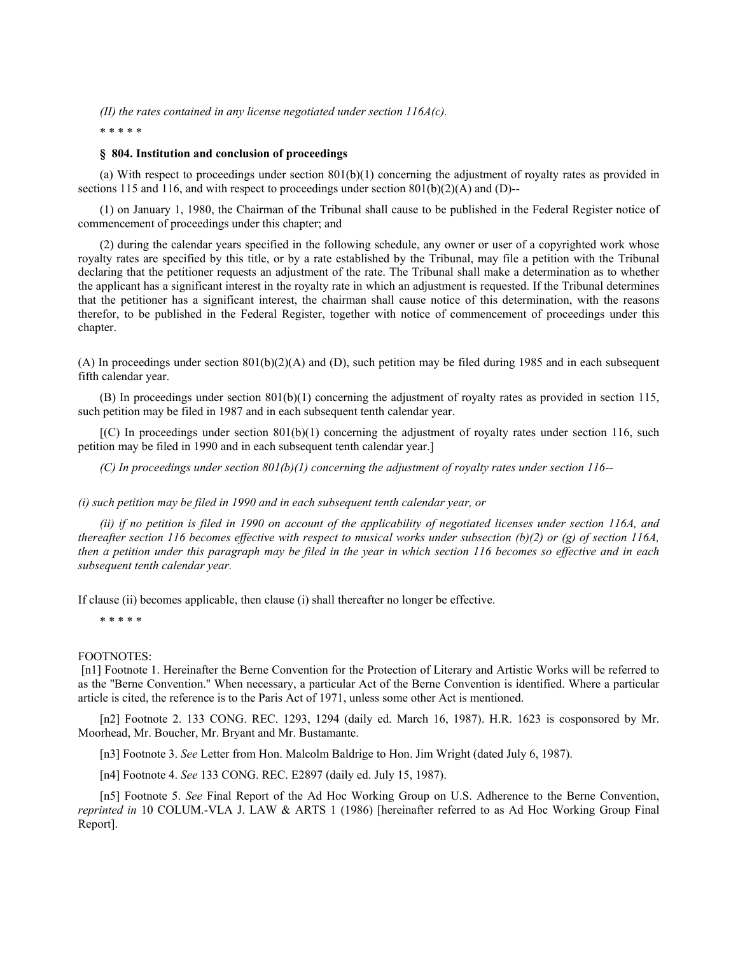*(II) the rates contained in any license negotiated under section 116A(c).*

\* \* \* \* \*

# **§ 804. Institution and conclusion of proceedings**

(a) With respect to proceedings under section  $801(b)(1)$  concerning the adjustment of royalty rates as provided in sections 115 and 116, and with respect to proceedings under section  $801(b)(2)(A)$  and (D)--

(1) on January 1, 1980, the Chairman of the Tribunal shall cause to be published in the Federal Register notice of commencement of proceedings under this chapter; and

(2) during the calendar years specified in the following schedule, any owner or user of a copyrighted work whose royalty rates are specified by this title, or by a rate established by the Tribunal, may file a petition with the Tribunal declaring that the petitioner requests an adjustment of the rate. The Tribunal shall make a determination as to whether the applicant has a significant interest in the royalty rate in which an adjustment is requested. If the Tribunal determines that the petitioner has a significant interest, the chairman shall cause notice of this determination, with the reasons therefor, to be published in the Federal Register, together with notice of commencement of proceedings under this chapter.

(A) In proceedings under section  $801(b)(2)(A)$  and (D), such petition may be filed during 1985 and in each subsequent fifth calendar year.

(B) In proceedings under section 801(b)(1) concerning the adjustment of royalty rates as provided in section 115, such petition may be filed in 1987 and in each subsequent tenth calendar year.

[(C) In proceedings under section 801(b)(1) concerning the adjustment of royalty rates under section 116, such petition may be filed in 1990 and in each subsequent tenth calendar year.]

*(C) In proceedings under section 801(b)(1) concerning the adjustment of royalty rates under section 116--*

*(i) such petition may be filed in 1990 and in each subsequent tenth calendar year, or*

*(ii) if no petition is filed in 1990 on account of the applicability of negotiated licenses under section 116A, and thereafter section 116 becomes effective with respect to musical works under subsection (b)(2) or (g) of section 116A, then a petition under this paragraph may be filed in the year in which section 116 becomes so effective and in each subsequent tenth calendar year.*

If clause (ii) becomes applicable, then clause (i) shall thereafter no longer be effective.

\* \* \* \* \*

# FOOTNOTES:

[n1] Footnote 1. Hereinafter the Berne Convention for the Protection of Literary and Artistic Works will be referred to as the ''Berne Convention.'' When necessary, a particular Act of the Berne Convention is identified. Where a particular article is cited, the reference is to the Paris Act of 1971, unless some other Act is mentioned.

[n2] Footnote 2. 133 CONG. REC. 1293, 1294 (daily ed. March 16, 1987). H.R. 1623 is cosponsored by Mr. Moorhead, Mr. Boucher, Mr. Bryant and Mr. Bustamante.

[n3] Footnote 3. *See* Letter from Hon. Malcolm Baldrige to Hon. Jim Wright (dated July 6, 1987).

[n4] Footnote 4. *See* 133 CONG. REC. E2897 (daily ed. July 15, 1987).

[n5] Footnote 5. See Final Report of the Ad Hoc Working Group on U.S. Adherence to the Berne Convention, *reprinted in* 10 COLUM.-VLA J. LAW & ARTS 1 (1986) [hereinafter referred to as Ad Hoc Working Group Final Report].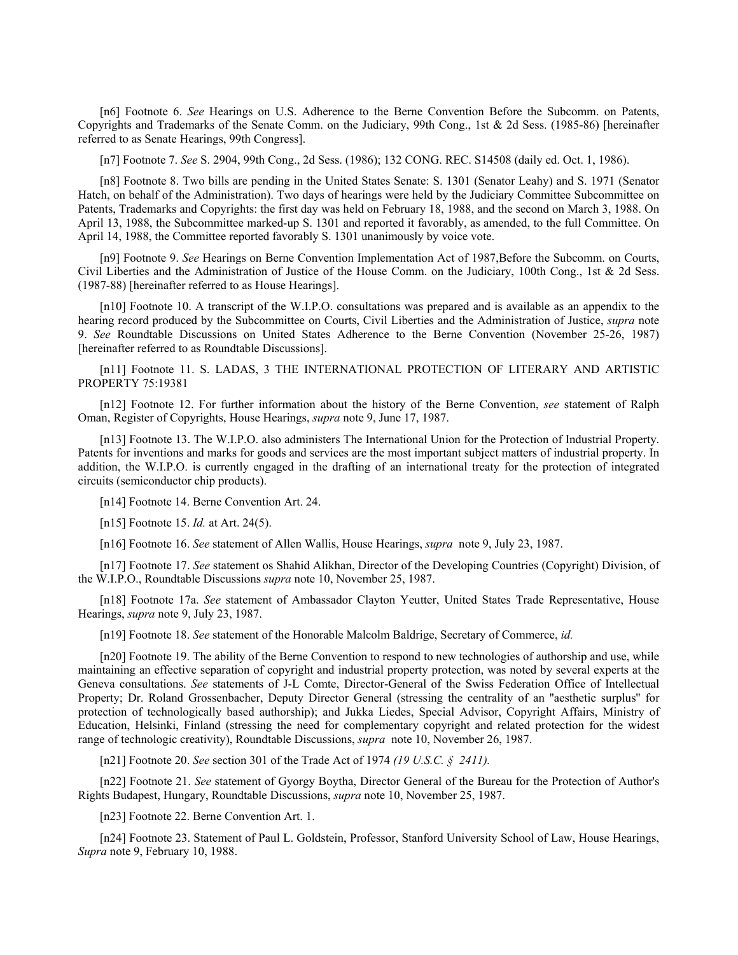[n6] Footnote 6. *See* Hearings on U.S. Adherence to the Berne Convention Before the Subcomm. on Patents, Copyrights and Trademarks of the Senate Comm. on the Judiciary, 99th Cong., 1st & 2d Sess. (1985-86) [hereinafter referred to as Senate Hearings, 99th Congress].

[n7] Footnote 7. *See* S. 2904, 99th Cong., 2d Sess. (1986); 132 CONG. REC. S14508 (daily ed. Oct. 1, 1986).

[n8] Footnote 8. Two bills are pending in the United States Senate: S. 1301 (Senator Leahy) and S. 1971 (Senator Hatch, on behalf of the Administration). Two days of hearings were held by the Judiciary Committee Subcommittee on Patents, Trademarks and Copyrights: the first day was held on February 18, 1988, and the second on March 3, 1988. On April 13, 1988, the Subcommittee marked-up S. 1301 and reported it favorably, as amended, to the full Committee. On April 14, 1988, the Committee reported favorably S. 1301 unanimously by voice vote.

[n9] Footnote 9. *See* Hearings on Berne Convention Implementation Act of 1987, Before the Subcomm. on Courts, Civil Liberties and the Administration of Justice of the House Comm. on the Judiciary, 100th Cong., 1st & 2d Sess. (1987-88) [hereinafter referred to as House Hearings].

[n10] Footnote 10. A transcript of the W.I.P.O. consultations was prepared and is available as an appendix to the hearing record produced by the Subcommittee on Courts, Civil Liberties and the Administration of Justice, *supra* note 9. *See* Roundtable Discussions on United States Adherence to the Berne Convention (November 25-26, 1987) [hereinafter referred to as Roundtable Discussions].

[n11] Footnote 11. S. LADAS, 3 THE INTERNATIONAL PROTECTION OF LITERARY AND ARTISTIC PROPERTY 75:19381

[n12] Footnote 12. For further information about the history of the Berne Convention, *see* statement of Ralph Oman, Register of Copyrights, House Hearings, *supra* note 9, June 17, 1987.

[n13] Footnote 13. The W.I.P.O. also administers The International Union for the Protection of Industrial Property. Patents for inventions and marks for goods and services are the most important subject matters of industrial property. In addition, the W.I.P.O. is currently engaged in the drafting of an international treaty for the protection of integrated circuits (semiconductor chip products).

[n14] Footnote 14. Berne Convention Art. 24.

[n15] Footnote 15. *Id.* at Art. 24(5).

[n16] Footnote 16. *See* statement of Allen Wallis, House Hearings, *supra* note 9, July 23, 1987.

[n17] Footnote 17. *See* statement os Shahid Alikhan, Director of the Developing Countries (Copyright) Division, of the W.I.P.O., Roundtable Discussions *supra* note 10, November 25, 1987.

[n18] Footnote 17a. See statement of Ambassador Clayton Yeutter, United States Trade Representative, House Hearings, *supra* note 9, July 23, 1987.

[n19] Footnote 18. *See* statement of the Honorable Malcolm Baldrige, Secretary of Commerce, *id.*

[n20] Footnote 19. The ability of the Berne Convention to respond to new technologies of authorship and use, while maintaining an effective separation of copyright and industrial property protection, was noted by several experts at the Geneva consultations. *See* statements of J-L Comte, Director-General of the Swiss Federation Office of Intellectual Property; Dr. Roland Grossenbacher, Deputy Director General (stressing the centrality of an ''aesthetic surplus'' for protection of technologically based authorship); and Jukka Liedes, Special Advisor, Copyright Affairs, Ministry of Education, Helsinki, Finland (stressing the need for complementary copyright and related protection for the widest range of technologic creativity), Roundtable Discussions, *supra* note 10, November 26, 1987.

[n21] Footnote 20. *See* section 301 of the Trade Act of 1974 *(19 U.S.C. § 2411).*

[n22] Footnote 21. *See* statement of Gyorgy Boytha, Director General of the Bureau for the Protection of Author's Rights Budapest, Hungary, Roundtable Discussions, *supra* note 10, November 25, 1987.

[n23] Footnote 22. Berne Convention Art. 1.

[n24] Footnote 23. Statement of Paul L. Goldstein, Professor, Stanford University School of Law, House Hearings, *Supra* note 9, February 10, 1988.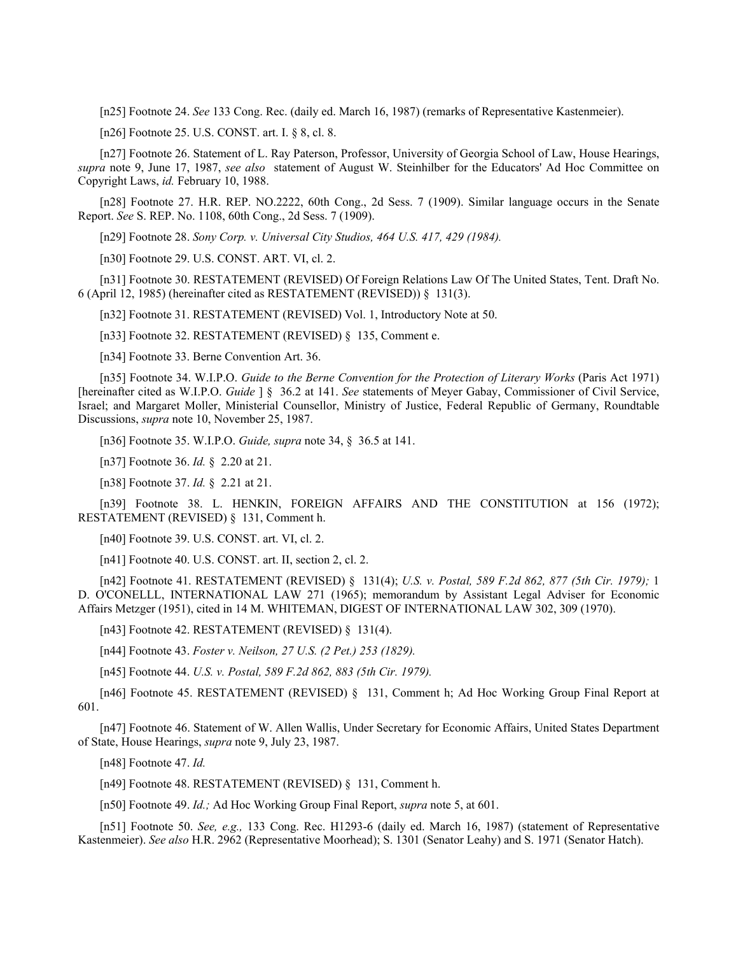[n25] Footnote 24. *See* 133 Cong. Rec. (daily ed. March 16, 1987) (remarks of Representative Kastenmeier).

[n26] Footnote 25. U.S. CONST. art. I. § 8, cl. 8.

[n27] Footnote 26. Statement of L. Ray Paterson, Professor, University of Georgia School of Law, House Hearings, *supra* note 9, June 17, 1987, *see also* statement of August W. Steinhilber for the Educators' Ad Hoc Committee on Copyright Laws, *id.* February 10, 1988.

[n28] Footnote 27. H.R. REP. NO.2222, 60th Cong., 2d Sess. 7 (1909). Similar language occurs in the Senate Report. *See* S. REP. No. 1108, 60th Cong., 2d Sess. 7 (1909).

[n29] Footnote 28. *Sony Corp. v. Universal City Studios, 464 U.S. 417, 429 (1984).*

[n30] Footnote 29. U.S. CONST. ART. VI, cl. 2.

[n31] Footnote 30. RESTATEMENT (REVISED) Of Foreign Relations Law Of The United States, Tent. Draft No. 6 (April 12, 1985) (hereinafter cited as RESTATEMENT (REVISED)) § 131(3).

[n32] Footnote 31. RESTATEMENT (REVISED) Vol. 1, Introductory Note at 50.

[n33] Footnote 32. RESTATEMENT (REVISED) § 135, Comment e.

[n34] Footnote 33. Berne Convention Art. 36.

[n35] Footnote 34. W.I.P.O. *Guide to the Berne Convention for the Protection of Literary Works* (Paris Act 1971) [hereinafter cited as W.I.P.O. *Guide* ] § 36.2 at 141. *See* statements of Meyer Gabay, Commissioner of Civil Service, Israel; and Margaret Moller, Ministerial Counsellor, Ministry of Justice, Federal Republic of Germany, Roundtable Discussions, *supra* note 10, November 25, 1987.

[n36] Footnote 35. W.I.P.O. *Guide, supra* note 34, § 36.5 at 141.

[n37] Footnote 36. *Id.* § 2.20 at 21.

[n38] Footnote 37. *Id.* § 2.21 at 21.

[n39] Footnote 38. L. HENKIN, FOREIGN AFFAIRS AND THE CONSTITUTION at 156 (1972); RESTATEMENT (REVISED) § 131, Comment h.

[n40] Footnote 39. U.S. CONST. art. VI, cl. 2.

[n41] Footnote 40. U.S. CONST. art. II, section 2, cl. 2.

[n42] Footnote 41. RESTATEMENT (REVISED) § 131(4); *U.S. v. Postal, 589 F.2d 862, 877 (5th Cir. 1979);* 1 D. O'CONELLL, INTERNATIONAL LAW 271 (1965); memorandum by Assistant Legal Adviser for Economic Affairs Metzger (1951), cited in 14 M. WHITEMAN, DIGEST OF INTERNATIONAL LAW 302, 309 (1970).

[n43] Footnote 42. RESTATEMENT (REVISED) § 131(4).

[n44] Footnote 43. *Foster v. Neilson, 27 U.S. (2 Pet.) 253 (1829).*

[n45] Footnote 44. *U.S. v. Postal, 589 F.2d 862, 883 (5th Cir. 1979).*

[n46] Footnote 45. RESTATEMENT (REVISED) § 131, Comment h; Ad Hoc Working Group Final Report at 601.

[n47] Footnote 46. Statement of W. Allen Wallis, Under Secretary for Economic Affairs, United States Department of State, House Hearings, *supra* note 9, July 23, 1987.

[n48] Footnote 47. *Id.*

[n49] Footnote 48. RESTATEMENT (REVISED) § 131, Comment h.

[n50] Footnote 49. *Id.;* Ad Hoc Working Group Final Report, *supra* note 5, at 601.

[n51] Footnote 50. *See, e.g.,* 133 Cong. Rec. H1293-6 (daily ed. March 16, 1987) (statement of Representative Kastenmeier). *See also* H.R. 2962 (Representative Moorhead); S. 1301 (Senator Leahy) and S. 1971 (Senator Hatch).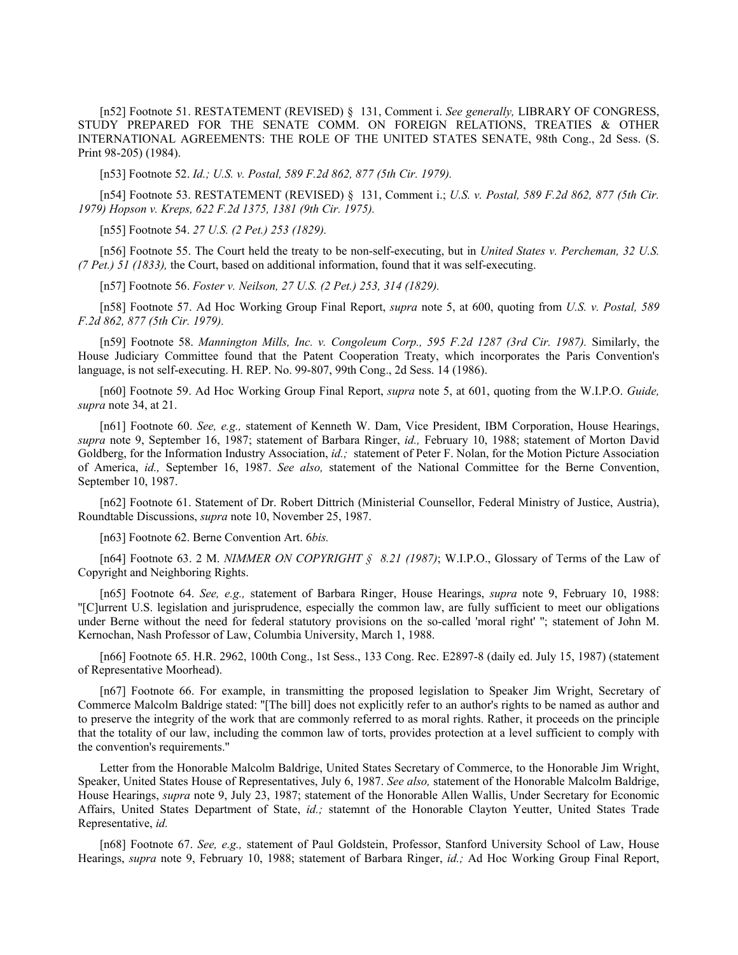[n52] Footnote 51. RESTATEMENT (REVISED) § 131, Comment i. *See generally,* LIBRARY OF CONGRESS, STUDY PREPARED FOR THE SENATE COMM. ON FOREIGN RELATIONS, TREATIES & OTHER INTERNATIONAL AGREEMENTS: THE ROLE OF THE UNITED STATES SENATE, 98th Cong., 2d Sess. (S. Print 98-205) (1984).

[n53] Footnote 52. *Id.; U.S. v. Postal, 589 F.2d 862, 877 (5th Cir. 1979).*

[n54] Footnote 53. RESTATEMENT (REVISED) § 131, Comment i.; *U.S. v. Postal, 589 F.2d 862, 877 (5th Cir. 1979) Hopson v. Kreps, 622 F.2d 1375, 1381 (9th Cir. 1975).*

[n55] Footnote 54. *27 U.S. (2 Pet.) 253 (1829).*

[n56] Footnote 55. The Court held the treaty to be non-self-executing, but in *United States v. Percheman, 32 U.S. (7 Pet.) 51 (1833),* the Court, based on additional information, found that it was self-executing.

[n57] Footnote 56. *Foster v. Neilson, 27 U.S. (2 Pet.) 253, 314 (1829).*

[n58] Footnote 57. Ad Hoc Working Group Final Report, *supra* note 5, at 600, quoting from *U.S. v. Postal, 589 F.2d 862, 877 (5th Cir. 1979).*

[n59] Footnote 58. *Mannington Mills, Inc. v. Congoleum Corp., 595 F.2d 1287 (3rd Cir. 1987).* Similarly, the House Judiciary Committee found that the Patent Cooperation Treaty, which incorporates the Paris Convention's language, is not self-executing. H. REP. No. 99-807, 99th Cong., 2d Sess. 14 (1986).

[n60] Footnote 59. Ad Hoc Working Group Final Report, *supra* note 5, at 601, quoting from the W.I.P.O. *Guide, supra* note 34, at 21.

[n61] Footnote 60. *See, e.g.,* statement of Kenneth W. Dam, Vice President, IBM Corporation, House Hearings, *supra* note 9, September 16, 1987; statement of Barbara Ringer, *id.,* February 10, 1988; statement of Morton David Goldberg, for the Information Industry Association, *id.;* statement of Peter F. Nolan, for the Motion Picture Association of America, *id.,* September 16, 1987. *See also,* statement of the National Committee for the Berne Convention, September 10, 1987.

[n62] Footnote 61. Statement of Dr. Robert Dittrich (Ministerial Counsellor, Federal Ministry of Justice, Austria), Roundtable Discussions, *supra* note 10, November 25, 1987.

[n63] Footnote 62. Berne Convention Art. 6*bis.*

[n64] Footnote 63. 2 M. *NIMMER ON COPYRIGHT § 8.21 (1987)*; W.I.P.O., Glossary of Terms of the Law of Copyright and Neighboring Rights.

[n65] Footnote 64. *See, e.g.,* statement of Barbara Ringer, House Hearings, *supra* note 9, February 10, 1988: ''[C]urrent U.S. legislation and jurisprudence, especially the common law, are fully sufficient to meet our obligations under Berne without the need for federal statutory provisions on the so-called 'moral right' ''; statement of John M. Kernochan, Nash Professor of Law, Columbia University, March 1, 1988.

[n66] Footnote 65. H.R. 2962, 100th Cong., 1st Sess., 133 Cong. Rec. E2897-8 (daily ed. July 15, 1987) (statement of Representative Moorhead).

[n67] Footnote 66. For example, in transmitting the proposed legislation to Speaker Jim Wright, Secretary of Commerce Malcolm Baldrige stated: ''[The bill] does not explicitly refer to an author's rights to be named as author and to preserve the integrity of the work that are commonly referred to as moral rights. Rather, it proceeds on the principle that the totality of our law, including the common law of torts, provides protection at a level sufficient to comply with the convention's requirements.''

Letter from the Honorable Malcolm Baldrige, United States Secretary of Commerce, to the Honorable Jim Wright, Speaker, United States House of Representatives, July 6, 1987. *See also,* statement of the Honorable Malcolm Baldrige, House Hearings, *supra* note 9, July 23, 1987; statement of the Honorable Allen Wallis, Under Secretary for Economic Affairs, United States Department of State, *id.;* statemnt of the Honorable Clayton Yeutter, United States Trade Representative, *id.*

[n68] Footnote 67. *See, e.g.,* statement of Paul Goldstein, Professor, Stanford University School of Law, House Hearings, *supra* note 9, February 10, 1988; statement of Barbara Ringer, *id.;* Ad Hoc Working Group Final Report,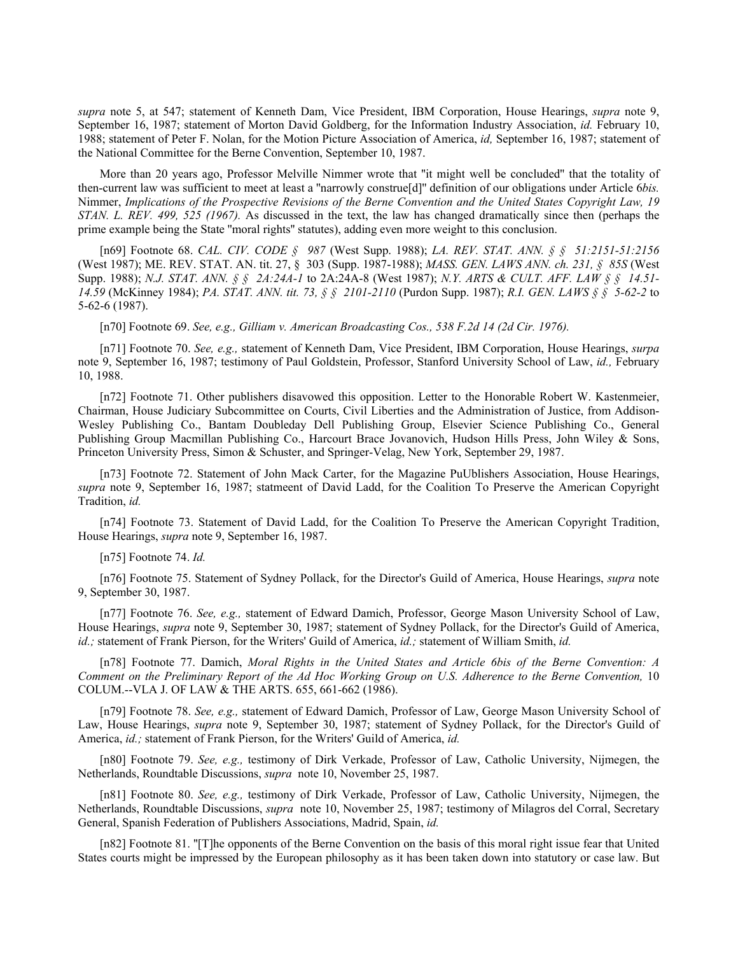*supra* note 5, at 547; statement of Kenneth Dam, Vice President, IBM Corporation, House Hearings, *supra* note 9, September 16, 1987; statement of Morton David Goldberg, for the Information Industry Association, *id.* February 10, 1988; statement of Peter F. Nolan, for the Motion Picture Association of America, *id,* September 16, 1987; statement of the National Committee for the Berne Convention, September 10, 1987.

More than 20 years ago, Professor Melville Nimmer wrote that ''it might well be concluded'' that the totality of then-current law was sufficient to meet at least a ''narrowly construe[d]'' definition of our obligations under Article 6*bis.* Nimmer, *Implications of the Prospective Revisions of the Berne Convention and the United States Copyright Law, 19 STAN. L. REV. 499, 525 (1967).* As discussed in the text, the law has changed dramatically since then (perhaps the prime example being the State ''moral rights'' statutes), adding even more weight to this conclusion.

[n69] Footnote 68. *CAL. CIV. CODE § 987* (West Supp. 1988); *LA. REV. STAT. ANN. § § 51:2151-51:2156* (West 1987); ME. REV. STAT. AN. tit. 27, § 303 (Supp. 1987-1988); *MASS. GEN. LAWS ANN. ch. 231, § 85S* (West Supp. 1988); *N.J. STAT. ANN. § § 2A:24A-1* to 2A:24A-8 (West 1987); *N.Y. ARTS & CULT. AFF. LAW § § 14.51- 14.59* (McKinney 1984); *PA. STAT. ANN. tit. 73, § § 2101-2110* (Purdon Supp. 1987); *R.I. GEN. LAWS § § 5-62-2* to 5-62-6 (1987).

[n70] Footnote 69. *See, e.g., Gilliam v. American Broadcasting Cos., 538 F.2d 14 (2d Cir. 1976).*

[n71] Footnote 70. *See, e.g.,* statement of Kenneth Dam, Vice President, IBM Corporation, House Hearings, *surpa* note 9, September 16, 1987; testimony of Paul Goldstein, Professor, Stanford University School of Law, *id.,* February 10, 1988.

[n72] Footnote 71. Other publishers disavowed this opposition. Letter to the Honorable Robert W. Kastenmeier, Chairman, House Judiciary Subcommittee on Courts, Civil Liberties and the Administration of Justice, from Addison-Wesley Publishing Co., Bantam Doubleday Dell Publishing Group, Elsevier Science Publishing Co., General Publishing Group Macmillan Publishing Co., Harcourt Brace Jovanovich, Hudson Hills Press, John Wiley & Sons, Princeton University Press, Simon & Schuster, and Springer-Velag, New York, September 29, 1987.

[n73] Footnote 72. Statement of John Mack Carter, for the Magazine PuUblishers Association, House Hearings, *supra* note 9, September 16, 1987; statmeent of David Ladd, for the Coalition To Preserve the American Copyright Tradition, *id.*

[n74] Footnote 73. Statement of David Ladd, for the Coalition To Preserve the American Copyright Tradition, House Hearings, *supra* note 9, September 16, 1987.

[n75] Footnote 74. *Id.*

[n76] Footnote 75. Statement of Sydney Pollack, for the Director's Guild of America, House Hearings, *supra* note 9, September 30, 1987.

[n77] Footnote 76. *See, e.g.,* statement of Edward Damich, Professor, George Mason University School of Law, House Hearings, *supra* note 9, September 30, 1987; statement of Sydney Pollack, for the Director's Guild of America, *id.;* statement of Frank Pierson, for the Writers' Guild of America, *id.;* statement of William Smith, *id.*

[n78] Footnote 77. Damich, *Moral Rights in the United States and Article 6bis of the Berne Convention: A Comment on the Preliminary Report of the Ad Hoc Working Group on U.S. Adherence to the Berne Convention,* 10 COLUM.--VLA J. OF LAW & THE ARTS. 655, 661-662 (1986).

[n79] Footnote 78. *See, e.g.,* statement of Edward Damich, Professor of Law, George Mason University School of Law, House Hearings, *supra* note 9, September 30, 1987; statement of Sydney Pollack, for the Director's Guild of America, *id.;* statement of Frank Pierson, for the Writers' Guild of America, *id.*

[n80] Footnote 79. *See, e.g.,* testimony of Dirk Verkade, Professor of Law, Catholic University, Nijmegen, the Netherlands, Roundtable Discussions, *supra* note 10, November 25, 1987.

[n81] Footnote 80. *See, e.g.,* testimony of Dirk Verkade, Professor of Law, Catholic University, Nijmegen, the Netherlands, Roundtable Discussions, *supra* note 10, November 25, 1987; testimony of Milagros del Corral, Secretary General, Spanish Federation of Publishers Associations, Madrid, Spain, *id.*

[n82] Footnote 81. ''[T]he opponents of the Berne Convention on the basis of this moral right issue fear that United States courts might be impressed by the European philosophy as it has been taken down into statutory or case law. But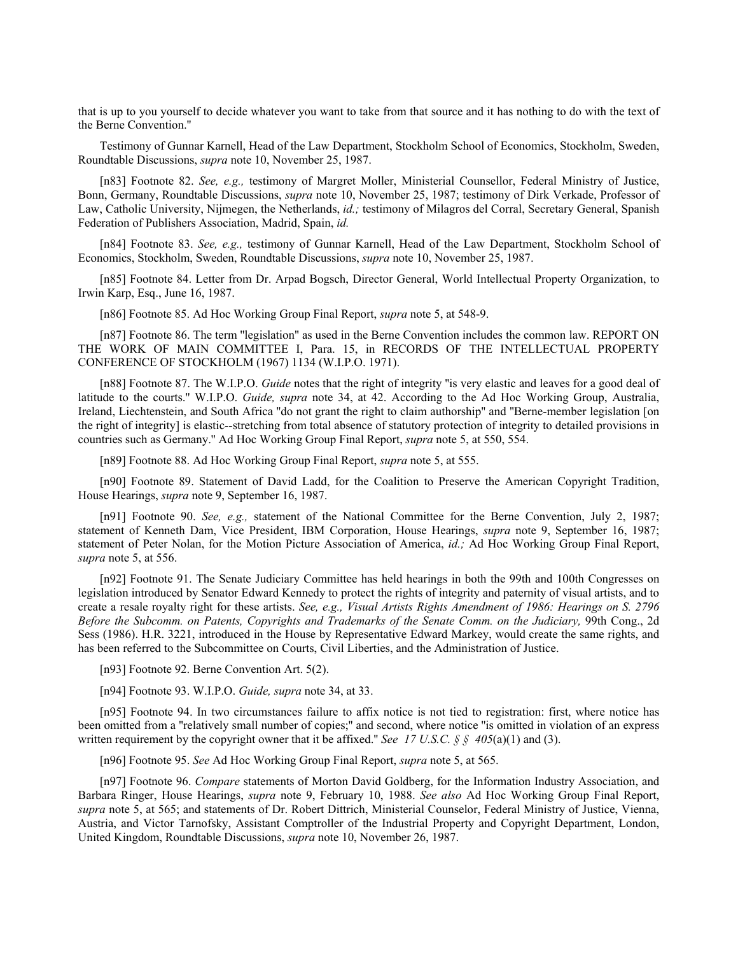that is up to you yourself to decide whatever you want to take from that source and it has nothing to do with the text of the Berne Convention.''

Testimony of Gunnar Karnell, Head of the Law Department, Stockholm School of Economics, Stockholm, Sweden, Roundtable Discussions, *supra* note 10, November 25, 1987.

[n83] Footnote 82. *See, e.g.,* testimony of Margret Moller, Ministerial Counsellor, Federal Ministry of Justice, Bonn, Germany, Roundtable Discussions, *supra* note 10, November 25, 1987; testimony of Dirk Verkade, Professor of Law, Catholic University, Nijmegen, the Netherlands, *id.;* testimony of Milagros del Corral, Secretary General, Spanish Federation of Publishers Association, Madrid, Spain, *id.*

[n84] Footnote 83. *See, e.g.,* testimony of Gunnar Karnell, Head of the Law Department, Stockholm School of Economics, Stockholm, Sweden, Roundtable Discussions, *supra* note 10, November 25, 1987.

[n85] Footnote 84. Letter from Dr. Arpad Bogsch, Director General, World Intellectual Property Organization, to Irwin Karp, Esq., June 16, 1987.

[n86] Footnote 85. Ad Hoc Working Group Final Report, *supra* note 5, at 548-9.

[n87] Footnote 86. The term ''legislation'' as used in the Berne Convention includes the common law. REPORT ON THE WORK OF MAIN COMMITTEE I, Para. 15, in RECORDS OF THE INTELLECTUAL PROPERTY CONFERENCE OF STOCKHOLM (1967) 1134 (W.I.P.O. 1971).

[n88] Footnote 87. The W.I.P.O. *Guide* notes that the right of integrity ''is very elastic and leaves for a good deal of latitude to the courts.'' W.I.P.O. *Guide, supra* note 34, at 42. According to the Ad Hoc Working Group, Australia, Ireland, Liechtenstein, and South Africa ''do not grant the right to claim authorship'' and ''Berne-member legislation [on the right of integrity] is elastic--stretching from total absence of statutory protection of integrity to detailed provisions in countries such as Germany.'' Ad Hoc Working Group Final Report, *supra* note 5, at 550, 554.

[n89] Footnote 88. Ad Hoc Working Group Final Report, *supra* note 5, at 555.

[n90] Footnote 89. Statement of David Ladd, for the Coalition to Preserve the American Copyright Tradition, House Hearings, *supra* note 9, September 16, 1987.

[n91] Footnote 90. *See, e.g.,* statement of the National Committee for the Berne Convention, July 2, 1987; statement of Kenneth Dam, Vice President, IBM Corporation, House Hearings, *supra* note 9, September 16, 1987; statement of Peter Nolan, for the Motion Picture Association of America, *id.;* Ad Hoc Working Group Final Report, *supra* note 5, at 556.

[n92] Footnote 91. The Senate Judiciary Committee has held hearings in both the 99th and 100th Congresses on legislation introduced by Senator Edward Kennedy to protect the rights of integrity and paternity of visual artists, and to create a resale royalty right for these artists. *See, e.g., Visual Artists Rights Amendment of 1986: Hearings on S. 2796 Before the Subcomm. on Patents, Copyrights and Trademarks of the Senate Comm. on the Judiciary,* 99th Cong., 2d Sess (1986). H.R. 3221, introduced in the House by Representative Edward Markey, would create the same rights, and has been referred to the Subcommittee on Courts, Civil Liberties, and the Administration of Justice.

[n93] Footnote 92. Berne Convention Art. 5(2).

[n94] Footnote 93. W.I.P.O. *Guide, supra* note 34, at 33.

[n95] Footnote 94. In two circumstances failure to affix notice is not tied to registration: first, where notice has been omitted from a ''relatively small number of copies;'' and second, where notice ''is omitted in violation of an express written requirement by the copyright owner that it be affixed." *See 17 U.S.C.*  $\oint$   $\oint$  405(a)(1) and (3).

[n96] Footnote 95. *See* Ad Hoc Working Group Final Report, *supra* note 5, at 565.

[n97] Footnote 96. *Compare* statements of Morton David Goldberg, for the Information Industry Association, and Barbara Ringer, House Hearings, *supra* note 9, February 10, 1988. *See also* Ad Hoc Working Group Final Report, *supra* note 5, at 565; and statements of Dr. Robert Dittrich, Ministerial Counselor, Federal Ministry of Justice, Vienna, Austria, and Victor Tarnofsky, Assistant Comptroller of the Industrial Property and Copyright Department, London, United Kingdom, Roundtable Discussions, *supra* note 10, November 26, 1987.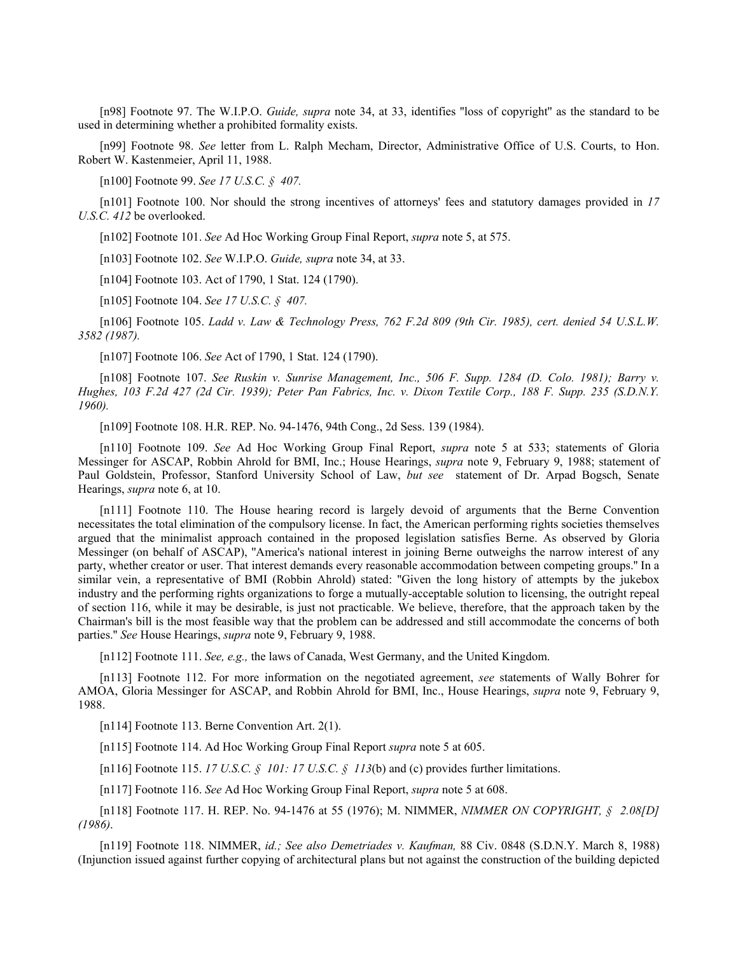[n98] Footnote 97. The W.I.P.O. *Guide, supra* note 34, at 33, identifies ''loss of copyright'' as the standard to be used in determining whether a prohibited formality exists.

[n99] Footnote 98. *See* letter from L. Ralph Mecham, Director, Administrative Office of U.S. Courts, to Hon. Robert W. Kastenmeier, April 11, 1988.

[n100] Footnote 99. *See 17 U.S.C. § 407.*

[n101] Footnote 100. Nor should the strong incentives of attorneys' fees and statutory damages provided in *17 U.S.C. 412* be overlooked.

[n102] Footnote 101. *See* Ad Hoc Working Group Final Report, *supra* note 5, at 575.

[n103] Footnote 102. *See* W.I.P.O. *Guide, supra* note 34, at 33.

[n104] Footnote 103. Act of 1790, 1 Stat. 124 (1790).

[n105] Footnote 104. *See 17 U.S.C. § 407.*

[n106] Footnote 105. *Ladd v. Law & Technology Press, 762 F.2d 809 (9th Cir. 1985), cert. denied 54 U.S.L.W. 3582 (1987).*

[n107] Footnote 106. *See* Act of 1790, 1 Stat. 124 (1790).

[n108] Footnote 107. *See Ruskin v. Sunrise Management, Inc., 506 F. Supp. 1284 (D. Colo. 1981); Barry v. Hughes, 103 F.2d 427 (2d Cir. 1939); Peter Pan Fabrics, Inc. v. Dixon Textile Corp., 188 F. Supp. 235 (S.D.N.Y. 1960).*

[n109] Footnote 108. H.R. REP. No. 94-1476, 94th Cong., 2d Sess. 139 (1984).

[n110] Footnote 109. *See* Ad Hoc Working Group Final Report, *supra* note 5 at 533; statements of Gloria Messinger for ASCAP, Robbin Ahrold for BMI, Inc.; House Hearings, *supra* note 9, February 9, 1988; statement of Paul Goldstein, Professor, Stanford University School of Law, *but see* statement of Dr. Arpad Bogsch, Senate Hearings, *supra* note 6, at 10.

[n111] Footnote 110. The House hearing record is largely devoid of arguments that the Berne Convention necessitates the total elimination of the compulsory license. In fact, the American performing rights societies themselves argued that the minimalist approach contained in the proposed legislation satisfies Berne. As observed by Gloria Messinger (on behalf of ASCAP), ''America's national interest in joining Berne outweighs the narrow interest of any party, whether creator or user. That interest demands every reasonable accommodation between competing groups.'' In a similar vein, a representative of BMI (Robbin Ahrold) stated: ''Given the long history of attempts by the jukebox industry and the performing rights organizations to forge a mutually-acceptable solution to licensing, the outright repeal of section 116, while it may be desirable, is just not practicable. We believe, therefore, that the approach taken by the Chairman's bill is the most feasible way that the problem can be addressed and still accommodate the concerns of both parties.'' *See* House Hearings, *supra* note 9, February 9, 1988.

[n112] Footnote 111. *See, e.g.,* the laws of Canada, West Germany, and the United Kingdom.

[n113] Footnote 112. For more information on the negotiated agreement, *see* statements of Wally Bohrer for AMOA, Gloria Messinger for ASCAP, and Robbin Ahrold for BMI, Inc., House Hearings, *supra* note 9, February 9, 1988.

[n114] Footnote 113. Berne Convention Art. 2(1).

[n115] Footnote 114. Ad Hoc Working Group Final Report *supra* note 5 at 605.

[n116] Footnote 115. *17 U.S.C. § 101: 17 U.S.C. § 113*(b) and (c) provides further limitations.

[n117] Footnote 116. *See* Ad Hoc Working Group Final Report, *supra* note 5 at 608.

[n118] Footnote 117. H. REP. No. 94-1476 at 55 (1976); M. NIMMER, *NIMMER ON COPYRIGHT, § 2.08[D] (1986)*.

[n119] Footnote 118. NIMMER, *id.; See also Demetriades v. Kaufman,* 88 Civ. 0848 (S.D.N.Y. March 8, 1988) (Injunction issued against further copying of architectural plans but not against the construction of the building depicted